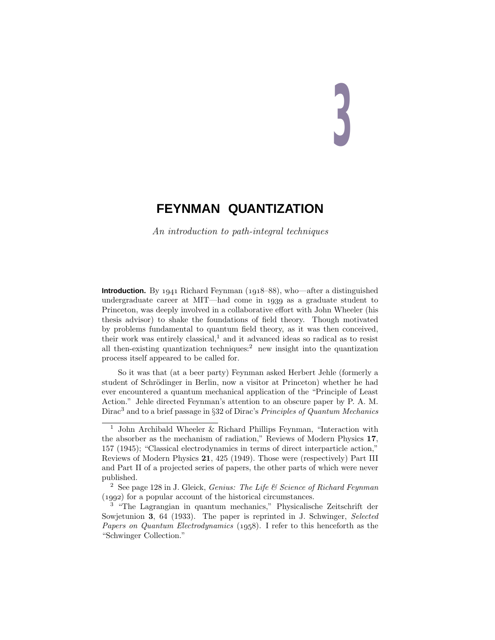# **3**

# **FEYNMAN QUANTIZATION**

An introduction to path-integral techniques

**Introduction.** By 1941 Richard Feynman (1918–88), who—after a distinguished undergraduate career at MIT—had come in  $1939$  as a graduate student to Princeton, was deeply involved in a collaborative effort with John Wheeler (his thesis advisor) to shake the foundations of field theory. Though motivated by problems fundamental to quantum field theory, as it was then conceived, their work was entirely classical,<sup>1</sup> and it advanced ideas so radical as to resist all then-existing quantization techniques: $\alpha$ <sup>2</sup> new insight into the quantization process itself appeared to be called for.

So it was that (at a beer party) Feynman asked Herbert Jehle (formerly a student of Schrödinger in Berlin, now a visitor at Princeton) whether he had ever encountered a quantum mechanical application of the "Principle of Least Action." Jehle directed Feynman's attention to an obscure paper by P. A. M. Dirac<sup>3</sup> and to a brief passage in §32 of Dirac's Principles of Quantum Mechanics

<sup>1</sup> John Archibald Wheeler & Richard Phillips Feynman, "Interaction with the absorber as the mechanism of radiation," Reviews of Modern Physics **17**, 157 (1945); "Classical electrodynamics in terms of direct interparticle action," Reviews of Modern Physics **21**, 425 (1949). Those were (respectively) Part III and Part II of a projected series of papers, the other parts of which were never published.

<sup>&</sup>lt;sup>2</sup> See page 128 in J. Gleick, *Genius: The Life*  $\mathcal B$  *Science of Richard Feynman*  $(1992)$  for a popular account of the historical circumstances.

<sup>3</sup> "The Lagrangian in quantum mechanics," Physicalische Zeitschrift der Sowjetunion **3**, 64 (1933). The paper is reprinted in J. Schwinger, Selected Papers on Quantum Electrodynamics (1958). I refer to this henceforth as the "Schwinger Collection."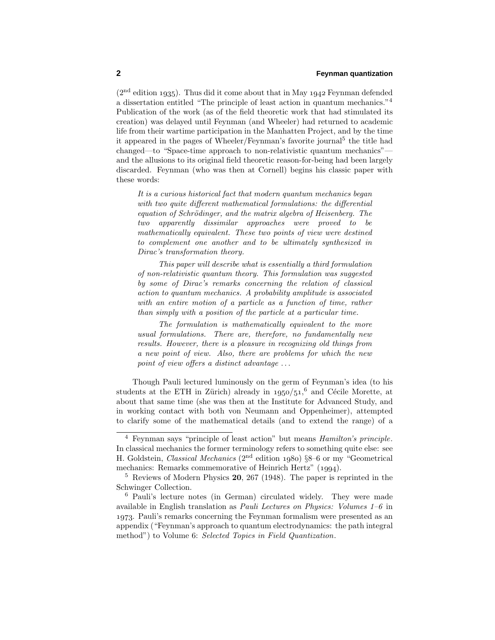$(2<sup>nd</sup> edition 1935)$ . Thus did it come about that in May 1942 Feynman defended a dissertation entitled "The principle of least action in quantum mechanics."<sup>4</sup> Publication of the work (as of the field theoretic work that had stimulated its creation) was delayed until Feynman (and Wheeler) had returned to academic life from their wartime participation in the Manhatten Project, and by the time it appeared in the pages of Wheeler/Feynman's favorite journal<sup>5</sup> the title had changed—to "Space-time approach to non-relativistic quantum mechanics" and the allusions to its original field theoretic reason-for-being had been largely discarded. Feynman (who was then at Cornell) begins his classic paper with these words:

It is a curious historical fact that modern quantum mechanics began with two quite different mathematical formulations: the differential  $equation of Schrödinger, and the matrix algebra of Heisenberg. The$ two apparently dissimilar approaches were proved to be mathematically equivalent. These two points of view were destined to complement one another and to be ultimately synthesized in Dirac's transformation theory.

This paper will describe what is essentially a third formulation of non-relativistic quantum theory. This formulation was suggested by some of Dirac's remarks concerning the relation of classical action to quantum mechanics. A probability amplitude is associated with an entire motion of a particle as a function of time, rather than simply with a position of the particle at a particular time.

The formulation is mathematically equivalent to the more usual formulations. There are, therefore, no fundamentally new results. However, there is a pleasure in recognizing old things from a new point of view. Also, there are problems for which the new point of view offers a distinct advantage *...*

Though Pauli lectured luminously on the germ of Feynman's idea (to his students at the ETH in Zürich) already in  $1950/51$ ,<sup>6</sup> and Cécile Morette, at about that same time (she was then at the Institute for Advanced Study, and in working contact with both von Neumann and Oppenheimer), attempted to clarify some of the mathematical details (and to extend the range) of a

<sup>4</sup> Feynman says "principle of least action" but means Hamilton's principle. In classical mechanics the former terminology refers to something quite else: see H. Goldstein, *Classical Mechanics* ( $2<sup>nd</sup>$  edition 1980) §8–6 or my "Geometrical mechanics: Remarks commemorative of Heinrich Hertz" (1994).

<sup>5</sup> Reviews of Modern Physics **20**, 267 (1948). The paper is reprinted in the Schwinger Collection.

<sup>6</sup> Pauli's lecture notes (in German) circulated widely. They were made available in English translation as Pauli Lectures on Physics: Volumes 1–6 in . Pauli's remarks concerning the Feynman formalism were presented as an appendix ("Feynman's approach to quantum electrodynamics: the path integral method") to Volume 6: Selected Topics in Field Quantization.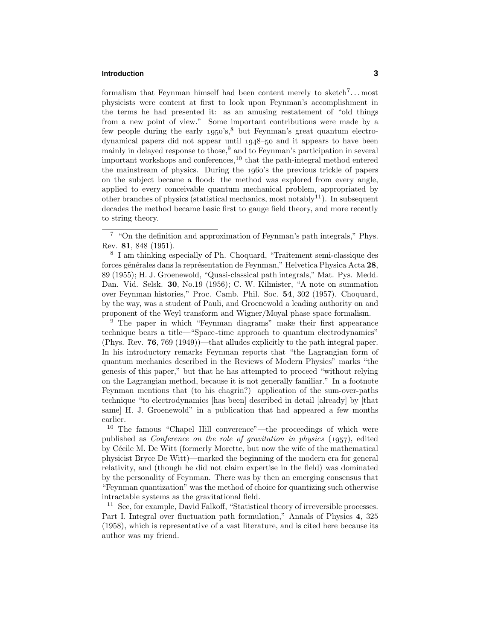# **Introduction 3**

formalism that Feynman himself had been content merely to sketch<sup>7</sup>...most physicists were content at first to look upon Feynman's accomplishment in the terms he had presented it: as an amusing restatement of "old things from a new point of view." Some important contributions were made by a few people during the early  $1950$ 's,<sup>8</sup> but Feynman's great quantum electrodynamical papers did not appear until  $1948-50$  and it appears to have been mainly in delayed response to those,  $9$  and to Feynman's participation in several important workshops and conferences,<sup>10</sup> that the path-integral method entered the mainstream of physics. During the 1960's the previous trickle of papers on the subject became a flood: the method was explored from every angle, applied to every conceivable quantum mechanical problem, appropriated by other branches of physics (statistical mechanics, most notably<sup>11</sup>). In subsequent decades the method became basic first to gauge field theory, and more recently to string theory.

<sup>9</sup> The paper in which "Feynman diagrams" make their first appearance technique bears a title—"Space-time approach to quantum electrodynamics" (Phys. Rev. **76**, 769 (1949))—that alludes explicitly to the path integral paper. In his introductory remarks Feynman reports that "the Lagrangian form of quantum mechanics described in the Reviews of Modern Physics" marks "the genesis of this paper," but that he has attempted to proceed "without relying on the Lagrangian method, because it is not generally familiar." In a footnote Feynman mentions that (to his chagrin?) application of the sum-over-paths technique "to electrodynamics [has been] described in detail [already] by [that same] H. J. Groenewold" in a publication that had appeared a few months earlier.

<sup>10</sup> The famous "Chapel Hill converence"—the proceedings of which were published as *Conference on the role of gravitation in physics*  $(1957)$ , edited by Cécile M. De Witt (formerly Morette, but now the wife of the mathematical physicist Bryce De Witt)—marked the beginning of the modern era for general relativity, and (though he did not claim expertise in the field) was dominated by the personality of Feynman. There was by then an emerging consensus that "Feynman quantization" was the method of choice for quantizing such otherwise intractable systems as the gravitational field.

<sup>11</sup> See, for example, David Falkoff, "Statistical theory of irreversible processes. Part I. Integral over fluctuation path formulation," Annals of Physics **4**, 325 (1958), which is representative of a vast literature, and is cited here because its author was my friend.

 $\overline{7}$  "On the definition and approximation of Feynman's path integrals," Phys. Rev. **81**, 848 (1951).

<sup>8</sup> I am thinking especially of Ph. Choquard, "Traitement semi-classique des forces générales dans la représentation de Feynman," Helvetica Physica Acta 28, 89 (1955); H. J. Groenewold, "Quasi-classical path integrals," Mat. Pys. Medd. Dan. Vid. Selsk. **30**, No.19 (1956); C. W. Kilmister, "A note on summation over Feynman histories," Proc. Camb. Phil. Soc. **54**, 302 (1957). Choquard, by the way, was a student of Pauli, and Groenewold a leading authority on and proponent of the Weyl transform and Wigner/Moyal phase space formalism.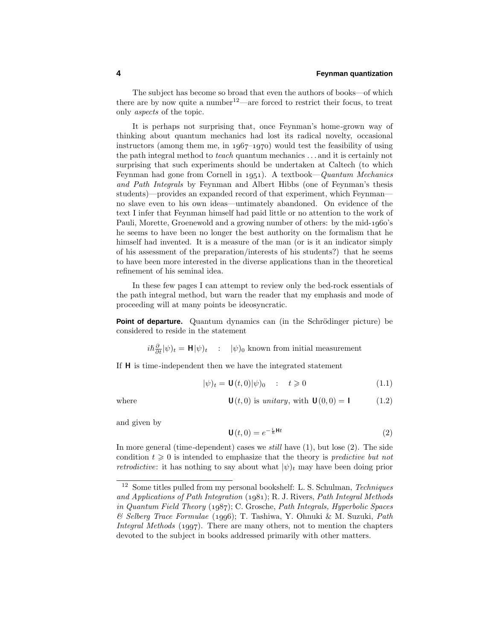The subject has become so broad that even the authors of books—of which there are by now quite a number  $12$ —are forced to restrict their focus, to treat only aspects of the topic.

It is perhaps not surprising that, once Feynman's home-grown way of thinking about quantum mechanics had lost its radical novelty, occasional instructors (among them me, in  $1967-1970$ ) would test the feasibility of using the path integral method to *teach* quantum mechanics ... and it is certainly not surprising that such experiments should be undertaken at Caltech (to which Feynman had gone from Cornell in  $1951$ . A textbook—*Quantum Mechanics* and Path Integrals by Feynman and Albert Hibbs (one of Feynman's thesis students)—provides an expanded record of that experiment, which Feynman no slave even to his own ideas—untimately abandoned. On evidence of the text I infer that Feynman himself had paid little or no attention to the work of Pauli, Morette, Groenewold and a growing number of others: by the mid-1960's he seems to have been no longer the best authority on the formalism that he himself had invented. It is a measure of the man (or is it an indicator simply of his assessment of the preparation/interests of his students?) that he seems to have been more interested in the diverse applications than in the theoretical refinement of his seminal idea.

In these few pages I can attempt to review only the bed-rock essentials of the path integral method, but warn the reader that my emphasis and mode of proceeding will at many points be ideosyncratic.

**Point of departure.** Quantum dynamics can (in the Schrödinger picture) be considered to reside in the statement

 $i\hbar \frac{\partial}{\partial t}|\psi\rangle_t = \mathbf{H}|\psi\rangle_t$  :  $|\psi\rangle_0$  known from initial measurement

If **H** is time-independent then we have the integrated statement

$$
|\psi|_{t} = \mathbf{U}(t,0)|\psi|_{0} \quad : \quad t \geqslant 0 \tag{1.1}
$$

where 
$$
\mathbf{U}(t,0) \text{ is unitary, with } \mathbf{U}(0,0) = \mathbf{I} \tag{1.2}
$$

and given by

$$
\mathbf{U}(t,0) = e^{-\frac{i}{\hbar}\mathbf{H}t} \tag{2}
$$

In more general (time-dependent) cases we *still* have  $(1)$ , but lose  $(2)$ . The side condition  $t \geq 0$  is intended to emphasize that the theory is *predictive but not retrodictive:* it has nothing to say about what  $|\psi\rangle_t$  may have been doing prior

 $^{12}\,$  Some titles pulled from my personal bookshelf: L. S. Schulman,  $\it Techniques$ and Applications of Path Integration  $(1981); R. J. Rivers, Path Integral Methods$ in Quantum Field Theory (1987); C. Grosche, Path Integrals, Hyperbolic Spaces  $\mathcal C$  Selberg Trace Formulae (1996); T. Tashiwa, Y. Ohnuki & M. Suzuki, Path Integral Methods  $(1997)$ . There are many others, not to mention the chapters devoted to the subject in books addressed primarily with other matters.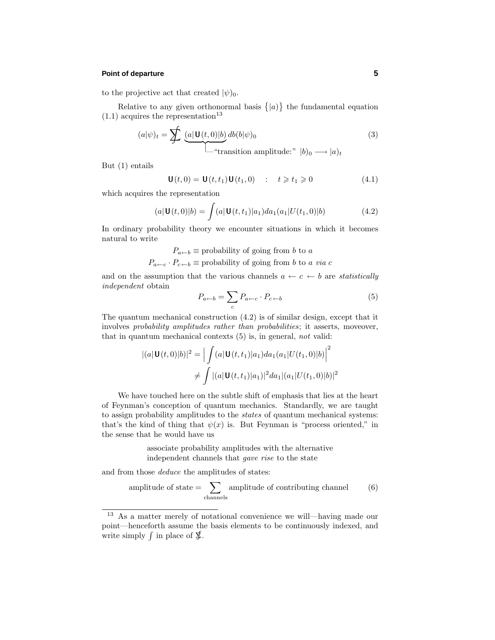# **Point of departure 5**

to the projective act that created  $|\psi|_0$ .

Relative to any given orthonormal basis  $\{|a\rangle\}$  the fundamental equation  $(1.1)$  acquires the representation<sup>13</sup>

$$
(a|\psi)_t = \sum f \underbrace{(a|\mathbf{U}(t,0)|b)}_{\text{"transition amplitude:} } db(b|\psi)_0
$$
\n
$$
(3)
$$

But (1) entails

$$
\mathbf{U}(t,0) = \mathbf{U}(t,t_1)\mathbf{U}(t_1,0) \quad : \quad t \geq t_1 \geq 0 \tag{4.1}
$$

which acquires the representation

$$
(a|\mathbf{U}(t,0)|b) = \int (a|\mathbf{U}(t,t_1)|a_1)da_1(a_1|U(t_1,0)|b)
$$
\n(4.2)

In ordinary probability theory we encounter situations in which it becomes natural to write

 $P_{a \leftarrow b} \equiv$  probability of going from *b* to *a* 

 $P_{a \leftarrow c} \cdot P_{c \leftarrow b} \equiv$  probability of going from *b* to *a* via *c* 

and on the assumption that the various channels  $a \leftarrow c \leftarrow b$  are statistically independent obtain

$$
P_{a \leftarrow b} = \sum_{c} P_{a \leftarrow c} \cdot P_{c \leftarrow b} \tag{5}
$$

The quantum mechanical construction  $(4.2)$  is of similar design, except that it involves probability amplitudes rather than probabilities; it asserts, moveover, that in quantum mechanical contexts  $(5)$  is, in general, not valid:

$$
|(a|\mathbf{U}(t,0)|b)|^2 = \Big|\int (a|\mathbf{U}(t,t_1)|a_1)da_1(a_1|U(t_1,0)|b)\Big|^2
$$
  

$$
\neq \int |(a|\mathbf{U}(t,t_1)|a_1)|^2 da_1|(a_1|U(t_1,0)|b)|^2
$$

We have touched here on the subtle shift of emphasis that lies at the heart of Feynman's conception of quantum mechanics. Standardly, we are taught to assign probability amplitudes to the *states* of quantum mechanical systems: that's the kind of thing that  $\psi(x)$  is. But Feynman is "process oriented," in the sense that he would have us

> associate probability amplitudes with the alternative independent channels that gave rise to the state

and from those deduce the amplitudes of states:

amplitude of state = 
$$
\sum_{\text{channels}} \text{amplitude of contributing channel} \tag{6}
$$

<sup>13</sup> As a matter merely of notational convenience we will—having made our point—henceforth assume the basis elements to be continuously indexed, and write simply  $\int$  in place of  $\oint$ .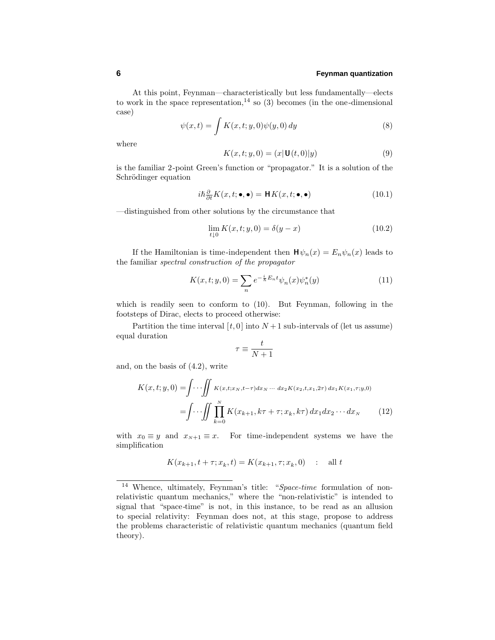At this point, Feynman—characteristically but less fundamentally—elects to work in the space representation,<sup>14</sup> so  $(3)$  becomes (in the one-dimensional case)

$$
\psi(x,t) = \int K(x,t;y,0)\psi(y,0) dy
$$
\n(8)

where

$$
K(x, t; y, 0) = (x | \mathbf{U}(t, 0) | y)
$$
\n(9)

is the familiar 2-point Green's function or "propagator." It is a solution of the Schrödinger equation

$$
i\hbar \frac{\partial}{\partial t} K(x, t; \bullet, \bullet) = \mathbf{H} K(x, t; \bullet, \bullet)
$$
\n(10.1)

—distinguished from other solutions by the circumstance that

$$
\lim_{t \downarrow 0} K(x, t; y, 0) = \delta(y - x) \tag{10.2}
$$

If the Hamiltonian is time-independent then  $\mathbf{H}\psi_n(x) = E_n\psi_n(x)$  leads to the familiar spectral construction of the propagator

$$
K(x, t; y, 0) = \sum_{n} e^{-\frac{i}{\hbar}E_{n}t} \psi_{n}(x) \psi_{n}^{*}(y)
$$
\n(11)

which is readily seen to conform to (10). But Feynman, following in the footsteps of Dirac, elects to proceed otherwise:

Partition the time interval  $[t, 0]$  into  $N + 1$  sub-intervals of (let us assume) equal duration

$$
\tau \equiv \frac{t}{N+1}
$$

and, on the basis of (4.2), write

$$
K(x,t;y,0) = \int \cdots \iint K(x,t;x_N,t-\tau)dx_N \cdots dx_2 K(x_2,t,x_1,2\tau) dx_1 K(x_1,\tau;y,0)
$$

$$
= \int \cdots \iint \prod_{k=0}^N K(x_{k+1},k\tau+\tau;x_k,k\tau) dx_1 dx_2 \cdots dx_N \qquad (12)
$$

with  $x_0 \equiv y$  and  $x_{N+1} \equiv x$ . For time-independent systems we have the simplification

$$
K(x_{k+1}, t + \tau; x_k, t) = K(x_{k+1}, \tau; x_k, 0) \quad : \text{ all } t
$$

<sup>&</sup>lt;sup>14</sup> Whence, ultimately, Feynman's title: "Space-time formulation of nonrelativistic quantum mechanics," where the "non-relativistic" is intended to signal that "space-time" is not, in this instance, to be read as an allusion to special relativity: Feynman does not, at this stage, propose to address the problems characteristic of relativistic quantum mechanics (quantum field theory).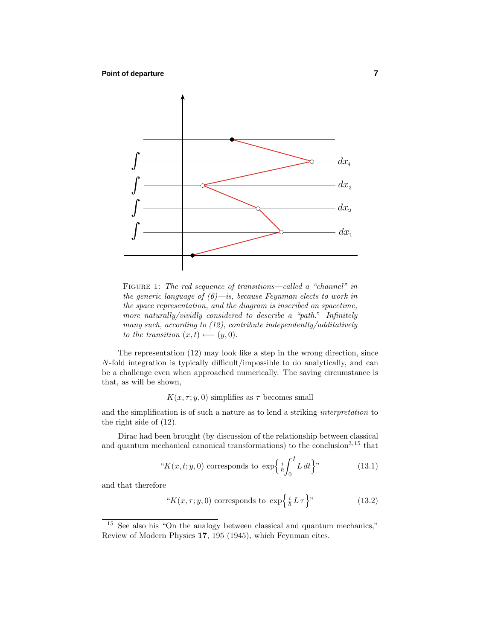

FIGURE 1: The red sequence of transitions—called a "channel" in the generic language of  $(6)$ —is, because Feynman elects to work in the space representation, and the diagram is inscribed on spacetime, more naturally/vividly considered to describe a "path." Infinitely many such, according to  $(12)$ , contribute independently/additatively to the transition  $(x,t) \longleftarrow (y,0)$ .

The representation (12) may look like a step in the wrong direction, since *N*-fold integration is typically difficult/impossible to do analytically, and can be a challenge even when approached numerically. The saving circumstance is that, as will be shown,

# $K(x, \tau; y, 0)$  simplifies as  $\tau$  becomes small

and the simplification is of such a nature as to lend a striking interpretation to the right side of (12).

Dirac had been brought (by discussion of the relationship between classical and quantum mechanical canonical transformations) to the conclusion<sup>3,15</sup> that

"
$$
K(x, t; y, 0)
$$
 corresponds to  $\exp\left\{\frac{i}{\hbar}\int_{0}^{t} L dt\right\}$ " (13.1)

and that therefore

"
$$
K(x, \tau; y, 0)
$$
 corresponds to  $\exp\left\{\frac{i}{\hbar}L\tau\right\}$ " (13.2)

<sup>15</sup> See also his "On the analogy between classical and quantum mechanics," Review of Modern Physics **17**, 195 (1945), which Feynman cites.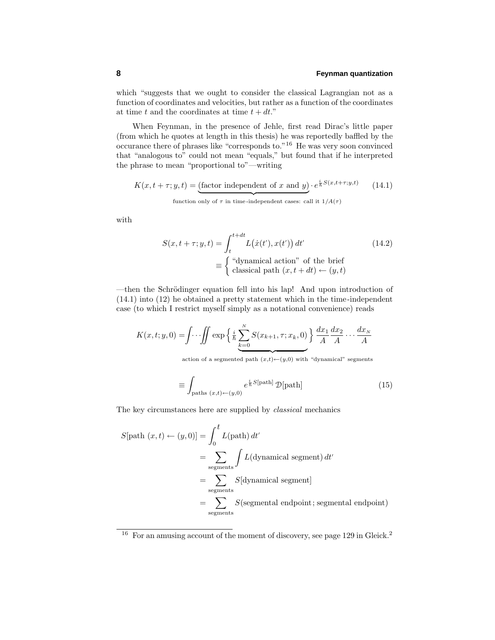which "suggests that we ought to consider the classical Lagrangian not as a function of coordinates and velocities, but rather as a function of the coordinates at time *t* and the coordinates at time  $t + dt$ ."

When Feynman, in the presence of Jehle, first read Dirac's little paper (from which he quotes at length in this thesis) he was reportedly baffled by the occurance there of phrases like "corresponds to."<sup>16</sup> He was very soon convinced that "analogous to" could not mean "equals," but found that if he interpreted the phrase to mean "proportional to"—writing

$$
K(x, t + \tau; y, t) = \underbrace{\text{(factor independent of } x \text{ and } y)}_{\text{function only of } \tau \text{ in time-independent cases: call it } 1/A(\tau)} \quad (14.1)
$$

with

$$
S(x, t + \tau; y, t) = \int_{t}^{t + dt} L(\dot{x}(t'), x(t')) dt'
$$
 (14.2)  

$$
\equiv \begin{cases} \text{``dynamical action'' of the brief} \\ \text{classical path } (x, t + dt) \leftarrow (y, t) \end{cases}
$$

—then the Schrödinger equation fell into his lap! And upon introduction of (14.1) into (12) he obtained a pretty statement which in the time-independent case (to which I restrict myself simply as a notational convenience) reads

$$
K(x, t; y, 0) = \int \cdots \iint \exp\left\{\frac{i}{\hbar} \sum_{k=0}^{N} S(x_{k+1}, \tau; x_k, 0)\right\} \frac{dx_1}{A} \frac{dx_2}{A} \cdots \frac{dx_N}{A}
$$
  
action of a segmented path  $(x, t) \leftarrow (y, 0)$  with "dynamical" segments

$$
\equiv \int_{\text{paths } (x,t)\leftarrow(y,0)} e^{\frac{i}{\hbar}S[\text{path}]} \mathcal{D}[\text{path}] \tag{15}
$$

The key circumstances here are supplied by classical mechanics

$$
S[\text{path } (x, t) \leftarrow (y, 0)] = \int_0^t L(\text{path}) dt'
$$
  
= 
$$
\sum_{\text{segments}} \int L(\text{dynamical segment}) dt'
$$
  
= 
$$
\sum_{\text{segments}} S[\text{dynamical segment}]
$$
  
= 
$$
\sum_{\text{segments}} S(\text{segmental endpoint}; \text{segmental endpoint})
$$

<sup>&</sup>lt;sup>16</sup> For an amusing account of the moment of discovery, see page 129 in Gleick.<sup>2</sup>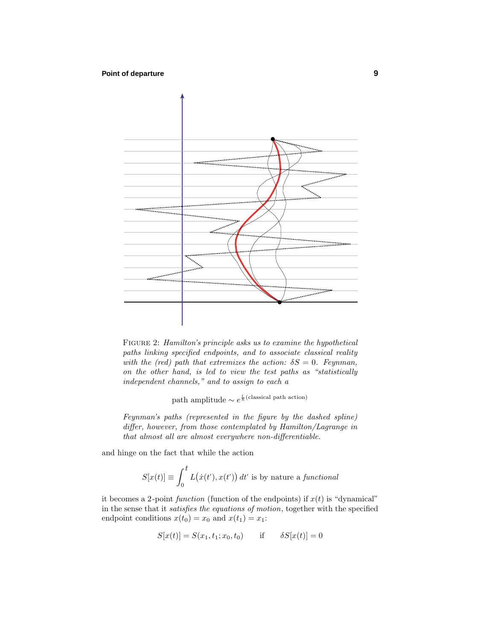

Figure 2: Hamilton's principle asks us to examine the hypothetical paths linking specified endpoints, and to associate classical reality with the (red) path that extremizes the action:  $\delta S = 0$ . Feynman, on the other hand, is led to view the test paths as "statistically independent channels," and to assign to each a

path amplitude  $\sim e^{\frac{i}{\hbar}(\text{classical path action})}$ 

Feynman's paths (represented in the figure by the dashed spline) differ, however, from those contemplated by Hamilton/Lagrange in that almost all are almost everywhere non-differentiable.

and hinge on the fact that while the action

$$
S[x(t)] \equiv \int_0^t L(\dot{x}(t'), x(t')) dt'
$$
 is by nature a functional

it becomes a 2-point *function* (function of the endpoints) if  $x(t)$  is "dynamical" in the sense that it satisfies the equations of motion, together with the specified endpoint conditions  $x(t_0) = x_0$  and  $x(t_1) = x_1$ :

$$
S[x(t)] = S(x_1, t_1; x_0, t_0)
$$
 if  $\delta S[x(t)] = 0$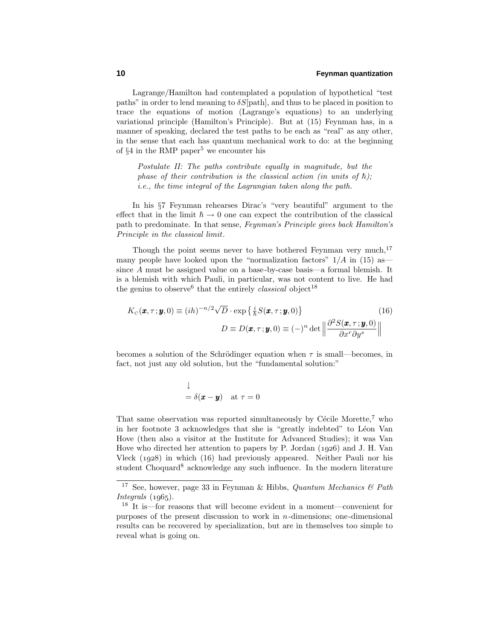Lagrange/Hamilton had contemplated a population of hypothetical "test paths" in order to lend meaning to *δS*[path], and thus to be placed in position to trace the equations of motion (Lagrange's equations) to an underlying variational principle (Hamilton's Principle). But at (15) Feynman has, in a manner of speaking, declared the test paths to be each as "real" as any other, in the sense that each has quantum mechanicalwork to do: at the beginning of  $\S 4$  in the RMP paper<sup>5</sup> we encounter his

Postulate II: The paths contribute equally in magnitude, but the phase of their contribution is the classical action (in units of  $\hbar$ ); i.e., the time integral of the Lagrangian taken along the path.

In his §7 Feynman rehearses Dirac's "very beautiful" argument to the effect that in the limit  $\hbar \to 0$  one can expect the contribution of the classical path to predominate. In that sense, Feynman's Principle gives back Hamilton's Principle in the classical limit.

Though the point seems never to have bothered Feynman very much, $17$ many people have looked upon the "normalization factors"  $1/A$  in (15) as since *A* must be assigned value on a base-by-case basis—a formal blemish. It is a blemish with which Pauli, in particular, was not content to live. He had the genius to observe<sup>6</sup> that the entirely *classical* object<sup>18</sup>

$$
K_C(\mathbf{x}, \tau; \mathbf{y}, 0) \equiv (ih)^{-n/2} \sqrt{D} \cdot \exp\left\{\frac{i}{\hbar} S(\mathbf{x}, \tau; \mathbf{y}, 0)\right\}
$$
(16)  

$$
D \equiv D(\mathbf{x}, \tau; \mathbf{y}, 0) \equiv (-)^n \det \left\| \frac{\partial^2 S(\mathbf{x}, \tau; \mathbf{y}, 0)}{\partial x^r \partial y^s} \right\|
$$

becomes a solution of the Schrödinger equation when  $\tau$  is small—becomes, in fact, not just any old solution, but the "fundamental solution:"

$$
\downarrow
$$
  
=  $\delta(\boldsymbol{x} - \boldsymbol{y})$  at  $\tau = 0$ 

That same observation was reported simultaneously by Cécile Morette,<sup>7</sup> who in her footnote 3 acknowledges that she is "greatly indebted" to Léon Van Hove (then also a visitor at the Institute for Advanced Studies); it was Van Hove who directed her attention to papers by P. Jordan  $(1926)$  and J. H. Van Vleck  $(1928)$  in which  $(16)$  had previously appeared. Neither Pauli nor his student Choquard<sup>8</sup> acknowledge any such influence. In the modern literature

<sup>&</sup>lt;sup>17</sup> See, however, page 33 in Feynman & Hibbs, *Quantum Mechanics*  $\mathcal{B}$  Path Integrals  $(1965)$ .

<sup>18</sup> It is—for reasons that will become evident in a moment—convenient for purposes of the present discussion to work in *n*-dimensions; one-dimensional results can be recovered by specialization, but are in themselves too simple to reveal what is going on.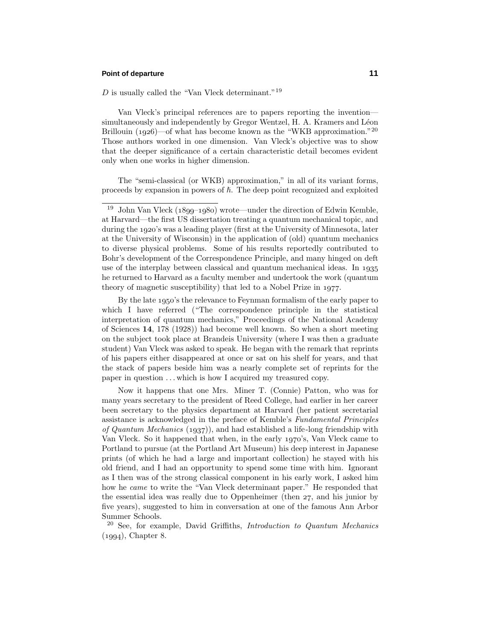# **Point of departure 11**

*D* is usually called the "Van Vleck determinant."<sup>19</sup>

Van Vleck's principal references are to papers reporting the invention simultaneously and independently by Gregor Wentzel, H. A. Kramers and Léon Brillouin (1926)—of what has become known as the "WKB approximation."<sup>20</sup> Those authors worked in one dimension. Van Vleck's objective was to show that the deeper significance of a certain characteristic detailbecomes evident only when one works in higher dimension.

The "semi-classical (or WKB) approximation," in all of its variant forms, proceeds by expansion in powers of  $\hbar$ . The deep point recognized and exploited

By the late  $1950$ 's the relevance to Feynman formalism of the early paper to which I have referred ("The correspondence principle in the statistical interpretation of quantum mechanics," Proceedings of the National Academy of Sciences **14**, 178 (1928)) had become well known. So when a short meeting on the subject took place at Brandeis University (where I was then a graduate student) Van Vleck was asked to speak. He began with the remark that reprints of his papers either disappeared at once or sat on his shelf for years, and that the stack of papers beside him was a nearly complete set of reprints for the paper in question *...* which is how I acquired my treasured copy.

Now it happens that one Mrs. Miner T. (Connie) Patton, who was for many years secretary to the president of Reed College, had earlier in her career been secretary to the physics department at Harvard (her patient secretarial assistance is acknowledged in the preface of Kemble's Fundamental Principles of Quantum Mechanics  $(1937)$ , and had established a life-long friendship with Van Vleck. So it happened that when, in the early 1970's, Van Vleck came to Portland to pursue (at the Portland Art Museum) his deep interest in Japanese prints (of which he had a large and important collection) he stayed with his old friend, and I had an opportunity to spend some time with him. Ignorant as I then was of the strong classical component in his early work, I asked him how he came to write the "Van Vleck determinant paper." He responded that the essential idea was really due to Oppenheimer (then  $27$ , and his junior by five years), suggested to him in conversation at one of the famous Ann Arbor Summer Schools.

 $20$  See, for example, David Griffiths, *Introduction to Quantum Mechanics*  $(1994)$ , Chapter 8.

 $^{19}\,$  John Van Vleck (1899–1980) wrote—under the direction of Edwin Kemble, at Harvard—the first US dissertation treating a quantum mechanical topic, and during the 1920's was a leading player (first at the University of Minnesota, later at the University of Wisconsin) in the application of (old) quantum mechanics to diverse physical problems. Some of his results reportedly contributed to Bohr's development of the Correspondence Principle, and many hinged on deft use of the interplay between classical and quantum mechanical ideas. In he returned to Harvard as a faculty member and undertook the work (quantum theory of magnetic susceptibility) that led to a Nobel Prize in 1977.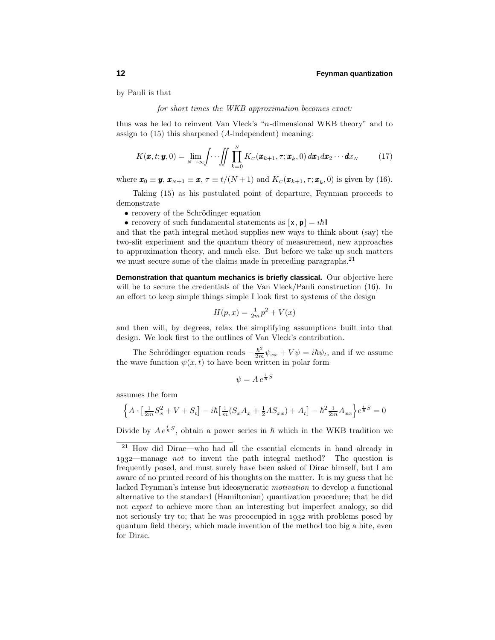by Pauli is that

for short times the WKB approximation becomes exact:

thus was he led to reinvent Van Vleck's "*n*-dimensional WKB theory" and to assign to (15) this sharpened (*A*-independent) meaning:

$$
K(\boldsymbol{x},t;\boldsymbol{y},0)=\lim_{N\to\infty}\int\!\cdots\!\!\int\!\!\int\prod_{k=0}^{N}K_C(\boldsymbol{x}_{k+1},\tau;\boldsymbol{x}_k,0)\,d\boldsymbol{x}_1d\boldsymbol{x}_2\cdots d\boldsymbol{x}_N\qquad(17)
$$

where  $\mathbf{x}_0 \equiv \mathbf{y}, \mathbf{x}_{N+1} \equiv \mathbf{x}, \tau \equiv t/(N+1)$  and  $K_c(\mathbf{x}_{k+1}, \tau; \mathbf{x}_k, 0)$  is given by (16).

Taking (15) as his postulated point of departure, Feynman proceeds to demonstrate

• recovery of the Schrödinger equation

• recovery of such fundamental statements as  $[\mathbf{x}, \mathbf{p}] = i\hbar \mathbf{I}$ 

and that the path integral method supplies new ways to think about (say) the two-slit experiment and the quantum theory of measurement, new approaches to approximation theory, and much else. But before we take up such matters we must secure some of the claims made in preceding paragraphs.<sup>21</sup>

**Demonstration that quantum mechanics is briefly classical.** Our objective here will be to secure the credentials of the Van Vleck/Pauli construction (16). In an effort to keep simple things simple I look first to systems of the design

$$
H(p, x) = \frac{1}{2m}p^2 + V(x)
$$

and then will, by degrees, relax the simplifying assumptions built into that design. We look first to the outlines of Van Vleck's contribution.

The Schrödinger equation reads  $-\frac{\hbar^2}{2m}\psi_{xx} + V\psi = i\hbar\psi_t$ , and if we assume the wave function  $\psi(x, t)$  to have been written in polar form

$$
\psi = A \, e^{\frac{i}{\hbar}S}
$$

assumes the form

$$
\Big\{A\cdot\big[\tfrac{1}{2m}S_{x}^{2}+V+S_{t}\big]-i\hbar\big[\tfrac{1}{m}(S_{x}A_{x}+\tfrac{1}{2}AS_{xx})+A_{t}\big]-\hbar^{2}\tfrac{1}{2m}A_{xx}\Big\}e^{\frac{i}{\hbar}S}=0
$$

Divide by  $A e^{\frac{i}{\hbar}S}$ , obtain a power series in  $\hbar$  which in the WKB tradition we

<sup>21</sup> How did Dirac—who had all the essential elements in hand already in 1932—manage not to invent the path integral method? The question is frequently posed, and must surely have been asked of Dirac himself, but I am aware of no printed record of his thoughts on the matter. It is my guess that he lacked Feynman's intense but ideosyncratic motivation to develop a functional alternative to the standard (Hamiltonian) quantization procedure; that he did not expect to achieve more than an interesting but imperfect analogy, so did not seriously try to; that he was preoccupied in 1932 with problems posed by quantum field theory, which made invention of the method too big a bite, even for Dirac.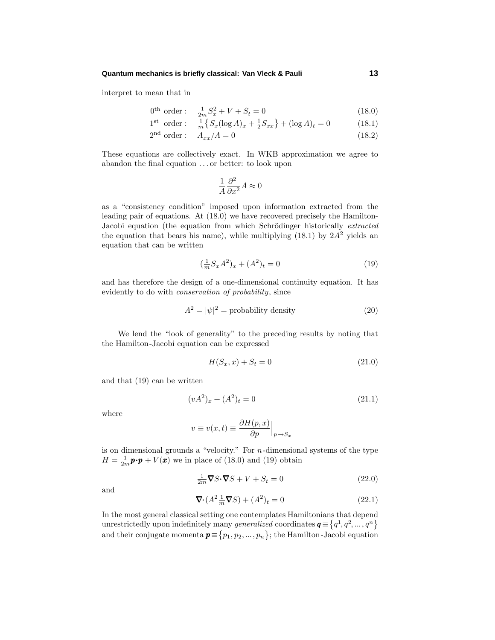#### **Quantum mechanics is briefly classical: Van Vleck & Pauli 13**

interpret to mean that in

$$
0^{\text{th}} \text{ order}: \quad \frac{1}{2m} S_x^2 + V + S_t = 0 \tag{18.0}
$$

$$
1^{\text{st}} \quad \text{order}: \quad \frac{1}{m} \left\{ S_x (\log A)_x + \frac{1}{2} S_{xx} \right\} + (\log A)_t = 0 \tag{18.1}
$$

$$
2nd order: Axx/A = 0
$$
 (18.2)

These equations are collectively exact. In WKB approximation we agree to abandon the final equation  $\ldots$  or better: to look upon

$$
\frac{1}{A}\frac{\partial^2}{\partial x^2}A \approx 0
$$

as a "consistency condition" imposed upon information extracted from the leading pair of equations. At (18.0) we have recovered precisely the Hamilton-Jacobi equation (the equation from which Schrödinger historically extracted the equation that bears his name), while multiplying  $(18.1)$  by  $2A<sup>2</sup>$  yields an equation that can be written

$$
\left(\frac{1}{m}S_x A^2\right)_x + \left(A^2\right)_t = 0\tag{19}
$$

and has therefore the design of a one-dimensional continuity equation. It has evidently to do with conservation of probability, since

$$
A^2 = |\psi|^2 = \text{probability density} \tag{20}
$$

We lend the "look of generality" to the preceding results by noting that the Hamilton-Jacobi equation can be expressed

$$
H(S_x, x) + S_t = 0 \t\t(21.0)
$$

and that (19) can be written

$$
(vA2)x + (A2)t = 0
$$
\n(21.1)

where

$$
v \equiv v(x, t) \equiv \frac{\partial H(p, x)}{\partial p}\Big|_{p \to S_x}
$$

is on dimensional grounds a "velocity." For  $n$ -dimensional systems of the type  $H = \frac{1}{2m}\mathbf{p} \cdot \mathbf{p} + V(\mathbf{x})$  we in place of (18.0) and (19) obtain

$$
\frac{1}{2m}\nabla S \cdot \nabla S + V + S_t = 0\tag{22.0}
$$

and

$$
\nabla \cdot (A^2 \frac{1}{m} \nabla S) + (A^2)_t = 0 \tag{22.1}
$$

In the most general classical setting one contemplates Hamiltonians that depend unrestrictedly upon indefinitely many *generalized* coordinates  $\boldsymbol{q} \equiv \{q^1, q^2, ..., q^n\}$ and their conjugate momenta  $\boldsymbol{p} \equiv \{p_1, p_2, \ldots, p_n\};$  the Hamilton-Jacobi equation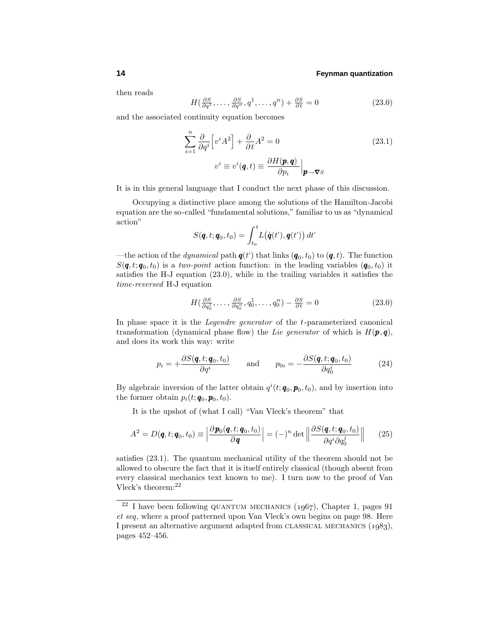then reads

$$
H\left(\frac{\partial S}{\partial q^1}, \dots, \frac{\partial S}{\partial q^n}, q^1, \dots, q^n\right) + \frac{\partial S}{\partial t} = 0\tag{23.0}
$$

and the associated continuity equation becomes

$$
\sum_{i=1}^{n} \frac{\partial}{\partial q^{i}} \left[ v^{i} A^{2} \right] + \frac{\partial}{\partial t} A^{2} = 0
$$
\n
$$
v^{i} \equiv v^{i} (\mathbf{q}, t) \equiv \frac{\partial H(\mathbf{p}, \mathbf{q})}{\partial p_{i}} \Big|_{\mathbf{p} \to \nabla S}
$$
\n(23.1)

It is in this general language that I conduct the next phase of this discussion.

Occupying a distinctive place among the solutions of the Hamilton-Jacobi equation are the so-called "fundamental solutions," familiar to us as "dynamical action"

$$
S(\boldsymbol{q},t;\boldsymbol{q}_0,t_0)=\int_{t_0}^t L(\dot{\boldsymbol{q}}(t'),\boldsymbol{q}(t')) dt'
$$

—the action of the *dynamical* path  $q(t')$  that links  $(q_0, t_0)$  to  $(q, t)$ . The function  $S(\boldsymbol{q}, t; \boldsymbol{q}_0, t_0)$  is a *two-point* action function: in the leading variables  $(\boldsymbol{q}_0, t_0)$  it satisfies the H-J equation (23.0), while in the trailing variables it satisfies the time-reversed H-J equation

$$
H(\frac{\partial S}{\partial q_0^1}, \dots, \frac{\partial S}{\partial q_0^n}, q_0^1, \dots, q_0^n) - \frac{\partial S}{\partial t} = 0
$$
\n(23.0)

In phase space it is the Legendre generator of the *t*-parameterized canonical transformation (dynamical phase flow) the Lie generator of which is  $H(\mathbf{p}, \mathbf{q})$ , and does its work this way: write

$$
p_i = +\frac{\partial S(\mathbf{q}, t; \mathbf{q}_0, t_0)}{\partial q^i} \quad \text{and} \quad p_{0i} = -\frac{\partial S(\mathbf{q}, t; \mathbf{q}_0, t_0)}{\partial q_0^i} \tag{24}
$$

By algebraic inversion of the latter obtain  $q^{i}(t; \textbf{q}_{0}, \textbf{p}_{0}, t_{0})$ , and by insertion into the former obtain  $p_i(t; \mathbf{q}_0, \mathbf{p}_0, t_0)$ .

It is the upshot of (what I call) "Van Vleck's theorem" that

$$
A^{2} = D(\boldsymbol{q}, t; \boldsymbol{q}_{0}, t_{0}) \equiv \left| \frac{\partial \boldsymbol{p}_{0}(\boldsymbol{q}, t; \boldsymbol{q}_{0}, t_{0})}{\partial \boldsymbol{q}} \right| = (-)^{n} \det \left\| \frac{\partial S(\boldsymbol{q}, t; \boldsymbol{q}_{0}, t_{0})}{\partial q^{i} \partial q_{0}^{j}} \right\|
$$
(25)

satisfies (23.1). The quantum mechanical utility of the theorem should not be allowed to obscure the fact that it is itself entirely classical (though absent from every classical mechanics text known to me). I turn now to the proof of Van Vleck's theorem:<sup>22</sup>

<sup>&</sup>lt;sup>22</sup> I have been following QUANTUM MECHANICS  $(1967)$ , Chapter 1, pages 91 et seq, where a proof patterned upon Van Vleck's own begins on page 98. Here I present an alternative argument adapted from CLASSICAL MECHANICS  $(1083)$ , pages 452–456.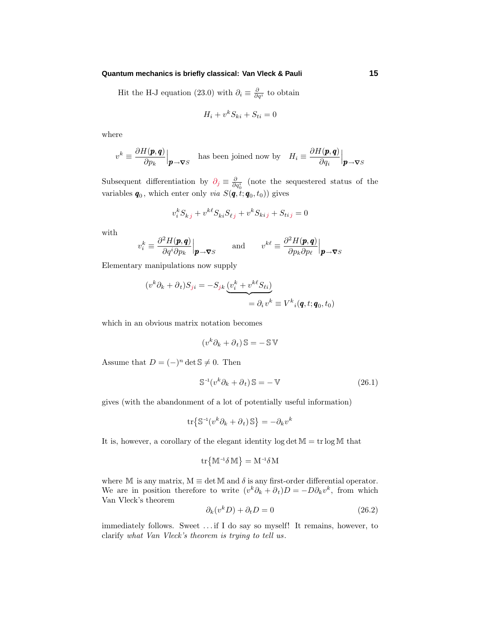#### **Quantum mechanics is briefly classical: Van Vleck & Pauli 15**

Hit the H-J equation (23.0) with  $\partial_i \equiv \frac{\partial}{\partial q^i}$  to obtain

$$
H_i + v^k S_{ki} + S_{ti} = 0
$$

where

$$
v^k \equiv \frac{\partial H(\mathbf{p}, \mathbf{q})}{\partial p_k} \Big|_{\mathbf{p} \to \nabla S}
$$
 has been joined now by  $H_i \equiv \frac{\partial H(\mathbf{p}, \mathbf{q})}{\partial q_i} \Big|_{\mathbf{p} \to \nabla S}$ 

Subsequent differentiation by  $\partial_j \equiv \frac{\partial}{\partial q_0^i}$  (note the sequestered status of the variables  $\boldsymbol{q}_0$ , which enter only *via*  $S(\boldsymbol{q}, t; \boldsymbol{q}_0, t_0)$  gives

$$
v_i^k S_{kj} + v^{k\ell} S_{ki} S_{\ell j} + v^k S_{kij} + S_{tij} = 0
$$

with

$$
v_i^k \equiv \frac{\partial^2 H(\mathbf{p}, \mathbf{q})}{\partial q^i \partial p_k} \Big| \mathbf{p} \to \nabla S \qquad \text{and} \qquad v^{k\ell} \equiv \frac{\partial^2 H(\mathbf{p}, \mathbf{q})}{\partial p_k \partial p_\ell} \Big| \mathbf{p} \to \nabla S
$$

Elementary manipulations now supply

$$
(v^k \partial_k + \partial_t) S_{ji} = -S_{jk} \underbrace{(v_i^k + v^{k\ell} S_{\ell i})}_{\ell \geq 0} = \partial_i v^k \equiv V^k{}_i(\mathbf{q}, t; \mathbf{q}_0, t_0)
$$

which in an obvious matrix notation becomes

$$
(v^k \partial_k + \partial_t) \mathbb{S} = -\mathbb{S} \mathbb{V}
$$

Assume that  $D = (-)^n \det \mathbb{S} \neq 0$ . Then

$$
\mathbb{S}^{-1}(v^k \partial_k + \partial_t) \mathbb{S} = -\mathbb{V}
$$
\n(26.1)

gives (with the abandonment of a lot of potentially useful information)

$$
\text{tr}\big\{\mathbb{S}^{-1}(v^k\partial_k + \partial_t)\,\mathbb{S}\big\} = -\partial_k v^k
$$

It is, however, a corollary of the elegant identity  $\log \det M = \text{tr} \log M$  that

$$
\mathrm{tr}\big\{\mathbb{M}^{-1}\delta\,\mathbb{M}\big\} = \mathbb{M}^{-1}\delta\,\mathbb{M}
$$

where M is any matrix,  $M \equiv det M$  and  $\delta$  is any first-order differential operator. We are in position therefore to write  $(v^k \partial_k + \partial_t)D = -D\partial_k v^k$ , from which Van Vleck's theorem

$$
\partial_k(v^k D) + \partial_t D = 0 \tag{26.2}
$$

immediately follows. Sweet *...* if I do say so myself! It remains, however, to clarify what Van Vleck's theorem is trying to tell us.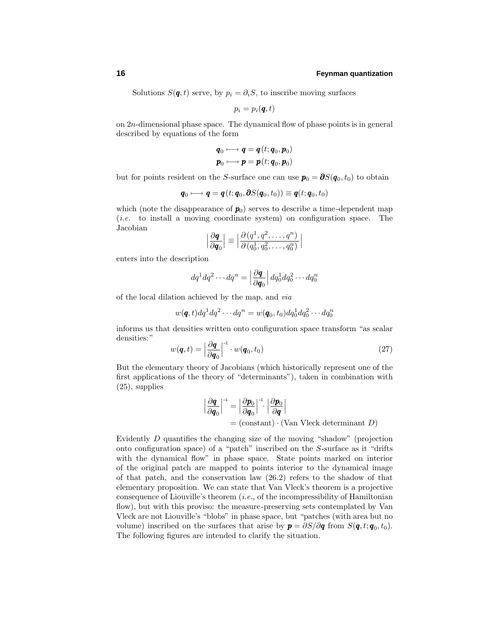Solutions *S*( $q$ , *t*) serve, by  $p_i = \partial_i S$ , to inscribe moving surfaces

$$
p_i=p_i(\bm{q},t)
$$

on  $2n$ -dimensional phase space. The dynamical flow of phase points is in general described by equations of the form

$$
\begin{aligned}\n\boldsymbol{q}_0 \longmapsto \boldsymbol{q} &= \boldsymbol{q}(t; \boldsymbol{q}_0, \boldsymbol{p}_0) \\
\boldsymbol{p}_0 \longmapsto \boldsymbol{p} &= \boldsymbol{p}(t; \boldsymbol{q}_0, \boldsymbol{p}_0)\n\end{aligned}
$$

but for points resident on the *S*-surface one can use  $\mathbf{p}_0 = \partial S(\mathbf{q}_0, t_0)$  to obtain

$$
\boldsymbol{q}_0 \longmapsto \boldsymbol{q} = \boldsymbol{q}(t; \boldsymbol{q}_0, \boldsymbol{\partial} S(\boldsymbol{q}_0, t_0)) \equiv \boldsymbol{q}(t; \boldsymbol{q}_0, t_0)
$$

which (note the disappearance of  $p_0$ ) serves to describe a time-dependent map (i.e. to install a moving coordinate system) on configuration space. The Jacobian

$$
\left|\frac{\partial \boldsymbol{q}}{\partial \boldsymbol{q}_0}\right| \equiv \left|\frac{\partial (q^1,q^2,\ldots,q^n)}{\partial (q^1_0,q^2_0,\ldots,q^n_0)}\right|
$$

enters into the description

$$
dq^1 dq^2 \cdots dq^n = \left|\frac{\partial \boldsymbol{q}}{\partial \boldsymbol{q}_0}\right| dq_0^1 dq_0^2 \cdots dq_0^n
$$

of the local dilation achieved by the map, and via

$$
w(\boldsymbol{q},t)dq^1dq^2\cdots dq^n = w(\boldsymbol{q}_0,t_0)dq_0^1dq_0^2\cdots dq_0^n
$$

informs us that densities written onto configuration space transform "as scalar densities:"

$$
w(\boldsymbol{q},t) = \left|\frac{\partial \boldsymbol{q}}{\partial \boldsymbol{q}_0}\right|^{-1} \cdot w(\boldsymbol{q}_0, t_0)
$$
\n(27)

But the elementary theory of Jacobians (which historically represent one of the first applications of the theory of "determinants"), taken in combination with (25), supplies

$$
\left|\frac{\partial \mathbf{q}}{\partial \mathbf{q}_0}\right|^{-1} = \left|\frac{\partial \mathbf{p}_0}{\partial \mathbf{q}_0}\right|^{-1} \cdot \left|\frac{\partial \mathbf{p}_0}{\partial \mathbf{q}}\right|
$$
  
= (constant) \cdot (Van Vleck determinant *D*)

Evidently *D* quantifies the changing size of the moving "shadow" (projection onto configuration space) of a "patch" inscribed on the *S*-surface as it "drifts with the dynamical flow" in phase space. State points marked on interior of the original patch are mapped to points interior to the dynamical image of that patch, and the conservation law (26.2) refers to the shadow of that elementary proposition. We can state that Van Vleck's theorem is a projective consequence of Liouville's theorem  $(i.e.,$  of the incompressibility of Hamiltonian flow), but with this proviso: the measure-preserving sets contemplated by Van Vleck are not Liouville's "blobs" in phase space, but "patches (with area but no volume) inscribed on the surfaces that arise by  $p = \partial S/\partial q$  from  $S(q, t; q_0, t_0)$ . The following figures are intended to clarify the situation.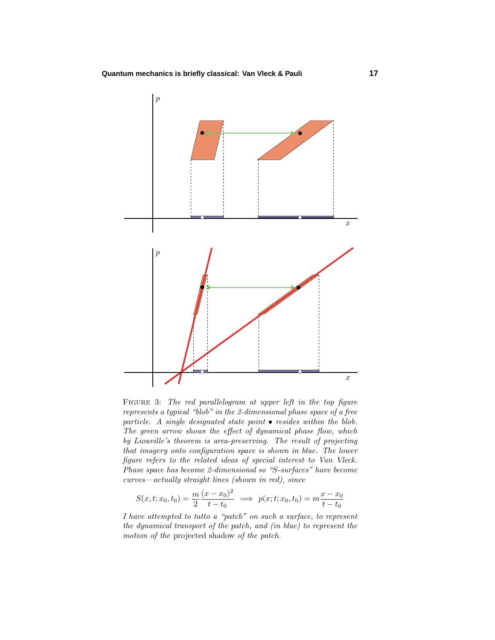

FIGURE 3: The red parallelogram at upper left in the top figure represents a typical "blob" in the 2-dimensional phase space of a free particle. A single designated state point  $\bullet$  resides within the blob. The green arrow shows the effect of dynamical phase flow, which by Liouville's theorem is area-preserving. The result of projecting that imagery onto configuration space is shown in blue. The lower figure refers to the related ideas of special interest to Van Vleck. Phase space has become 2-dimensional so "*S*-surfaces" have become curves—actually straight lines (shown in red), since

$$
S(x, t; x_0, t_0) = \frac{m}{2} \frac{(x - x_0)^2}{t - t_0} \implies p(x; t; x_0, t_0) = m \frac{x - x_0}{t - t_0}
$$

I have attempted to tatto a "patch" on such a surface, to represent the dynamical transport of the patch, and (in blue) to represent the motion of the projected shadow of the patch.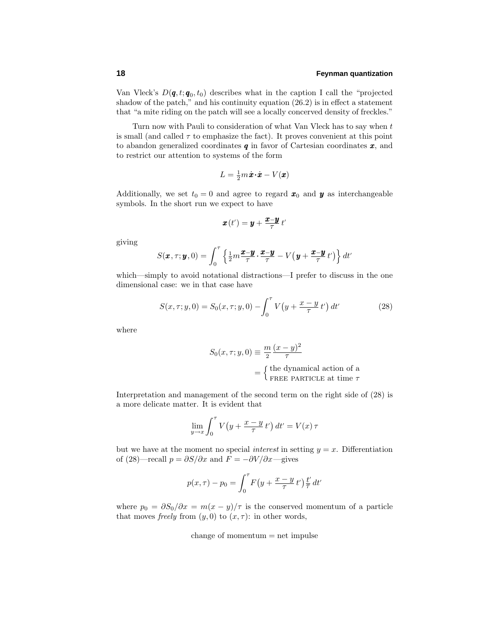Van Vleck's  $D(q, t; q_0, t_0)$  describes what in the caption I call the "projected" shadow of the patch," and his continuity equation (26.2) is in effect a statement that "a mite riding on the patch will see a locally concerved density of freckles."

Turn now with Pauli to consideration of what Van Vleck has to say when *t* is small (and called  $\tau$  to emphasize the fact). It proves convenient at this point to abandon generalized coordinates *q* in favor of Cartesian coordinates *x*, and to restrict our attention to systems of the form

$$
L = \frac{1}{2}m\dot{\boldsymbol{x}}\cdot\dot{\boldsymbol{x}} - V(\boldsymbol{x})
$$

Additionally, we set  $t_0 = 0$  and agree to regard  $\boldsymbol{x}_0$  and  $\boldsymbol{y}$  as interchangeable symbols. In the short run we expect to have

$$
\pmb{x}\left(t'\right) = \pmb{y} + \frac{\pmb{x} - \pmb{y}}{\tau}\,t'
$$

giving

$$
S(\pmb{x}, \tau; \pmb{y}, 0) = \int_0^{\tau} \left\{ \frac{1}{2} m \frac{\pmb{x} - \pmb{y}}{\tau} \cdot \frac{\pmb{x} - \pmb{y}}{\tau} - V(\pmb{y} + \frac{\pmb{x} - \pmb{y}}{\tau} t') \right\} dt'
$$

which—simply to avoid notational distractions—I prefer to discuss in the one dimensional case: we in that case have

$$
S(x, \tau; y, 0) = S_0(x, \tau; y, 0) - \int_0^{\tau} V\big(y + \frac{x - y}{\tau} t'\big) dt'
$$
 (28)

where

$$
S_0(x, \tau; y, 0) \equiv \frac{m}{2} \frac{(x - y)^2}{\tau}
$$

$$
= \begin{cases} \text{the dynamical action of a} \\ \text{FREE PARTICE at time } \tau \end{cases}
$$

Interpretation and management of the second term on the right side of (28) is a more delicate matter. It is evident that

$$
\lim_{y \to x} \int_0^{\tau} V\big(y + \frac{x - y}{\tau} t'\big) dt' = V(x) \tau
$$

but we have at the moment no special *interest* in setting  $y = x$ . Differentiation of (28)—recall  $p = \partial S/\partial x$  and  $F = -\partial V/\partial x$ —gives

$$
p(x,\tau) - p_0 = \int_0^{\tau} F(y + \frac{x - y}{\tau} t') \frac{t'}{\tau} dt'
$$

where  $p_0 = \partial S_0/\partial x = m(x - y)/\tau$  is the conserved momentum of a particle that moves *freely* from  $(y, 0)$  to  $(x, \tau)$ : in other words,

 $change of momentum = net impulse$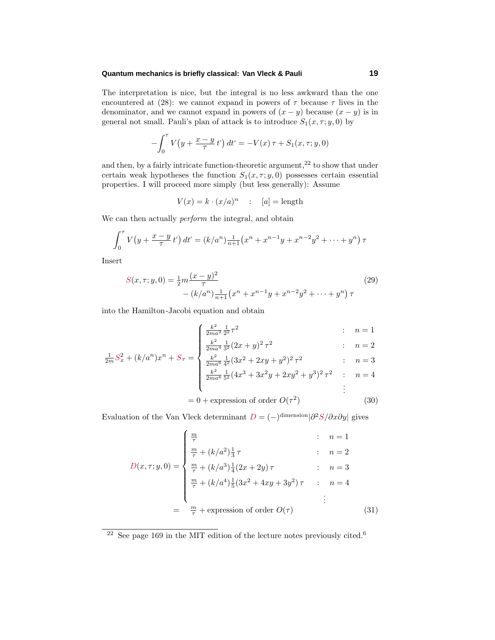#### **Quantum mechanics is briefly classical: Van Vleck & Pauli 19**

The interpretation is nice, but the integral is no less awkward than the one encountered at (28): we cannot expand in powers of  $\tau$  because  $\tau$  lives in the denominator, and we cannot expand in powers of  $(x - y)$  because  $(x - y)$  is in general not small. Pauli's plan of attack is to introduce  $S_1(x, \tau; y, 0)$  by

$$
-\int_0^{\tau} V(y + \frac{x-y}{\tau} t') dt' = -V(x)\tau + S_1(x, \tau; y, 0)
$$

and then, by a fairly intricate function-theoretic argument,<sup>22</sup> to show that under certain weak hypotheses the function  $S_1(x, \tau; y, 0)$  possesses certain essential properties. I will proceed more simply (but less generally): Assume

$$
V(x) = k \cdot (x/a)^n \qquad ; \quad [a] = \text{length}
$$

We can then actually *perform* the integral, and obtain

$$
\int_0^{\tau} V(y + \frac{x - y}{\tau} t') dt' = (k/a^n) \frac{1}{n+1} (x^n + x^{n-1}y + x^{n-2}y^2 + \dots + y^n) \tau
$$

Insert

$$
S(x, \tau; y, 0) = \frac{1}{2} m \frac{(x - y)^2}{\tau} - (k/a^n) \frac{1}{n+1} (x^n + x^{n-1}y + x^{n-2}y^2 + \dots + y^n) \tau
$$
\n(29)

into the Hamilton-Jacobi equation and obtain

 $\sqrt{ }$ 

$$
\frac{k^2}{2ma^2} \frac{1}{2^2} \tau^2
$$
\n
$$
\vdots \quad n = 1
$$
\n
$$
\frac{k^2}{2ma^4} \frac{1}{3^2} (2x + y)^2 \tau^2
$$
\n
$$
\vdots \quad n = 2
$$

$$
\frac{1}{2m}S_x^2 + (k/a^n)x^n + S_\tau = \begin{cases} \frac{k^2}{2ma^2} \frac{1}{2^2} (2x+y)^2 \tau^2 & : n = 2\\ \frac{k^2}{2ma^6} \frac{1}{4^2} (3x^2 + 2xy + y^2)^2 \tau^2 & : n = 3\\ \frac{k^2}{2ma^6} \frac{1}{5^2} (4x^3 + 3x^2y + 2xy^2 + y^3)^2 \tau^2 & : n = 4\\ \vdots & \vdots \end{cases}
$$

$$
= 0 + \text{expression of order } O(\tau^2)
$$
 (30)

Evaluation of the Van Vleck determinant  $D = (-)$ <sup>dimension</sup> $|\partial^2 S/\partial x \partial y|$  gives

$$
D(x, \tau; y, 0) = \begin{cases} \frac{m}{\tau} & \text{if } n = 1\\ \frac{m}{\tau} + (k/a^2) \frac{1}{3}\tau & \text{if } n = 2\\ \frac{m}{\tau} + (k/a^3) \frac{1}{4}(2x + 2y)\tau & \text{if } n = 3\\ \frac{m}{\tau} + (k/a^4) \frac{1}{5}(3x^2 + 4xy + 3y^2)\tau & \text{if } n = 4\\ \vdots & \text{if } n = 4 \end{cases}
$$
\n
$$
= \frac{m}{\tau} + \text{expression of order } O(\tau) \tag{31}
$$

 $22$  See page 169 in the MIT edition of the lecture notes previously cited.<sup>6</sup>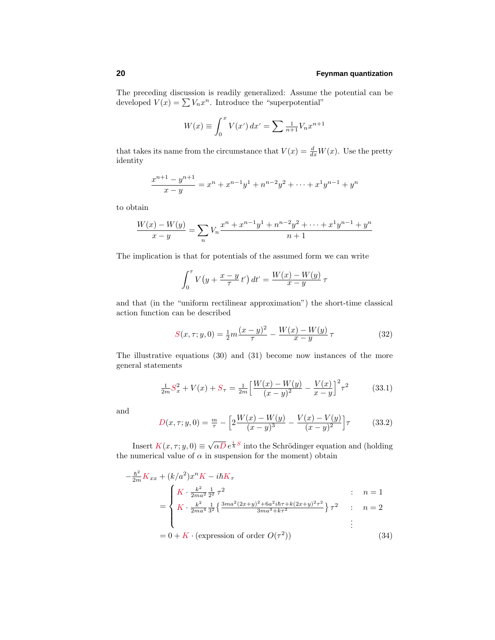The preceding discussion is readily generalized: Assume the potential can be developed  $V(x) = \sum V_n x^n$ . Introduce the "superpotential"

$$
W(x) \equiv \int_0^x V(x') dx' = \sum \frac{1}{n+1} V_n x^{n+1}
$$

that takes its name from the circumstance that  $V(x) = \frac{d}{dx}W(x)$ . Use the pretty identity

$$
\frac{x^{n+1} - y^{n+1}}{x - y} = x^n + x^{n-1}y^1 + n^{n-2}y^2 + \dots + x^1y^{n-1} + y^n
$$

to obtain

$$
\frac{W(x) - W(y)}{x - y} = \sum_{n} V_n \frac{x^n + x^{n-1}y^1 + x^{n-2}y^2 + \dots + x^1y^{n-1} + y^n}{n+1}
$$

The implication is that for potentials of the assumed form we can write

$$
\int_0^{\tau} V(y + \frac{x - y}{\tau} t') dt' = \frac{W(x) - W(y)}{x - y} \tau
$$

and that (in the "uniform rectilinear approximation") the short-time classical action function can be described

$$
S(x, \tau; y, 0) = \frac{1}{2}m\frac{(x - y)^2}{\tau} - \frac{W(x) - W(y)}{x - y}\tau
$$
 (32)

The illustrative equations (30) and (31) become now instances of the more general statements

$$
\frac{1}{2m}S_x^2 + V(x) + S_\tau = \frac{1}{2m} \left[ \frac{W(x) - W(y)}{(x - y)^2} - \frac{V(x)}{x - y} \right]^2 \tau^2 \tag{33.1}
$$

and

$$
D(x, \tau; y, 0) = \frac{m}{\tau} - \left[ 2\frac{W(x) - W(y)}{(x - y)^3} - \frac{V(x) - V(y)}{(x - y)^2} \right] \tau \tag{33.2}
$$

Insert  $K(x, \tau; y, 0) \equiv \sqrt{\alpha D} e^{\frac{i}{\hbar}S}$  into the Schrödinger equation and (holding the numerical value of  $\alpha$  in suspension for the moment) obtain

$$
-\frac{\hbar^2}{2m}K_{xx} + (k/a^2)x^n K - i\hbar K_{\tau}
$$
  
\n
$$
= \begin{cases}\nK \cdot \frac{k^2}{2ma^2} \frac{1}{2^2} \tau^2 & : n = 1 \\
K \cdot \frac{k^2}{2ma^4} \frac{1}{3^2} \left\{ \frac{3ma^2(2x+y)^2 + 6a^2i\hbar\tau + k(2x+y)^2\tau^2}{3ma^3 + k\tau^2} \right\} \tau^2 & : n = 2 \\
& \vdots \\
= 0 + K \cdot (\text{expression of order } O(\tau^2)) & (34)\n\end{cases}
$$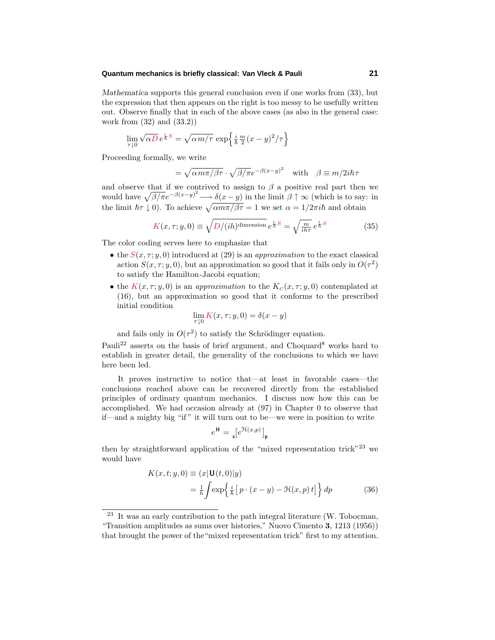#### **Quantum mechanics is briefly classical: Van Vleck & Pauli 21**

*Mathematica* supports this general conclusion even if one works from (33), but the expression that then appears on the right is too messy to be usefully written out. Observe finally that in each of the above cases (as also in the general case: work from (32) and (33.2))

$$
\lim_{\tau \downarrow 0} \sqrt{\alpha D} e^{\frac{i}{\hbar}S} = \sqrt{\alpha m/\tau} \, \exp\left{\frac{i}{\hbar} \frac{m}{2} (x - y)^2 / \tau\right}
$$

Proceeding formally, we write

$$
= \sqrt{\alpha m \pi/\beta \tau} \cdot \sqrt{\beta/\pi} e^{-\beta(x-y)^2} \quad \text{with} \quad \beta \equiv m/2i\hbar\tau
$$

and observe that if we contrived to assign to  $\beta$  a positive real part then we would have  $\sqrt{\beta/\pi}e^{-\beta(x-y)^2} \longrightarrow \underline{\delta(x-y)}$  in the limit  $\beta \uparrow \infty$  (which is to say: in the limit  $\hbar \tau \downarrow 0$ ). To achieve  $\sqrt{\alpha m \pi/\beta \tau} = 1$  we set  $\alpha = 1/2\pi i \hbar$  and obtain

$$
K(x, \tau; y, 0) \equiv \sqrt{D/(ih)^{\text{dimension}}} \, e^{\frac{i}{\hbar}S} = \sqrt{\frac{m}{ih\tau}} \, e^{\frac{i}{\hbar}S} \tag{35}
$$

The color coding serves here to emphasize that

- the  $S(x, \tau; y, 0)$  introduced at (29) is an *approximation* to the exact classical action  $S(x, \tau; y, 0)$ , but an approximation so good that it fails only in  $O(\tau^2)$ to satisfy the Hamilton-Jacobi equation;
- the  $K(x, \tau; y, 0)$  is an *approximation* to the  $K_c(x, \tau; y, 0)$  contemplated at (16), but an approximation so good that it conforms to the prescribed initial condition

$$
\lim_{\tau \downarrow 0} K(x, \tau; y, 0) = \delta(x - y)
$$

and fails only in  $O(\tau^2)$  to satisfy the Schrödinger equation.

Pauli<sup>22</sup> asserts on the basis of brief argument, and Choquard<sup>8</sup> works hard to establish in greater detail, the generality of the conclusions to which we have here been led.

It proves instructive to notice that—at least in favorable cases—the conclusions reached above can be recovered directly from the established principles of ordinary quantum mechanics. I discuss now how this can be accomplished. We had occasion already at (97) in Chapter 0 to observe that if—and a mighty big "if " it will turn out to be—we were in position to write

$$
e^{\mathbf{H}} = \mathbf{x} \left[ e^{\mathcal{H}(x,p)} \right]_{\mathbf{p}}
$$

then by straightforward application of the "mixed representation trick"<sup>23</sup> we would have

$$
K(x, t; y, 0) \equiv (x|\mathbf{U}(t, 0)|y)
$$
  
=  $\frac{1}{\hbar} \int \exp\left\{\frac{i}{\hbar} \left[p \cdot (x - y) - \mathcal{H}(x, p) t\right]\right\} dp$  (36)

 $23$  It was an early contribution to the path integral literature (W. Tobocman, "Transition amplitudes as sums over histories," Nuovo Cimento **3**, 1213 (1956)) that brought the power of the"mixed representation trick" first to my attention.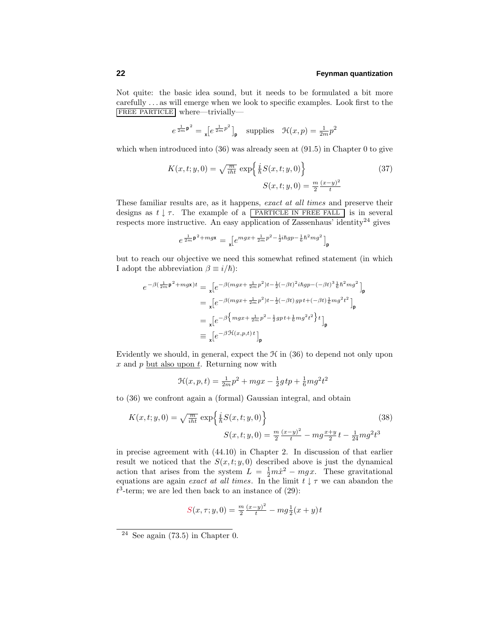Not quite: the basic idea sound, but it needs to be formulated a bit more carefully *...* as will emerge when we look to specific examples. Look first to the FREE PARTICLE where—trivially—

$$
e^{\frac{1}{2m}\mathbf{p}^2} = \mathbf{x} \left[e^{\frac{1}{2m}p^2}\right]_{\mathbf{p}} \quad \text{supplies} \quad \mathcal{H}(x,p) = \frac{1}{2m}p^2
$$

which when introduced into (36) was already seen at (91.5) in Chapter 0 to give

$$
K(x, t; y, 0) = \sqrt{\frac{m}{iht}} \exp\left\{\frac{i}{\hbar}S(x, t; y, 0)\right\}
$$
  

$$
S(x, t; y, 0) = \frac{m}{2}\frac{(x - y)^2}{t}
$$
 (37)

These familiar results are, as it happens, exact at all times and preserve their designs as  $t \downarrow \tau$ . The example of a **PARTICLE IN FREE FALL** is in several respects more instructive. An easy application of Zassenhaus' identity<sup>24</sup> gives

$$
e^{\frac{1}{2m}\mathbf{p}^2+mg\mathbf{x}}=\mathrm{x}[e^{mgx+\frac{1}{2m}p^2-\frac{1}{2}i\hbar gp-\frac{1}{6}\hbar^2 mg^2}]_{\mathbf{p}}
$$

but to reach our objective we need this somewhat refined statement (in which I adopt the abbreviation  $\beta \equiv i/\hbar$ :

$$
e^{-\beta(\frac{1}{2m}\mathbf{p}^{2}+m g\mathbf{x})t} = \mathbf{x} \left[e^{-\beta(mgx+\frac{1}{2m}p^{2})t-\frac{1}{2}(-\beta t)^{2}i\hbar gp - (-\beta t)^{3}\frac{1}{6}\hbar^{2}mg^{2}}\right]_{\mathbf{p}}
$$
  
\n
$$
= \mathbf{x} \left[e^{-\beta(mgx+\frac{1}{2m}p^{2})t-\frac{1}{2}(-\beta t)gp t + (-\beta t)\frac{1}{6}mg^{2}t^{2}}\right]_{\mathbf{p}}
$$
  
\n
$$
= \mathbf{x} \left[e^{-\beta\left\{mgx+\frac{1}{2m}p^{2}-\frac{1}{2}gp t+\frac{1}{6}mg^{2}t^{2}\right\}t}\right]_{\mathbf{p}}
$$
  
\n
$$
\equiv \mathbf{x} \left[e^{-\beta\mathcal{H}(x,p,t)t}\right]_{\mathbf{p}}
$$

Evidently we should, in general, expect the  $\mathcal H$  in (36) to depend not only upon *x* and *p* but also upon *t*. Returning now with

$$
\mathcal{H}(x,p,t)=\tfrac{1}{2m}p^2+mgx-\tfrac{1}{2}g\,tp+\tfrac{1}{6}mg^2t^2
$$

to (36) we confront again a (formal) Gaussian integral, and obtain

$$
K(x, t; y, 0) = \sqrt{\frac{m}{iht}} \exp\left\{\frac{i}{\hbar}S(x, t; y, 0)\right\}
$$
(38)  

$$
S(x, t; y, 0) = \frac{m}{2}\frac{(x - y)^2}{t} - mg\frac{x + y}{2}t - \frac{1}{24}mg^2t^3
$$

in precise agreement with (44.10) in Chapter 2. In discussion of that earlier result we noticed that the  $S(x, t; y, 0)$  described above is just the dynamical action that arises from the system  $L = \frac{1}{2}m\dot{x}^2 - mgx$ . These gravitational equations are again *exact at all times*. In the limit  $t \downarrow \tau$  we can abandon the  $t^3$ -term; we are led then back to an instance of  $(29)$ :

$$
S(x, \tau; y, 0) = \frac{m}{2} \frac{(x-y)^2}{t} - mg\frac{1}{2}(x+y)t
$$

 $24$  See again (73.5) in Chapter 0.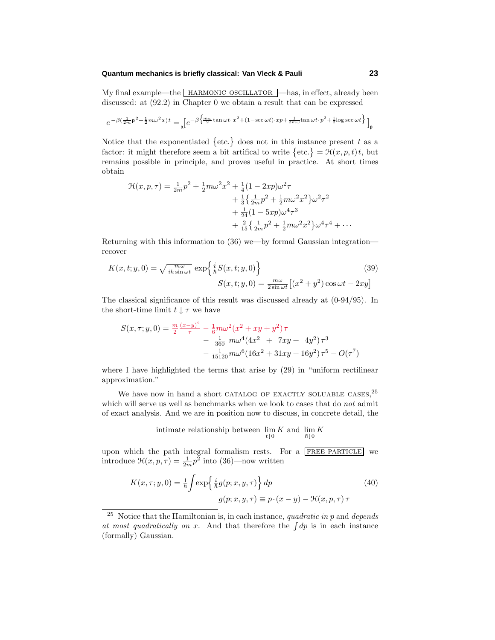#### **Quantum mechanics is briefly classical: Van Vleck & Pauli 23**

 $My final example—the$   $HARMONIC$   $OSCILLATOR$  —has, in effect, already been discussed: at (92.2) in Chapter 0 we obtain a result that can be expressed

$$
e^{-\beta(\frac{1}{2m}\mathbf{p}^2+\frac{1}{2}m\omega^2\mathbf{x})t} = \mathbf{x} \left[ e^{-\beta\left\{\frac{m\omega}{2}\tan\omega t \cdot x^2 + (1-\sec\omega t) \cdot xp + \frac{1}{2m\omega}\tan\omega t \cdot p^2 + \frac{1}{2}\log\sec\omega t\right\}} \right]_{\mathbf{p}}
$$

Notice that the exponentiated  $\{\text{etc.}\}\)$  does not in this instance present  $t$  as a factor: it might therefore seem a bit artifical to write  $\{\text{etc.}\} = \mathcal{H}(x, p, t)t$ , but remains possible in principle, and proves useful in practice. At short times obtain

$$
\mathcal{H}(x, p, \tau) = \frac{1}{2m}p^2 + \frac{1}{2}m\omega^2 x^2 + \frac{1}{4}(1 - 2xp)\omega^2 \tau \n+ \frac{1}{3}\left{\frac{1}{2m}p^2 + \frac{1}{2}m\omega^2 x^2\right}\omega^2 \tau^2 \n+ \frac{1}{24}(1 - 5xp)\omega^4 \tau^3 \n+ \frac{2}{15}\left{\frac{1}{2m}p^2 + \frac{1}{2}m\omega^2 x^2\right}\omega^4 \tau^4 + \cdots
$$

Returning with this information to (36) we—by formal Gaussian integration recover

$$
K(x,t;y,0) = \sqrt{\frac{m\omega}{ih\sin\omega t}} \exp\left\{\frac{i}{\hbar}S(x,t;y,0)\right\}
$$
  

$$
S(x,t;y,0) = \frac{m\omega}{2\sin\omega t} \left[ (x^2 + y^2)\cos\omega t - 2xy \right]
$$
 (39)

The classical significance of this result was discussed already at (0-94/95). In the short-time limit  $t \downarrow \tau$  we have

$$
S(x, \tau; y, 0) = \frac{m}{2} \frac{(x - y)^2}{\tau} - \frac{1}{6} m \omega^2 (x^2 + xy + y^2) \tau
$$
  
- 
$$
\frac{1}{360} m \omega^4 (4x^2 + 7xy + 4y^2) \tau^3
$$
  
- 
$$
\frac{1}{15120} m \omega^6 (16x^2 + 31xy + 16y^2) \tau^5 - O(\tau^7)
$$

where I have highlighted the terms that arise by (29) in "uniform rectilinear approximation."

We have now in hand a short CATALOG OF EXACTLY SOLUABLE CASES,  $^{25}$ which will serve us well as benchmarks when we look to cases that do not admit of exact analysis. And we are in position now to discuss, in concrete detail, the

in  
timate relationship between 
$$
\lim_{t\downarrow 0}K
$$
 and  
  $\lim_{\hbar\downarrow 0}K$ 

upon which the path integral formalism rests. For a FREE PARTICLE we introduce  $\mathcal{H}(x, p, \tau) = \frac{1}{2m}p^2$  into (36)—now written

$$
K(x,\tau;y,0) = \frac{1}{h} \int \exp\left\{\frac{i}{h}g(p;x,y,\tau)\right\} dp
$$
  
 
$$
g(p;x,y,\tau) \equiv p \cdot (x-y) - \mathcal{H}(x,p,\tau)\tau
$$
 (40)

<sup>&</sup>lt;sup>25</sup> Notice that the Hamiltonian is, in each instance, quadratic in  $p$  and depends at most quadratically on  $x$ . And that therefore the  $\int dp$  is in each instance (formally) Gaussian.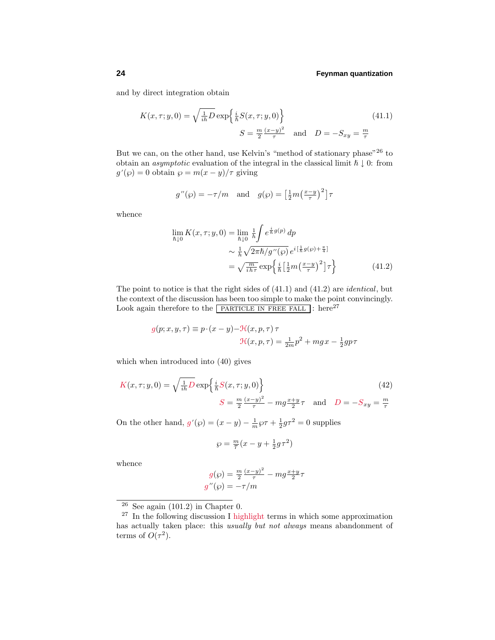and by direct integration obtain

$$
K(x, \tau; y, 0) = \sqrt{\frac{1}{ih} D} \exp\left\{\frac{i}{\hbar} S(x, \tau; y, 0)\right\}
$$
  
 
$$
S = \frac{m}{2} \frac{(x - y)^2}{\tau} \text{ and } D = -S_{xy} = \frac{m}{\tau}
$$
 (41.1)

But we can, on the other hand, use Kelvin's "method of stationary phase"<sup>26</sup> to obtain an *asymptotic* evaluation of the integral in the classical limit  $\hbar \downarrow 0$ : from  $g'(\wp) = 0$  obtain  $\wp = m(x - y)/\tau$  giving

$$
g''(\wp) = -\tau/m
$$
 and  $g(\wp) = \left[\frac{1}{2}m\left(\frac{x-y}{\tau}\right)^2\right]\tau$ 

whence

$$
\lim_{\hbar \downarrow 0} K(x, \tau; y, 0) = \lim_{\hbar \downarrow 0} \frac{1}{h} \int e^{\frac{i}{h}g(p)} dp
$$
\n
$$
\sim \frac{1}{h} \sqrt{2\pi \hbar / g''(\wp)} e^{i\left[\frac{1}{h}g(\wp) + \frac{\pi}{4}\right]}
$$
\n
$$
= \sqrt{\frac{m}{ih\tau}} \exp\left\{\frac{i}{h} \left[\frac{1}{2}m\left(\frac{x-y}{\tau}\right)^2\right] \tau\right\} \tag{41.2}
$$

The point to notice is that the right sides of (41.1) and (41.2) are identical, but the context of the discussion has been too simple to make the point convincingly. Look again therefore to the **PARTICLE IN FREE FALL** : here<sup>27</sup>

$$
g(p; x, y, \tau) \equiv p \cdot (x - y) - \mathcal{H}(x, p, \tau) \tau
$$

$$
\mathcal{H}(x, p, \tau) = \frac{1}{2m}p^2 + mgx - \frac{1}{2}gp\tau
$$

which when introduced into (40) gives

$$
K(x, \tau; y, 0) = \sqrt{\frac{1}{ih} D} \exp\left\{\frac{i}{\hbar} S(x, \tau; y, 0)\right\}
$$
(42)  

$$
S = \frac{m}{2} \frac{(x - y)^2}{\tau} - mg \frac{x + y}{2} \tau \text{ and } D = -S_{xy} = \frac{m}{\tau}
$$

On the other hand,  $g'(\wp) = (x - y) - \frac{1}{m}\wp \tau + \frac{1}{2}g\tau^2 = 0$  supplies

$$
\wp = \frac{m}{\tau} (x - y + \frac{1}{2} g \tau^2)
$$

whence

$$
g(\wp) = \frac{m}{2} \frac{(x-y)^2}{\tau} - mg \frac{x+y}{2} \tau
$$

$$
g''(\wp) = -\tau/m
$$

 $\frac{26}{25}$  See again (101.2) in Chapter 0.

<sup>&</sup>lt;sup>27</sup> In the following discussion I highlight terms in which some approximation has actually taken place: this *usually but not always* means abandonment of terms of  $O(\tau^2)$ .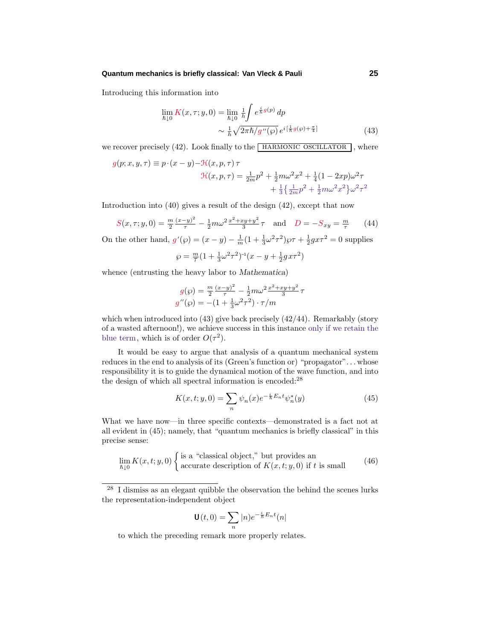#### **Quantum mechanics is briefly classical: Van Vleck & Pauli 25**

Introducing this information into

$$
\lim_{\hbar \downarrow 0} K(x, \tau; y, 0) = \lim_{\hbar \downarrow 0} \frac{1}{h} \int e^{\frac{i}{h}g(p)} dp
$$
  
 
$$
\sim \frac{1}{h} \sqrt{2\pi \hbar / g''(\wp)} e^{i\left[\frac{1}{h}g(\wp) + \frac{\pi}{4}\right]}
$$
(43)

we recover precisely  $(42)$ . Look finally to the **HARMONIC OSCILLATOR**, where

$$
g(p; x, y, \tau) \equiv p \cdot (x - y) - \mathcal{H}(x, p, \tau) \tau
$$
  

$$
\mathcal{H}(x, p, \tau) = \frac{1}{2m} p^2 + \frac{1}{2} m \omega^2 x^2 + \frac{1}{4} (1 - 2xp) \omega^2 \tau
$$
  

$$
+ \frac{1}{3} \left\{ \frac{1}{2m} p^2 + \frac{1}{2} m \omega^2 x^2 \right\} \omega^2 \tau^2
$$

Introduction into (40) gives a result of the design (42), except that now

 $S(x, \tau; y, 0) = \frac{m}{2} \frac{(x-y)^2}{\tau} - \frac{1}{2} m \omega^2 \frac{x^2 + xy + y^2}{3} \tau$  and  $D = -S_{xy} = \frac{m}{\tau}$ *<sup>τ</sup>* (44) On the other hand,  $g'(\varphi) = (x - y) - \frac{1}{m}(1 + \frac{1}{3}\omega^2\tau^2)\varphi\tau + \frac{1}{2}gx\tau^2 = 0$  supplies

$$
\wp = \frac{m}{\tau} (1 + \frac{1}{3} \omega^2 \tau^2)^{-1} (x - y + \frac{1}{2} g x \tau^2)
$$

whence (entrusting the heavy labor to *Mathematica*)

$$
g(\wp) = \frac{m}{2} \frac{(x-y)^2}{\tau} - \frac{1}{2} m \omega^2 \frac{x^2 + xy + y^2}{3} \tau
$$
  

$$
g''(\wp) = -(1 + \frac{1}{3} \omega^2 \tau^2) \cdot \tau/m
$$

which when introduced into (43) give back precisely (42/44). Remarkably (story of a wasted afternoon!), we achieve success in this instance only if we retain the blue term, which is of order  $O(\tau^2)$ .

It would be easy to argue that analysis of a quantum mechanical system reduces in the end to analysis of its (Green's function or) "propagator"*...* whose responsibility it is to guide the dynamical motion of the wave function, and into the design of which all spectral information is encoded: $^{28}$ 

$$
K(x, t; y, 0) = \sum_{n} \psi_n(x) e^{-\frac{i}{\hbar} E_n t} \psi_n^*(y)
$$
 (45)

What we have now—in three specific contexts—demonstrated is a fact not at all evident in (45); namely, that "quantum mechanics is briefly classical" in this precise sense:

$$
\lim_{\hbar \downarrow 0} K(x, t; y, 0) \begin{cases} \text{ is a "classical object," but provides an} \\ \text{accurate description of } K(x, t; y, 0) \text{ if } t \text{ is small} \end{cases} \tag{46}
$$

$$
\mathbf{U}(t,0) = \sum_{n} |n)e^{-\frac{i}{\hbar}E_{n}t}(n|)
$$

to which the preceding remark more properly relates.

<sup>28</sup> I dismiss as an elegant quibble the observation the behind the scenes lurks the representation-independent object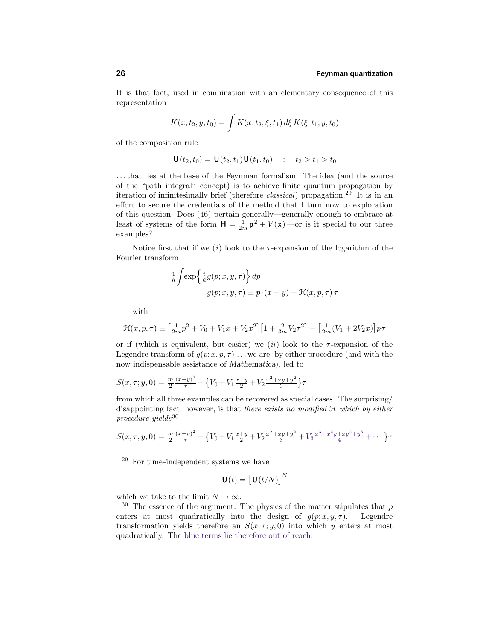It is that fact, used in combination with an elementary consequence of this representation

$$
K(x, t_2; y, t_0) = \int K(x, t_2; \xi, t_1) d\xi K(\xi, t_1; y, t_0)
$$

of the composition rule

$$
\mathbf{U}(t_2, t_0) = \mathbf{U}(t_2, t_1) \mathbf{U}(t_1, t_0) \quad : \quad t_2 > t_1 > t_0
$$

*...*that lies at the base of the Feynman formalism. The idea (and the source of the "path integral" concept) is to achieve finite quantum propagation by iteration of infinitesimally brief (therefore *classical*) propagation.<sup>29</sup> It is in an effort to secure the credentials of the method that I turn now to exploration of this question: Does (46) pertain generally—generally enough to embrace at least of systems of the form  $H = \frac{1}{2m} p^2 + V(x)$  —or is it special to our three examples?

Notice first that if we (i) look to the  $\tau$ -expansion of the logarithm of the Fourier transform

$$
\frac{1}{h} \int \exp\left\{\frac{i}{h}g(p;x,y,\tau)\right\} dp
$$

$$
g(p;x,y,\tau) \equiv p \cdot (x-y) - \mathcal{H}(x,p,\tau) \tau
$$

with

$$
\mathcal{H}(x,p,\tau) \equiv \left[ \tfrac{1}{2m} p^2 + V_0 + V_1 x + V_2 x^2 \right] \left[ 1 + \tfrac{2}{3m} V_2 \tau^2 \right] - \left[ \tfrac{1}{2m} (V_1 + 2 V_2 x) \right] p \tau
$$

or if (which is equivalent, but easier) we (ii) look to the *τ* -expansion of the Legendre transform of  $g(p; x, p, \tau)$   $\dots$  we are, by either procedure (and with the now indispensable assistance of *Mathematica*), led to

$$
S(x, \tau; y, 0) = \frac{m}{2} \frac{(x - y)^2}{\tau} - \left\{ V_0 + V_1 \frac{x + y}{2} + V_2 \frac{x^2 + xy + y^2}{3} \right\} \tau
$$

from which all three examples can be recovered as special cases. The surprising/ disappointing fact, however, is that there exists no modified  $H$  which by either procedure yields $30$ 

$$
S(x, \tau; y, 0) = \frac{m}{2} \frac{(x-y)^2}{\tau} - \left\{ V_0 + V_1 \frac{x+y}{2} + V_2 \frac{x^2 + xy + y^2}{3} + V_3 \frac{x^3 + x^2y + xy^2 + y^3}{4} + \dots \right\} \tau
$$

 $^{29}\,$  For time-independent systems we have

$$
\mathbf{U}\left( t\right) =\left[ \,\mathbf{U}\left( t/N\right) \right] ^{N}
$$

which we take to the limit *N* → ∞.<br><sup>30</sup> The essence of the argument: The physics of the matter stipulates that *p* enters at most quadratically into the design of  $g(p; x, y, \tau)$ . Legendre transformation yields therefore an  $S(x, \tau; y, 0)$  into which *y* enters at most quadratically. The blue terms lie therefore out of reach.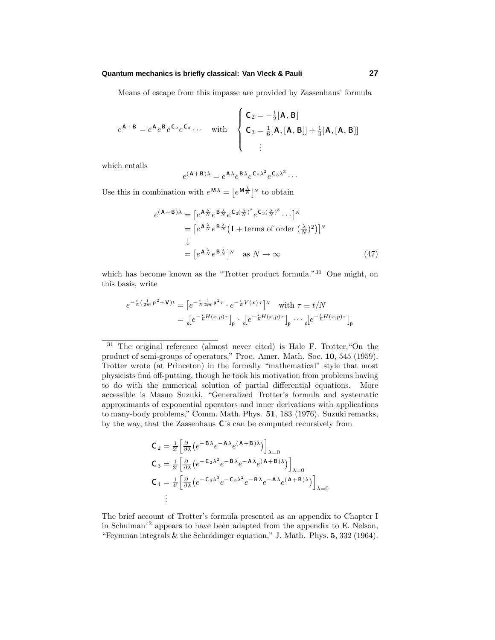#### **Quantum mechanics is briefly classical: Van Vleck & Pauli 27**

Means of escape from this impasse are provided by Zassenhaus' formula

$$
e^{\mathbf{A}+\mathbf{B}} = e^{\mathbf{A}}e^{\mathbf{B}}e^{\mathbf{C}_2}e^{\mathbf{C}_3}\cdots \text{ with }\begin{cases} \mathbf{C}_2 = -\frac{1}{2}[\mathbf{A}, \mathbf{B}] \\ \mathbf{C}_3 = \frac{1}{6}[\mathbf{A}, [\mathbf{A}, \mathbf{B}]] + \frac{1}{3}[\mathbf{A}, [\mathbf{A}, \mathbf{B}]] \\ \vdots \end{cases}
$$

which entails

$$
e^{(\mathbf{A}+\mathbf{B})\lambda} = e^{\mathbf{A}\lambda}e^{\mathbf{B}\lambda}e^{\mathbf{C}_2\lambda^2}e^{\mathbf{C}_3\lambda^3}\cdots
$$

Use this in combination with  $e^{M\lambda} = \left[e^{M\frac{\lambda}{N}}\right]^{N}$  to obtain

$$
e^{(\mathbf{A} + \mathbf{B})\lambda} = \left[e^{\mathbf{A} \frac{\lambda}{N}} e^{\mathbf{B} \frac{\lambda}{N}} e^{\mathbf{C}_2 (\frac{\lambda}{N})^2} e^{\mathbf{C}_3 (\frac{\lambda}{N})^3} \cdots\right]^N
$$
  
\n
$$
= \left[e^{\mathbf{A} \frac{\lambda}{N}} e^{\mathbf{B} \frac{\lambda}{N}} \left(1 + \text{terms of order } (\frac{\lambda}{N})^2\right)\right]^N
$$
  
\n
$$
\downarrow
$$
  
\n
$$
= \left[e^{\mathbf{A} \frac{\lambda}{N}} e^{\mathbf{B} \frac{\lambda}{N}}\right]^N \quad \text{as } N \to \infty
$$
 (47)

which has become known as the "Trotter product formula."<sup>31</sup> One might, on this basis, write

$$
e^{-\frac{i}{\hbar}(\frac{1}{2m}\mathbf{p}^2+\mathbf{V})t} = \left[e^{-\frac{i}{\hbar}\frac{1}{2m}\mathbf{p}^2\tau} \cdot e^{-\frac{i}{\hbar}V(\mathbf{x})\tau}\right]^N \text{ with } \tau \equiv t/N
$$

$$
= \left[e^{-\frac{i}{\hbar}H(x,p)\tau}\right]_{\mathbf{p}} \cdot \left[e^{-\frac{i}{\hbar}H(x,p)\tau}\right]_{\mathbf{p}} \cdots \left[e^{-\frac{i}{\hbar}H(x,p)\tau}\right]_{\mathbf{p}}
$$

$$
C_2 = \frac{1}{2!} \left[ \frac{\partial}{\partial \lambda} \left( e^{-B\lambda} e^{-A\lambda} e^{(A+B)\lambda} \right) \right]_{\lambda=0}
$$
  
\n
$$
C_3 = \frac{1}{3!} \left[ \frac{\partial}{\partial \lambda} \left( e^{-C_2\lambda^2} e^{-B\lambda} e^{-A\lambda} e^{(A+B)\lambda} \right) \right]_{\lambda=0}
$$
  
\n
$$
C_4 = \frac{1}{4!} \left[ \frac{\partial}{\partial \lambda} \left( e^{-C_3\lambda^3} e^{-C_2\lambda^2} e^{-B\lambda} e^{-A\lambda} e^{(A+B)\lambda} \right) \right]_{\lambda=0}
$$
  
\n
$$
\vdots
$$

The brief account of Trotter's formula presented as an appendix to Chapter I in Schulman<sup>12</sup> appears to have been adapted from the appendix to E. Nelson, "Feynman integrals & the Schrödinger equation," J. Math. Phys. **5**, 332 (1964).

<sup>31</sup> The original reference (almost never cited) is Hale F. Trotter,"On the product of semi-groups of operators," Proc. Amer. Math. Soc. **10**, 545 (1959). Trotter wrote (at Princeton) in the formally "mathematical" style that most physicists find off-putting, though he took his motivation from problems having to do with the numerical solution of partial differential equations. More accessible is Masuo Suzuki, "Generalized Trotter's formula and systematic approximants of exponential operators and inner derivations with applications to many-body problems," Comm. Math. Phys. **51**, 183 (1976). Suzuki remarks, by the way, that the Zassenhaus **C**'s can be computed recursively from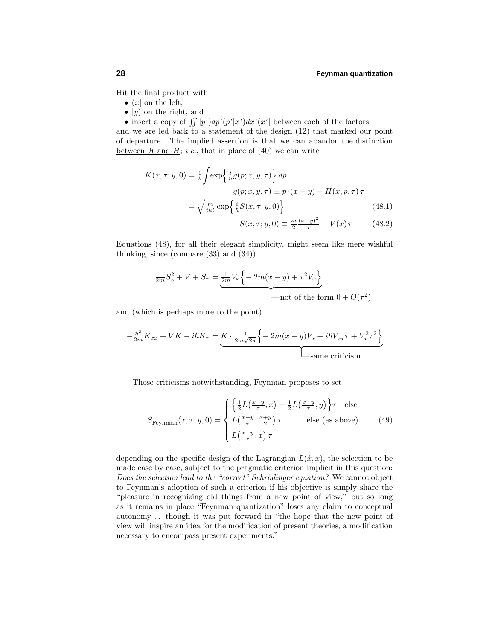Hit the final product with

- $\bullet$  (*x*| on the left,
- $|y|$  on the right, and

• insert a copy of  $\iint |p'| dp' (p'|x') dx' (x'|)$  between each of the factors and we are led back to a statement of the design (12) that marked our point of departure. The implied assertion is that we can abandon the distinction between  $\mathcal{H}$  and  $H$ ; *i.e.*, that in place of (40) we can write

$$
K(x,\tau;y,0) = \frac{1}{h} \int \exp\left\{\frac{i}{h}g(p;x,y,\tau)\right\} dp
$$

$$
g(p;x,y,\tau) \equiv p \cdot (x-y) - H(x,p,\tau)\tau
$$

$$
= \sqrt{\frac{m}{iht}} \exp\left\{\frac{i}{h}S(x,\tau;y,0)\right\}
$$
(48.1)
$$
S(x,\tau;y,0) \equiv \frac{m}{2} \frac{(x-y)^2}{\tau} - V(x)\tau
$$
(48.2)

Equations (48), for all their elegant simplicity, might seem like mere wishful thinking, since (compare (33) and (34))

$$
\frac{1}{2m}S_x^2 + V + S_\tau = \underbrace{\frac{1}{2m}V_x \left\{-2m(x-y) + \tau^2 V_x\right\}}_{\text{not of the form } 0 + O(\tau^2)}
$$

and (which is perhaps more to the point)

$$
-\frac{\hbar^2}{2m}K_{xx} + VK - i\hbar K_{\tau} = K \cdot \frac{1}{2m\sqrt{2\pi}} \left\{-2m(x-y)V_x + i\hbar V_{xx}\tau + V_x^2\tau^2\right\}
$$
  
same criticism

Those criticisms notwithstanding, Feynman proposes to set

$$
S_{\text{Feynman}}(x,\tau;y,0) = \begin{cases} \left\{ \frac{1}{2}L\left(\frac{x-y}{\tau},x\right) + \frac{1}{2}L\left(\frac{x-y}{\tau},y\right) \right\} \tau & \text{else} \\ L\left(\frac{x-y}{\tau},\frac{x+y}{2}\right)\tau & \text{else (as above)} \end{cases} \tag{49}
$$

depending on the specific design of the Lagrangian  $L(x, x)$ , the selection to be made case by case, subject to the pragmatic criterion implicit in this question: Does the selection lead to the "correct" Schrödinger equation? We cannot object to Feynman's adoption of such a criterion if his objective is simply share the "pleasure in recognizing old things from a new point of view," but so long as it remains in place "Feynman quantization" loses any claim to conceptual autonomy *...*though it was put forward in "the hope that the new point of view will inspire an idea for the modification of present theories, a modification necessary to encompass present experiments."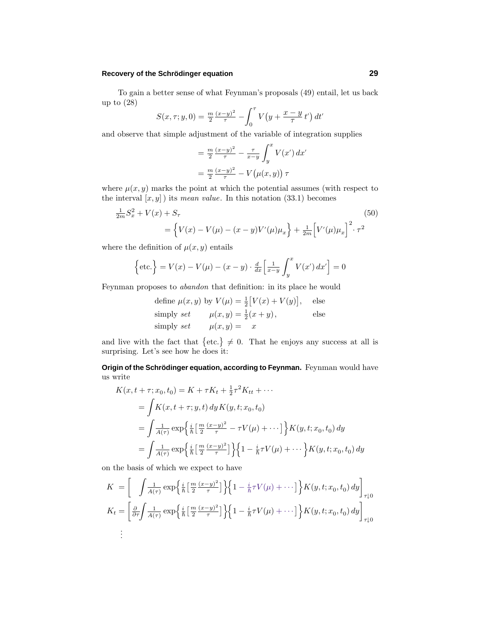# **Recovery of the Schrodinger equation ¨ 29**

To gain a better sense of what Feynman's proposals (49) entail, let us back up to (28)

$$
S(x, \tau; y, 0) = \frac{m}{2} \frac{(x - y)^2}{\tau} - \int_0^{\tau} V\left(y + \frac{x - y}{\tau} t'\right) dt'
$$

and observe that simple adjustment of the variable of integration supplies

$$
= \frac{m}{2} \frac{(x-y)^2}{\tau} - \frac{\tau}{x-y} \int_y^x V(x') dx'
$$

$$
= \frac{m}{2} \frac{(x-y)^2}{\tau} - V(\mu(x,y)) \tau
$$

where  $\mu(x, y)$  marks the point at which the potential assumes (with respect to the interval  $[x, y]$  its *mean value*. In this notation  $(33.1)$  becomes

$$
\frac{1}{2m}S_x^2 + V(x) + S_\tau
$$
\n
$$
= \left\{ V(x) - V(\mu) - (x - y)V'(\mu)\mu_x \right\} + \frac{1}{2m} \left[ V'(\mu)\mu_x \right]^2 \cdot \tau^2
$$
\n(50)

where the definition of  $\mu(x, y)$  entails

$$
\left\{\text{etc.}\right\} = V(x) - V(\mu) - (x - y) \cdot \frac{d}{dx} \left[\frac{1}{x - y} \int_{y}^{x} V(x') dx'\right] = 0
$$

Feynman proposes to abandon that definition: in its place he would

define 
$$
\mu(x, y)
$$
 by  $V(\mu) = \frac{1}{2}[V(x) + V(y)]$ , else  
simply set  $\mu(x, y) = \frac{1}{2}(x + y)$ , else  
simply set  $\mu(x, y) = x$ 

and live with the fact that  $\{\text{etc.}\}\neq 0$ . That he enjoys any success at all is surprising. Let's see how he does it:

**Origin of the Schrödinger equation, according to Feynman.** Feynman would have us write

$$
K(x, t + \tau; x_0, t_0) = K + \tau K_t + \frac{1}{2}\tau^2 K_{tt} + \cdots
$$
  
\n
$$
= \int K(x, t + \tau; y, t) dy K(y, t; x_0, t_0)
$$
  
\n
$$
= \int \frac{1}{A(\tau)} \exp\left\{\frac{i}{\hbar} \left[\frac{m}{2} \frac{(x - y)^2}{\tau} - \tau V(\mu) + \cdots\right]\right\} K(y, t; x_0, t_0) dy
$$
  
\n
$$
= \int \frac{1}{A(\tau)} \exp\left\{\frac{i}{\hbar} \left[\frac{m}{2} \frac{(x - y)^2}{\tau}\right]\right\} \left\{1 - \frac{i}{\hbar} \tau V(\mu) + \cdots\right\} K(y, t; x_0, t_0) dy
$$

on the basis of which we expect to have

$$
K = \left[ \int \frac{1}{A(\tau)} \exp\left\{ \frac{i}{\hbar} \left[ \frac{m}{2} \frac{(x-y)^2}{\tau} \right] \right\} \left\{ 1 - \frac{i}{\hbar} \tau V(\mu) + \cdots \right\} K(y, t; x_0, t_0) dy \right]_{\tau \downarrow 0}
$$
  

$$
K_t = \left[ \frac{\partial}{\partial \tau} \int \frac{1}{A(\tau)} \exp\left\{ \frac{i}{\hbar} \left[ \frac{m}{2} \frac{(x-y)^2}{\tau} \right] \right\} \left\{ 1 - \frac{i}{\hbar} \tau V(\mu) + \cdots \right\} K(y, t; x_0, t_0) dy \right\}_{\tau \downarrow 0}
$$
  
: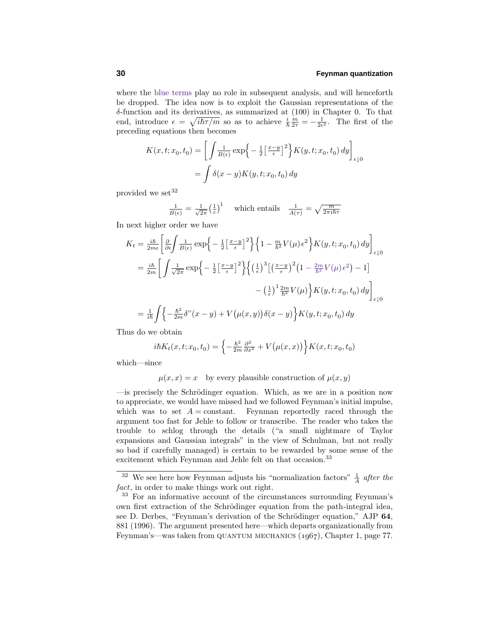where the blue terms play no role in subsequent analysis, and will henceforth be dropped. The idea now is to exploit the Gaussian representations of the *δ*-function and its derivatives, as summarized at (100) in Chapter 0. To that end, introduce  $\epsilon = \sqrt{i\hbar\tau/m}$  so as to achieve  $\frac{i}{\hbar} \frac{m}{2\tau} = -\frac{1}{2\epsilon^2}$ . The first of the preceding equations then becomes

$$
K(x, t; x_0, t_0) = \left[ \int \frac{1}{B(\epsilon)} \exp\left\{-\frac{1}{2} \left[\frac{x-y}{\epsilon}\right]^2\right\} K(y, t; x_0, t_0) dy \right]_{\epsilon \downarrow 0}
$$

$$
= \int \delta(x-y) K(y, t; x_0, t_0) dy
$$

provided we set  $32$ 

$$
\frac{1}{B(\epsilon)} = \frac{1}{\sqrt{2\pi}} \left(\frac{1}{\epsilon}\right)^1 \quad \text{which entails} \quad \frac{1}{A(\tau)} = \sqrt{\frac{m}{2\pi i \hbar \tau}}
$$

In next higher order we have

$$
K_t = \frac{i\hbar}{2m\epsilon} \left[ \frac{\partial}{\partial \epsilon} \int \frac{1}{B(\epsilon)} \exp\left\{-\frac{1}{2} \left[\frac{x-y}{\epsilon}\right]^2 \right\} \left\{1 - \frac{m}{\hbar^2} V(\mu) \epsilon^2 \right\} K(y, t; x_0, t_0) dy \right]_{\epsilon \downarrow 0}
$$
  
\n
$$
= \frac{i\hbar}{2m} \left[ \int \frac{1}{\sqrt{2\pi}} \exp\left\{-\frac{1}{2} \left[\frac{x-y}{\epsilon}\right]^2 \right\} \left(\frac{1}{\epsilon}\right)^3 \left[\left(\frac{x-y}{\epsilon}\right)^2 (1 - \frac{2m}{\hbar^2} V(\mu) \epsilon^2) - 1\right]
$$
  
\n
$$
- \left(\frac{1}{\epsilon}\right)^1 \frac{2m}{\hbar^2} V(\mu) \right\} K(y, t; x_0, t_0) dy \right]_{\epsilon \downarrow 0}
$$
  
\n
$$
= \frac{1}{i\hbar} \int \left\{-\frac{\hbar^2}{2m} \delta''(x - y) + V(\mu(x, y)) \delta(x - y) \right\} K(y, t; x_0, t_0) dy
$$

Thus do we obtain

$$
i\hbar K_t(x, t; x_0, t_0) = \left\{-\frac{\hbar^2}{2m} \frac{\partial^2}{\partial x^2} + V(\mu(x, x))\right\} K(x, t; x_0, t_0)
$$

which—since

 $\mu(x, x) = x$  by every plausible construction of  $\mu(x, y)$ 

—is precisely the Schrödinger equation. Which, as we are in a position now to appreciate, we would have missed had we followed Feynman's initial impulse, which was to set  $A = constant$ . Feynman reportedly raced through the argument too fast for Jehle to follow or transcribe. The reader who takes the trouble to schlog through the details ("a small nightmare of Taylor expansions and Gaussian integrals" in the view of Schulman, but not really so bad if carefully managed) is certain to be rewarded by some sense of the excitement which Feynman and Jehle felt on that occasion.<sup>33</sup>

<sup>&</sup>lt;sup>32</sup> We see here how Feynman adjusts his "normalization factors"  $\frac{1}{A}$  after the fact, in order to make things work out right.

<sup>33</sup> For an informative account of the circumstances surrounding Feynman's own first extraction of the Schrödinger equation from the path-integral idea, see D. Derbes, "Feynman's derivation of the Schrödinger equation," AJP 64, 881 (1996). The argument presented here—which departs organizationally from Feynman's—was taken from QUANTUM MECHANICS  $(1967)$ , Chapter 1, page 77.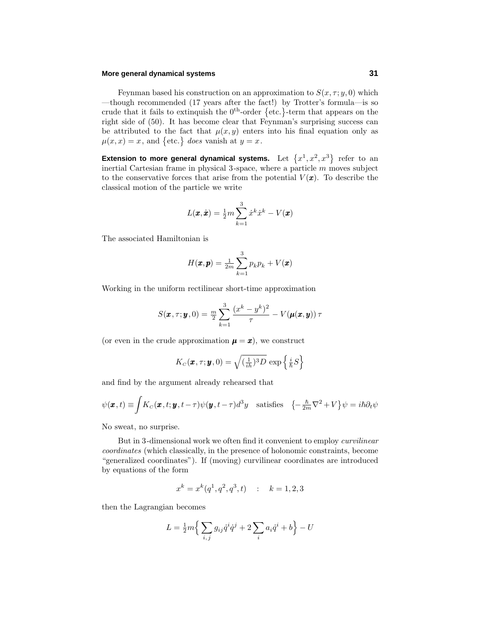# **More general dynamical systems 31**

Feynman based his construction on an approximation to  $S(x, \tau; y, 0)$  which —though recommended (17 years after the fact!) by Trotter's formula—is so crude that it fails to extinquish the  $0<sup>th</sup>$ -order {etc.}-term that appears on the right side of (50). It has become clear that Feynman's surprising success can be attributed to the fact that  $\mu(x, y)$  enters into his final equation only as  $\mu(x, x) = x$ , and {etc.} does vanish at  $y = x$ .

**Extension to more general dynamical systems.** Let  $\{x^1, x^2, x^3\}$  refer to an inertial Cartesian frame in physical 3-space, where a particle *m* moves subject to the conservative forces that arise from the potential  $V(\mathbf{x})$ . To describe the classical motion of the particle we write

$$
L(\pmb{x}, \dot{\pmb{x}}) = \frac{1}{2}m \sum_{k=1}^{3} \dot{x}^{k} \dot{x}^{k} - V(\pmb{x})
$$

The associated Hamiltonian is

$$
H(\pmb{x}, \pmb{p}) = \tfrac{1}{2m}\sum_{k=1}^3 p_k p_k + V(\pmb{x})
$$

Working in the uniform rectilinear short-time approximation

$$
S(\boldsymbol{x},\tau;\boldsymbol{y},0)=\frac{m}{2}\sum_{k=1}^3\frac{(x^k-y^k)^2}{\tau}-V(\boldsymbol{\mu}(\boldsymbol{x},\boldsymbol{y}))\,\tau
$$

(or even in the crude approximation  $\mu = x$ ), we construct

$$
K_C(\pmb{x}, \tau; \pmb{y}, 0) = \sqrt{(\frac{1}{ih})^3 D} \exp\left\{\frac{i}{\hbar} S\right\}
$$

and find by the argument already rehearsed that

$$
\psi(\boldsymbol{x},t) \equiv \int K_C(\boldsymbol{x},t;\boldsymbol{y},t-\tau)\psi(\boldsymbol{y},t-\tau)d^3y \quad \text{satisfies} \quad \left\{-\frac{\hbar}{2m}\nabla^2 + V\right\}\psi = i\hbar\partial_t\psi
$$

No sweat, no surprise.

But in 3-dimensional work we often find it convenient to employ curvilinear coordinates (which classically, in the presence of holonomic constraints, become "generalized coordinates"). If (moving) curvilinear coordinates are introduced by equations of the form

$$
x^k = x^k(q^1, q^2, q^3, t) \quad : \quad k = 1, 2, 3
$$

then the Lagrangian becomes

$$
L=\tfrac{1}{2}m\Big\{\sum_{i,j}g_{ij}\dot{q}^i\dot{q}^j+2\sum_ia_i\dot{q}^i+b\Big\}-U
$$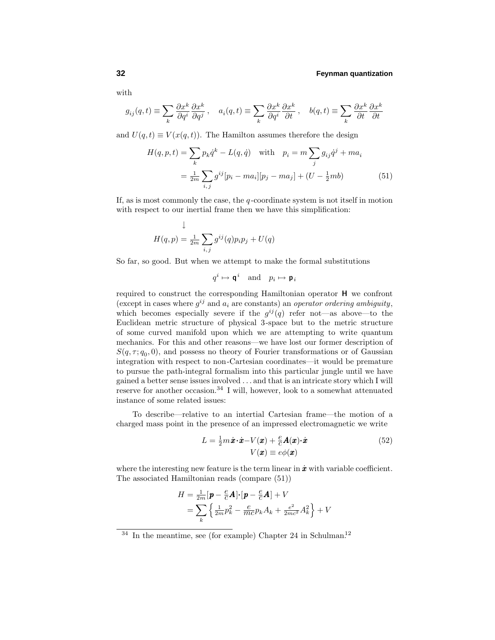with

$$
g_{ij}(q,t) \equiv \sum_{k} \frac{\partial x^{k}}{\partial q^{i}} \frac{\partial x^{k}}{\partial q^{j}}, \quad a_{i}(q,t) \equiv \sum_{k} \frac{\partial x^{k}}{\partial q^{i}} \frac{\partial x^{k}}{\partial t}, \quad b(q,t) \equiv \sum_{k} \frac{\partial x^{k}}{\partial t} \frac{\partial x^{k}}{\partial t}
$$

and  $U(q, t) \equiv V(x(q, t))$ . The Hamilton assumes therefore the design

$$
H(q, p, t) = \sum_{k} p_k \dot{q}^k - L(q, \dot{q}) \quad \text{with} \quad p_i = m \sum_{j} g_{ij} \dot{q}^j + ma_i
$$

$$
= \frac{1}{2m} \sum_{i,j} g^{ij} [p_i - ma_i][p_j - ma_j] + (U - \frac{1}{2}mb) \tag{51}
$$

If, as is most commonly the case, the *q* -coordinate system is not itself in motion with respect to our inertial frame then we have this simplification:

$$
H(q,p) = \frac{1}{2m} \sum_{i,j} g^{ij}(q) p_i p_j + U(q)
$$

So far, so good. But when we attempt to make the formal substitutions

$$
q^i \mapsto \mathbf{q}^i \quad \text{and} \quad p_i \mapsto \mathbf{p}_i
$$

required to construct the corresponding Hamiltonian operator **H** we confront (except in cases where  $g^{ij}$  and  $a_i$  are constants) an *operator ordering ambiguity*, which becomes especially severe if the  $g^{ij}(q)$  refer not—as above—to the Euclidean metric structure of physical 3-space but to the metric structure of some curved manifold upon which we are attempting to write quantum mechanics. For this and other reasons—we have lost our former description of  $S(q, \tau; q_0, 0)$ , and possess no theory of Fourier transformations or of Gaussian integration with respect to non-Cartesian coordinates—it would be premature to pursue the path-integral formalism into this particular jungle until we have gained a better sense issues involved *...* and that is an intricate story which I will reserve for another occasion.<sup>34</sup> I will, however, look to a somewhat attenuated instance of some related issues:

To describe—relative to an intertial Cartesian frame—the motion of a charged mass point in the presence of an impressed electromagnetic we write

$$
L = \frac{1}{2}m\dot{\boldsymbol{x}}\cdot\dot{\boldsymbol{x}} - V(\boldsymbol{x}) + \frac{e}{c}\boldsymbol{A}(\boldsymbol{x})\cdot\dot{\boldsymbol{x}}\qquad(52)
$$

$$
V(\boldsymbol{x}) \equiv e\phi(\boldsymbol{x})
$$

where the interesting new feature is the term linear in **x** with variable coefficient. The associated Hamiltonian reads (compare (51))

$$
H = \frac{1}{2m} \left[ \mathbf{p} - \frac{e}{c} \mathbf{A} \right] \cdot \left[ \mathbf{p} - \frac{e}{c} \mathbf{A} \right] + V
$$
  
= 
$$
\sum_{k} \left\{ \frac{1}{2m} p_k^2 - \frac{e}{mc} p_k A_k + \frac{e^2}{2mc^2} A_k^2 \right\} + V
$$

 $34$  In the meantime, see (for example) Chapter 24 in Schulman.<sup>12</sup>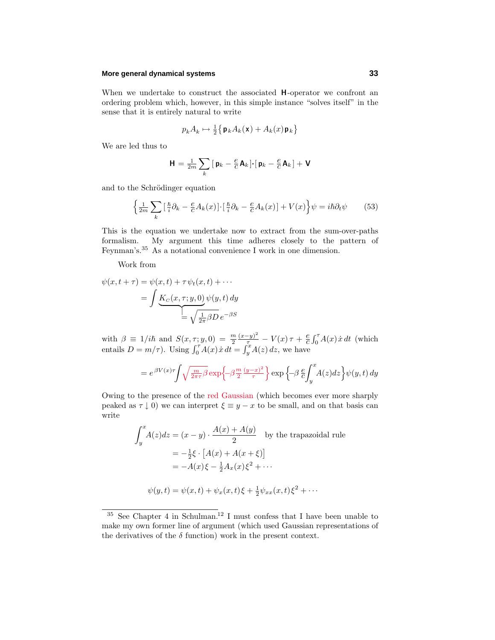# **More general dynamical systems 33**

When we undertake to construct the associated **H**-operator we confront an ordering problem which, however, in this simple instance "solves itself" in the sense that it is entirely natural to write

$$
p_k A_k \mapsto \frac{1}{2} \big\{ \mathbf{p}_k A_k(\mathbf{x}) + A_k(x) \mathbf{p}_k \big\}
$$

We are led thus to

$$
\mathbf{H} = \tfrac{1}{2m} \sum_k \big[ \, \mathbf{p}_k - \tfrac{e}{c} \, \mathbf{A}_k \big] \cdot \big[ \, \mathbf{p}_k - \tfrac{e}{c} \, \mathbf{A}_k \, \big] + \, \mathbf{V}
$$

and to the Schrödinger equation

$$
\left\{\frac{1}{2m}\sum_{k}\left[\frac{\hbar}{i}\partial_{k}-\frac{e}{c}A_{k}(x)\right]\cdot\left[\frac{\hbar}{i}\partial_{k}-\frac{e}{c}A_{k}(x)\right]+V(x)\right\}\psi=i\hbar\partial_{t}\psi\qquad(53)
$$

This is the equation we undertake now to extract from the sum-over-paths formalism. My argument this time adheres closely to the pattern of Feynman's. $^{35}$  As a notational convenience I work in one dimension.

Work from

$$
\psi(x, t + \tau) = \psi(x, t) + \tau \psi_t(x, t) + \cdots
$$

$$
= \int \underbrace{K_C(x, \tau; y, 0)}_{=} \psi(y, t) dy
$$

$$
= \sqrt{\frac{1}{2\pi} \beta D} e^{-\beta S}
$$

with  $\beta \equiv 1/i\hbar$  and  $S(x, \tau; y, 0) = \frac{m}{2} \frac{(x-y)^2}{\tau} - V(x)\tau + \frac{e}{c} \int_0^{\tau} A(x) \dot{x} dt$  (which entails  $D = m/\tau$ ). Using  $\int_0^{\tau} A(x) \dot{x} dt = \int_y^{\tau} A(z) dz$ , we have

$$
= e^{\beta V(x)\tau} \int \sqrt{\tfrac{m}{2\pi\tau}\beta} \exp\left\{-\beta \tfrac{m}{2} \tfrac{(y-x)^2}{\tau}\right\} \exp\left\{-\beta \frac{e}{C} \int_y^x A(z) dz\right\} \psi(y,t) dy
$$

Owing to the presence of the red Gaussian (which becomes ever more sharply peaked as  $\tau \downarrow 0$ ) we can interpret  $\xi \equiv y - x$  to be small, and on that basis can write

$$
\int_{y}^{x} A(z)dz = (x - y) \cdot \frac{A(x) + A(y)}{2} \quad \text{by the trapazoidal rule}
$$

$$
= -\frac{1}{2}\xi \cdot [A(x) + A(x + \xi)]
$$

$$
= -A(x)\xi - \frac{1}{2}A_x(x)\xi^2 + \cdots
$$

$$
\psi(y, t) = \psi(x, t) + \psi_x(x, t)\xi + \frac{1}{2}\psi_{xx}(x, t)\xi^2 + \cdots
$$

 $35\,$  See Chapter 4 in Schulman.<sup>12</sup> I must confess that I have been unable to make my own former line of argument (which used Gaussian representations of the derivatives of the  $\delta$  function) work in the present context.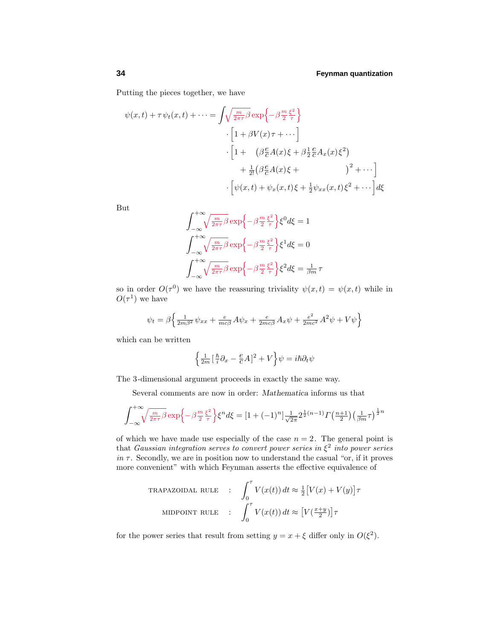Putting the pieces together, we have

$$
\psi(x,t) + \tau \psi_t(x,t) + \cdots = \int \sqrt{\frac{m}{2\pi\tau} \beta} \exp\left\{-\beta \frac{m}{2} \frac{\xi^2}{\tau}\right\}
$$

$$
\cdot \left[1 + \beta V(x)\tau + \cdots\right]
$$

$$
\cdot \left[1 + \left(\beta \frac{e}{c} A(x)\xi + \beta \frac{1}{2} \frac{e}{c} A_x(x)\xi^2\right) + \frac{1}{2!} \left(\beta \frac{e}{c} A(x)\xi + \cdots\right)^2 + \cdots\right]
$$

$$
\cdot \left[\psi(x,t) + \psi_x(x,t)\xi + \frac{1}{2} \psi_{xx}(x,t)\xi^2 + \cdots\right] d\xi
$$

But

$$
\int_{-\infty}^{+\infty} \sqrt{\frac{m}{2\pi\tau}\beta} \exp\left\{-\beta \frac{m}{2} \frac{\xi^2}{\tau}\right\} \xi^0 d\xi = 1
$$
  

$$
\int_{-\infty}^{+\infty} \sqrt{\frac{m}{2\pi\tau}\beta} \exp\left\{-\beta \frac{m}{2} \frac{\xi^2}{\tau}\right\} \xi^1 d\xi = 0
$$
  

$$
\int_{-\infty}^{+\infty} \sqrt{\frac{m}{2\pi\tau}\beta} \exp\left\{-\beta \frac{m}{2} \frac{\xi^2}{\tau}\right\} \xi^2 d\xi = \frac{1}{\beta m}\tau
$$

so in order  $O(\tau^0)$  we have the reassuring triviality  $\psi(x,t) = \psi(x,t)$  while in  $O(\tau^1)$  we have

$$
\psi_t = \beta \left\{ \frac{1}{2m\beta^2} \psi_{xx} + \frac{e}{mc\beta} A \psi_x + \frac{e}{2mc\beta} A_x \psi + \frac{e^2}{2mc^2} A^2 \psi + V \psi \right\}
$$

which can be written

$$
\left\{\frac{1}{2m}\left[\frac{\hbar}{i}\partial_x - \frac{e}{c}A\right]^2 + V\right\}\psi = i\hbar\partial_t\psi
$$

The 3-dimensional argument proceeds in exactly the same way.

Several comments are now in order: *Mathematica* informs us that

$$
\int_{-\infty}^{+\infty} \sqrt{\frac{m}{2\pi\tau}\beta} \exp\left\{-\beta \frac{m}{2} \frac{\xi^2}{\tau}\right\} \xi^n d\xi = \left[1 + (-1)^n\right] \frac{1}{\sqrt{2\pi}} 2^{\frac{1}{2}(n-1)} \Gamma\left(\frac{n+1}{2}\right) \left(\frac{1}{\beta m}\tau\right)^{\frac{1}{2}n}
$$

of which we have made use especially of the case  $n = 2$ . The general point is that *Gaussian integration serves to convert power series in*  $\xi^2$  *into power series*  $in \tau$ . Secondly, we are in position now to understand the casual "or, if it proves more convenient" with which Feynman asserts the effective equivalence of

$$
\text{TRAPAZOIDAL RULE} \quad : \quad \int_0^\tau V(x(t)) \, dt \approx \frac{1}{2} \left[ V(x) + V(y) \right] \tau
$$
\n
$$
\text{MIDPOINT RULE} \quad : \quad \int_0^\tau V(x(t)) \, dt \approx \left[ V(\frac{x+y}{2}) \right] \tau
$$

for the power series that result from setting  $y = x + \xi$  differ only in  $O(\xi^2)$ .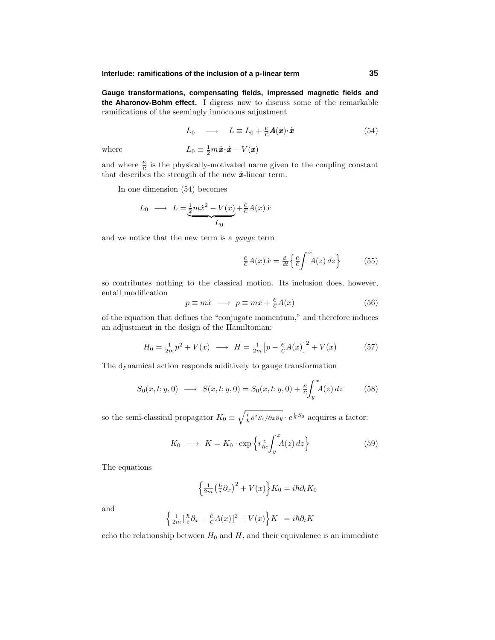**Gauge transformations, compensating fields, impressed magnetic fields and the Aharonov-Bohm effect.** I digress now to discuss some of the remarkable ramifications of the seemingly innocuous adjustment

$$
L_0 \longrightarrow L \equiv L_0 + \frac{e}{c} \mathbf{A}(\mathbf{x}) \cdot \dot{\mathbf{x}} \tag{54}
$$

where

$$
L_0 \equiv \frac{1}{2}m\dot{\boldsymbol{x}}\cdot\dot{\boldsymbol{x}} - V(\boldsymbol{x})
$$

and where  $\frac{e}{c}$  is the physically-motivated name given to the coupling constant that describes the strength of the new  $\dot{x}$ -linear term.

In one dimension (54) becomes

$$
L_0 \longrightarrow L = \underbrace{\frac{1}{2}m\dot{x}^2 - V(x)}_{L_0} + \underbrace{e}_C A(x)\dot{x}
$$

and we notice that the new term is a gauge term

$$
\frac{e}{c}A(x)\dot{x} = \frac{d}{dt}\left\{\frac{e}{c}\int^x A(z)\,dz\right\} \tag{55}
$$

so contributes nothing to the classical motion. Its inclusion does, however, entail modification

$$
p \equiv m\dot{x} \ \longrightarrow \ p \equiv m\dot{x} + \frac{e}{c}A(x) \tag{56}
$$

of the equation that defines the "conjugate momentum," and therefore induces an adjustment in the design of the Hamiltonian:

$$
H_0 = \frac{1}{2m}p^2 + V(x) \longrightarrow H = \frac{1}{2m} \left[ p - \frac{e}{c}A(x) \right]^2 + V(x) \tag{57}
$$

The dynamical action responds additively to gauge transformation

$$
S_0(x, t; y, 0) \longrightarrow S(x, t; y, 0) = S_0(x, t; y, 0) + \frac{e}{c} \int_y^x A(z) dz \tag{58}
$$

so the semi-classical propagator  $K_0 \equiv \sqrt{\frac{i}{\hbar} \partial^2 S_0 / \partial x \partial y} \cdot e^{\frac{i}{\hbar} S_0}$  acquires a factor:

$$
K_0 \longrightarrow K = K_0 \cdot \exp\left\{i\frac{e}{\hbar c} \int_y^x A(z) \, dz\right\} \tag{59}
$$

The equations

$$
\left\{\frac{1}{2m}\left(\frac{\hbar}{i}\partial_x\right)^2 + V(x)\right\} K_0 = i\hbar \partial_t K_0
$$

and

$$
\left\{\frac{1}{2m}\left[\frac{\hbar}{i}\partial_x - \frac{e}{c}A(x)\right]^2 + V(x)\right\}K = i\hbar\partial_tK
$$

echo the relationship between  $H_0$  and  $H$ , and their equivalence is an immediate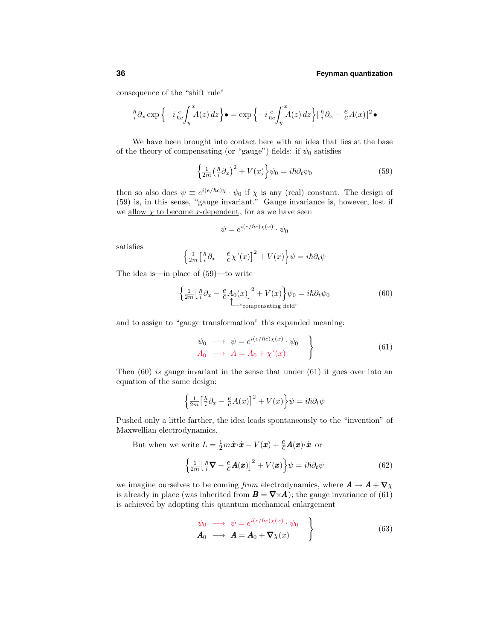consequence of the "shift rule"

$$
\frac{\hbar}{i}\partial_x \exp\left\{-i\frac{e}{\hbar c} \int_y^x A(z) \, dz\right\} \bullet = \exp\left\{-i\frac{e}{\hbar c} \int_y^x A(z) \, dz\right\} \left[\frac{\hbar}{i}\partial_x - \frac{e}{c}A(x)\right]^2 \bullet
$$

We have been brought into contact here with an idea that lies at the base of the theory of compensating (or "gauge") fields: if  $\psi_0$  satisfies

$$
\left\{\frac{1}{2m}\left(\frac{\hbar}{i}\partial_x\right)^2 + V(x)\right\}\psi_0 = i\hbar\partial_t\psi_0\tag{59}
$$

then so also does  $\psi \equiv e^{i(e/\hbar c)\chi} \cdot \psi_0$  if  $\chi$  is any (real) constant. The design of (59) is, in this sense, "gauge invariant." Gauge invariance is, however, lost if we allow  $\chi$  to become *x*-dependent, for as we have seen

$$
\psi = e^{i(e/\hbar c)\chi(x)} \cdot \psi_0
$$

satisfies

$$
\left\{\frac{1}{2m}\left[\frac{\hbar}{i}\partial_x - \frac{e}{c}\chi'(x)\right]^2 + V(x)\right\}\psi = i\hbar\partial_t\psi
$$

The idea is—in place of (59)—to write

$$
\left\{\frac{1}{2m}\left[\frac{\hbar}{i}\partial_x - \frac{e}{c}A_0(x)\right]^2 + V(x)\right\}\psi_0 = i\hbar\partial_t\psi_0
$$
\n
$$
\int_{-\infty}^{\infty} \text{compenasting field"}
$$
\n(60)

and to assign to "gauge transformation" this expanded meaning:

$$
\begin{aligned}\n\psi_0 &\longrightarrow \psi = e^{i(e/\hbar c)\chi(x)} \cdot \psi_0 \\
A_0 &\longrightarrow A = A_0 + \chi'(x)\n\end{aligned} \tag{61}
$$

Then (60) is gauge invariant in the sense that under (61) it goes over into an equation of the same design:

$$
\left\{\frac{1}{2m}\left[\frac{\hbar}{i}\partial_x - \frac{e}{c}A(x)\right]^2 + V(x)\right\}\psi = i\hbar\partial_t\psi
$$

Pushed only a little farther, the idea leads spontaneously to the "invention" of Maxwellian electrodynamics.

But when we write  $L = \frac{1}{2}m\dot{x}\cdot\dot{x} - V(\dot{x}) + \frac{e}{c}\mathbf{A}(\dot{x})\cdot\dot{x}$  or

$$
\left\{\frac{1}{2m}\left[\frac{\hbar}{i}\nabla - \frac{e}{c}\mathbf{A}(\mathbf{x})\right]^2 + V(\mathbf{x})\right\}\psi = i\hbar\partial_t\psi\tag{62}
$$

we imagine ourselves to be coming from electrodynamics, where  $\mathbf{A} \to \mathbf{A} + \nabla \chi$ is already in place (was inherited from  $\mathbf{B} = \nabla \times \mathbf{A}$ ); the gauge invariance of (61) is achieved by adopting this quantum mechanical enlargement

$$
\begin{aligned}\n\psi_0 &\longrightarrow \psi = e^{i(e/\hbar c)\chi(x)} \cdot \psi_0 \\
\mathbf{A}_0 &\longrightarrow \mathbf{A} = \mathbf{A}_0 + \nabla \chi(x)\n\end{aligned} \tag{63}
$$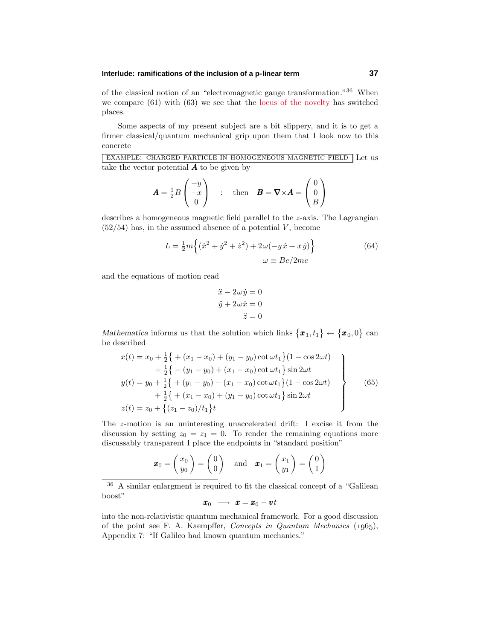## **Interlude: ramifications of the inclusion of a p-linear term 37**

of the classical notion of an "electromagnetic gauge transformation."<sup>36</sup> When we compare (61) with (63) we see that the locus of the novelty has switched places.

Some aspects of my present subject are a bit slippery, and it is to get a firmer classical/quantum mechanical grip upon them that I look now to this concrete

example: charged particle in homogeneous magnetic field Let us take the vector potential  $\boldsymbol{A}$  to be given by

$$
\mathbf{A} = \frac{1}{2}B \begin{pmatrix} -y \\ +x \\ 0 \end{pmatrix} \quad : \quad \text{then} \quad \mathbf{B} = \nabla \times \mathbf{A} = \begin{pmatrix} 0 \\ 0 \\ B \end{pmatrix}
$$

describes a homogeneous magnetic field parallel to the *z*-axis. The Lagrangian  $(52/54)$  has, in the assumed absence of a potential *V*, become

$$
L = \frac{1}{2}m\left\{ (\dot{x}^2 + \dot{y}^2 + \dot{z}^2) + 2\omega(-y\dot{x} + x\dot{y}) \right\}
$$
  

$$
\omega \equiv Be/2mc
$$
 (64)

and the equations of motion read

$$
\ddot{x} - 2\omega \dot{y} = 0
$$

$$
\ddot{y} + 2\omega \dot{x} = 0
$$

$$
\ddot{z} = 0
$$

*Mathematica* informs us that the solution which links  $\{\boldsymbol{x}_1, t_1\} \leftarrow \{\boldsymbol{x}_0, 0\}$  can be described

$$
x(t) = x_0 + \frac{1}{2} \{ + (x_1 - x_0) + (y_1 - y_0) \cot \omega t_1 \} (1 - \cos 2\omega t)
$$
  
\n
$$
+ \frac{1}{2} \{ - (y_1 - y_0) + (x_1 - x_0) \cot \omega t_1 \} \sin 2\omega t
$$
  
\n
$$
y(t) = y_0 + \frac{1}{2} \{ + (y_1 - y_0) - (x_1 - x_0) \cot \omega t_1 \} (1 - \cos 2\omega t)
$$
  
\n
$$
+ \frac{1}{2} \{ + (x_1 - x_0) + (y_1 - y_0) \cot \omega t_1 \} \sin 2\omega t
$$
  
\n
$$
z(t) = z_0 + \{ (z_1 - z_0)/t_1 \} t
$$
\n(65)

The *z*-motion is an uninteresting unaccelerated drift: I excise it from the discussion by setting  $z_0 = z_1 = 0$ . To render the remaining equations more discussably transparent I place the endpoints in "standard position"

$$
\boldsymbol{x}_0 = \begin{pmatrix} x_0 \\ y_0 \end{pmatrix} = \begin{pmatrix} 0 \\ 0 \end{pmatrix} \quad \text{and} \quad \boldsymbol{x}_1 = \begin{pmatrix} x_1 \\ y_1 \end{pmatrix} = \begin{pmatrix} 0 \\ 1 \end{pmatrix}
$$

 $^{36}\,$  A similar enlargment is required to fit the classical concept of a "Galilean boost"

$$
\pmb{x}_0 \ \longrightarrow \ \pmb{x} = \pmb{x}_0 - \pmb{v} t
$$

into the non-relativistic quantum mechanical framework. For a good discussion of the point see F. A. Kaempffer, *Concepts in Quantum Mechanics*  $(1965)$ , Appendix 7: "If Galileo had known quantum mechanics."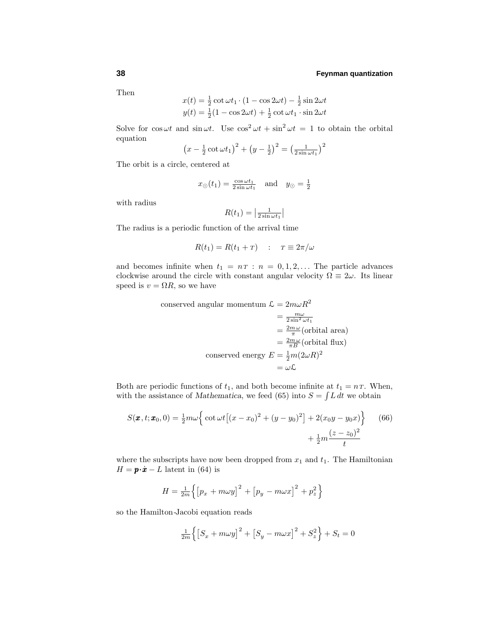Then

$$
x(t) = \frac{1}{2}\cot \omega t_1 \cdot (1 - \cos 2\omega t) - \frac{1}{2}\sin 2\omega t
$$
  

$$
y(t) = \frac{1}{2}(1 - \cos 2\omega t) + \frac{1}{2}\cot \omega t_1 \cdot \sin 2\omega t
$$

Solve for  $\cos \omega t$  and  $\sin \omega t$ . Use  $\cos^2 \omega t + \sin^2 \omega t = 1$  to obtain the orbital equation

$$
\left(x - \frac{1}{2}\cot \omega t_1\right)^2 + \left(y - \frac{1}{2}\right)^2 = \left(\frac{1}{2\sin \omega t_1}\right)^2
$$

The orbit is a circle, centered at

$$
x_{\odot}(t_1) = \frac{\cos \omega t_1}{2 \sin \omega t_1}
$$
 and  $y_{\odot} = \frac{1}{2}$ 

with radius

$$
R(t_1) = \left| \frac{1}{2\sin \omega t_1} \right|
$$

The radius is a periodic function of the arrival time

$$
R(t_1) = R(t_1 + T) \quad : \quad T \equiv 2\pi/\omega
$$

and becomes infinite when  $t_1 = nT : n = 0, 1, 2, \ldots$  The particle advances clockwise around the circle with constant angular velocity  $\Omega \equiv 2\omega$ . Its linear speed is  $v = \Omega R$ , so we have

conserved angular momentum 
$$
\mathcal{L} = 2m\omega R^2
$$
  
\n
$$
= \frac{m\omega}{2\sin^2 \omega t_1}
$$
\n
$$
= \frac{2m\omega}{\pi} \text{(orbital area)}
$$
\n
$$
= \frac{2m\omega}{\pi B} \text{(orbital flux)}
$$
\nconserved energy  $E = \frac{1}{2}m(2\omega R)^2$   
\n
$$
= \omega \mathcal{L}
$$

Both are periodic functions of  $t_1$ , and both become infinite at  $t_1 = nT$ . When, with the assistance of *Mathematica*, we feed (65) into  $S = \int L dt$  we obtain

$$
S(\pmb{x}, t; \pmb{x}_0, 0) = \frac{1}{2} m \omega \left\{ \cot \omega t \left[ (x - x_0)^2 + (y - y_0)^2 \right] + 2(x_0 y - y_0 x) \right\} + \frac{1}{2} m \frac{(z - z_0)^2}{t}
$$
(66)

where the subscripts have now been dropped from  $x_1$  and  $t_1$ . The Hamiltonian  $H = \mathbf{p} \cdot \dot{\mathbf{x}} - L$  latent in (64) is

$$
H = \frac{1}{2m} \left\{ \left[ p_x + m\omega y \right]^2 + \left[ p_y - m\omega x \right]^2 + p_z^2 \right\}
$$

so the Hamilton-Jacobi equation reads

$$
\frac{1}{2m}\Big\{\big[S_{x}+m\omega y\big]^{2}+\big[S_{y}-m\omega x\big]^{2}+S_{z}^{2}\Big\}+S_{t}=0
$$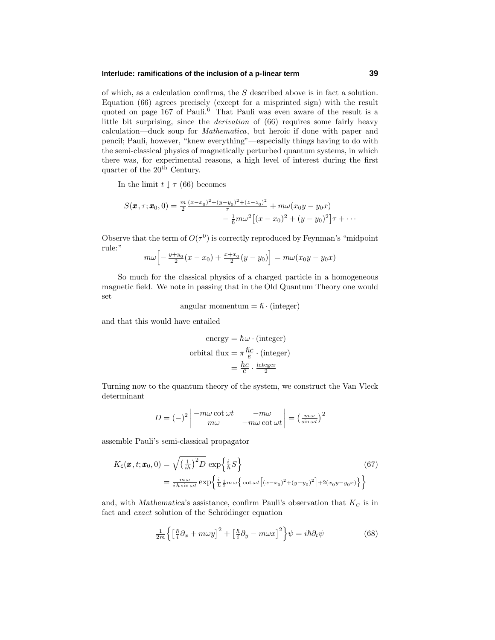### **Interlude: ramifications of the inclusion of a p-linear term 39**

of which, as a calculation confirms, the *S* described above is in fact a solution. Equation (66) agrees precisely (except for a misprinted sign) with the result quoted on page 167 of Pauli.<sup>6</sup> That Pauli was even aware of the result is a little bit surprising, since the derivation of (66) requires some fairly heavy calculation—duck soup for Mathematica, but heroic if done with paper and pencil; Pauli, however, "knew everything"—especially things having to do with the semi-classical physics of magnetically perturbed quantum systems, in which there was, for experimental reasons, a high level of interest during the first quarter of the  $20<sup>th</sup>$  Century.

In the limit  $t \downarrow \tau$  (66) becomes

$$
S(\pmb{x}, \tau; \pmb{x}_0, 0) = \frac{m}{2} \frac{(x-x_0)^2 + (y-y_0)^2 + (z-z_0)^2}{\tau} + m\omega(x_0y - y_0x) - \frac{1}{6}m\omega^2[(x-x_0)^2 + (y-y_0)^2]\tau + \cdots
$$

Observe that the term of  $O(\tau^0)$  is correctly reproduced by Feynman's "midpoint" rule:"

$$
m\omega\Big[-\frac{y+y_0}{2}(x-x_0)+\frac{x+x_0}{2}(y-y_0)\Big]=m\omega(x_0y-y_0x)
$$

So much for the classical physics of a charged particle in a homogeneous magnetic field. We note in passing that in the Old Quantum Theory one would set

angular momentum  $= \hbar \cdot (integer)$ 

and that this would have entailed

energy = 
$$
\hbar \omega \cdot
$$
 (integer)  
orbital flux =  $\pi \frac{\hbar c}{e} \cdot$  (integer)  
=  $\frac{hc}{e} \cdot \frac{\text{integer}}{2}$ 

Turning now to the quantum theory of the system, we construct the Van Vleck determinant

$$
D = (-)^{2} \begin{vmatrix} -m\omega \cot \omega t & -m\omega \\ m\omega & -m\omega \cot \omega t \end{vmatrix} = \left(\frac{m\omega}{\sin \omega t}\right)^{2}
$$

assemble Pauli's semi-classical propagator

$$
K_{\mathbf{c}}(\boldsymbol{x},t;\boldsymbol{x}_{0},0)=\sqrt{\left(\frac{1}{ih}\right)^{2}D}\exp\left\{\frac{i}{\hbar}S\right\}
$$
\n
$$
=\frac{m\omega}{ih\sin\omega t}\exp\left\{\frac{i}{\hbar}\frac{1}{2}m\omega\left\{\cot\omega t\left[(x-x_{0})^{2}+(y-y_{0})^{2}\right]+2(x_{0}y-y_{0}x)\right\}\right\}
$$
\n(67)

and, with *Mathematica*'s assistance, confirm Pauli's observation that  $K_c$  is in fact and *exact* solution of the Schrödinger equation

$$
\frac{1}{2m}\left\{\left[\frac{\hbar}{i}\partial_x + m\omega y\right]^2 + \left[\frac{\hbar}{i}\partial_y - m\omega x\right]^2\right\}\psi = i\hbar\partial_t\psi\tag{68}
$$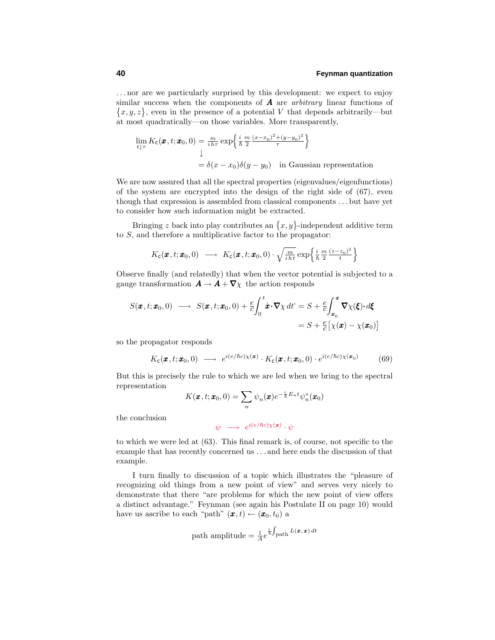*...* nor are we particularly surprised by this development: we expect to enjoy similar success when the components of  $\boldsymbol{A}$  are *arbitrary* linear functions of  $\{x, y, z\}$ , even in the presence of a potential *V* that depends arbitrarily—but at most quadratically—on those variables. More transparently,

$$
\lim_{t \downarrow \tau} K_{\mathbf{c}}(\mathbf{x}, t; \mathbf{x}_0, 0) = \frac{m}{i h \tau} \exp\left\{ \frac{i}{\hbar} \frac{m}{2} \frac{(x - x_0)^2 + (y - y_0)^2}{\tau} \right\}
$$
\n
$$
= \delta(x - x_0) \delta(y - y_0) \quad \text{in Gaussian representation}
$$

We are now assured that all the spectral properties (eigenvalues/eigenfunctions) of the system are encrypted into the design of the right side of (67), even though that expression is assembled from classical components *...* but have yet to consider how such information might be extracted.

Bringing z back into play contributes an  $\{x, y\}$ -independent additive term to *S*, and therefore a multiplicative factor to the propagator:

$$
K_{\mathbf{c}}(\boldsymbol{x},t;\boldsymbol{x}_0,0) \longrightarrow K_{\mathbf{c}}(\boldsymbol{x},t;\boldsymbol{x}_0,0) \cdot \sqrt{\frac{m}{i\,\hbar\,t}} \exp\left\{\frac{i}{\hbar} \frac{m}{2} \frac{(z-z_0)^2}{t}\right\}
$$

Observe finally (and relatedly) that when the vector potential is subjected to a gauge transformation  $\mathbf{A} \to \mathbf{A} + \nabla \chi$  the action responds

$$
S(\pmb{x},t;\pmb{x}_0,0) \longrightarrow S(\pmb{x},t;\pmb{x}_0,0) + \frac{e}{c} \int_0^t \dot{\pmb{x}} \cdot \nabla \chi \, dt' = S + \frac{e}{c} \int_{\pmb{x}_0}^{\pmb{x}} \nabla \chi(\pmb{\xi}) \cdot d\pmb{\xi}
$$

$$
= S + \frac{e}{c} \left[ \chi(\pmb{x}) - \chi(\pmb{x}_0) \right]
$$

so the propagator responds

$$
K_{\mathbf{c}}(\boldsymbol{x},t;\boldsymbol{x}_{0},0) \longrightarrow e^{i(e/\hbar c)\chi(\boldsymbol{x})} \cdot K_{\mathbf{c}}(\boldsymbol{x},t;\boldsymbol{x}_{0},0) \cdot e^{i(e/\hbar c)\chi(\boldsymbol{x}_{0})} \tag{69}
$$

But this is precisely the rule to which we are led when we bring to the spectral representation

$$
K(\boldsymbol{x},t;\boldsymbol{x}_0,0)=\sum_n \psi_n(\boldsymbol{x})e^{-\frac{i}{\hbar}E_n t}\psi_n^*(\boldsymbol{x}_0)
$$

the conclusion

$$
\psi \;\longrightarrow\; e^{i(e/\hbar c)\chi(\pmb{x})}\cdot \psi
$$

to which we were led at (63). This final remark is, of course, not specific to the example that has recently concerned us *...* and here ends the discussion of that example.

I turn finally to discussion of a topic which illustrates the "pleasure of recognizing old things from a new point of view" and serves very nicely to demonstrate that there "are problems for which the new point of view offers a distinct advantage." Feynman (see again his Postulate II on page 10) would have us ascribe to each "path"  $(\boldsymbol{x}, t) \leftarrow (\boldsymbol{x}_0, t_0)$  a

path amplitude = 
$$
\frac{1}{A}e^{\frac{i}{\hbar}\int_{\text{path}}L(\dot{x},x)\,dt}
$$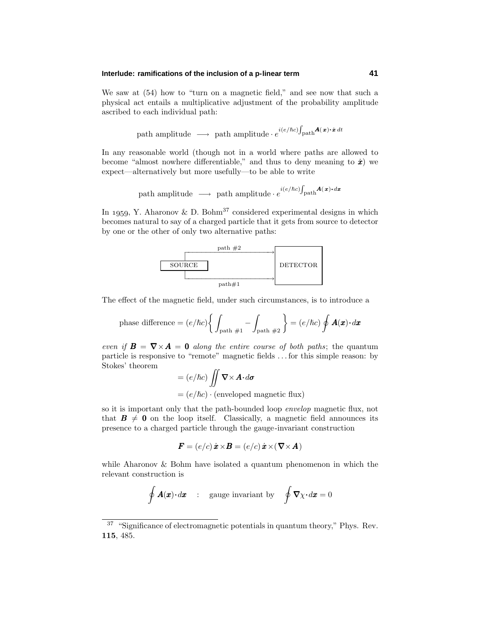### **Interlude: ramifications of the inclusion of a p-linear term 41**

We saw at (54) how to "turn on a magnetic field," and see now that such a physical act entails a multiplicative adjustment of the probability amplitude ascribed to each individual path:

path amplitude 
$$
\longrightarrow
$$
 path amplitude  $e^{i(e/\hbar c)\int_{\text{path}} \mathbf{A}(x) \cdot \dot{x} dt}$ 

In any reasonable world (though not in a world where paths are allowed to become "almost nowhere differentiable," and thus to deny meaning to  $\dot{x}$ <sup> $)$ </sup> we expect—alternatively but more usefully—to be able to write

path amplitude 
$$
\longrightarrow
$$
 path amplitude  $e^{i(e/\hbar c)\int_{\text{path}} \mathbf{A}(x) \cdot d\mathbf{x}}$ 

In 1959, Y. Aharonov & D. Bohm<sup>37</sup> considered experimental designs in which becomes natural to say of a charged particle that it gets from source to detector by one or the other of only two alternative paths:



The effect of the magnetic field, under such circumstances, is to introduce a

phase difference = 
$$
(e/\hbar c)\left\{\int_{\text{path }\#1} - \int_{\text{path }\#2}\right\} = (e/\hbar c)\oint \mathbf{A}(\mathbf{x}) \cdot d\mathbf{x}
$$

even if  $\mathbf{B} = \nabla \times \mathbf{A} = \mathbf{0}$  along the entire course of both paths; the quantum particle is responsive to "remote" magnetic fields *...* for this simple reason: by Stokes' theorem

= 
$$
(e/\hbar c)
$$
  $\iint \nabla \times \mathbf{A} \cdot d\boldsymbol{\sigma}$   
=  $(e/\hbar c)$  (enveloped magnetic flux)

so it is important only that the path-bounded loop envelop magnetic flux, not that  $B \neq 0$  on the loop itself. Classically, a magnetic field announces its presence to a charged particle through the gauge-invariant construction

$$
\boldsymbol{F} = (e/c)\,\dot{\boldsymbol{x}} \times \boldsymbol{B} = (e/c)\,\dot{\boldsymbol{x}} \times (\boldsymbol{\nabla} \times \boldsymbol{A})
$$

while Aharonov & Bohm have isolated a quantum phenomenon in which the relevant construction is

$$
\oint \mathbf{A}(\mathbf{x}) \cdot d\mathbf{x} \quad : \quad \text{gauge invariant by} \quad \oint \nabla \chi \cdot d\mathbf{x} = 0
$$

<sup>37</sup> "Significance of electromagnetic potentials in quantum theory," Phys. Rev. **115**, 485.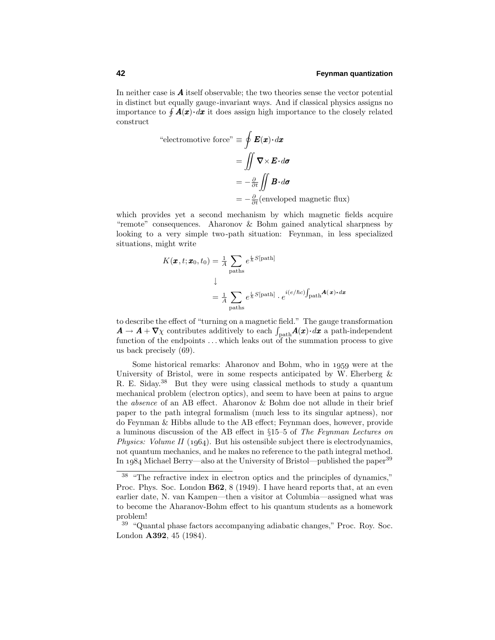In neither case is *A* itself observable; the two theories sense the vector potential in distinct but equally gauge-invariant ways. And if classical physics assigns no importance to  $\oint A(x) \cdot dx$  it does assign high importance to the closely related construct

"electromotive force" 
$$
\equiv \oint \mathbf{E}(\mathbf{x}) \cdot d\mathbf{x}
$$
  
\n
$$
= \iint \nabla \times \mathbf{E} \cdot d\mathbf{\sigma}
$$
\n
$$
= -\frac{\partial}{\partial t} \iint \mathbf{B} \cdot d\mathbf{\sigma}
$$
\n
$$
= -\frac{\partial}{\partial t} \text{(enveloped magnetic flux)}
$$

which provides yet a second mechanism by which magnetic fields acquire "remote" consequences. Aharonov & Bohm gained analytical sharpness by looking to a very simple two-path situation: Feynman, in less specialized situations, might write

$$
K(\boldsymbol{x}, t; \boldsymbol{x}_0, t_0) = \frac{1}{A} \sum_{\text{paths}} e^{\frac{i}{\hbar} S[\text{path}]}
$$

$$
= \frac{1}{A} \sum_{\text{paths}} e^{\frac{i}{\hbar} S[\text{path}]} \cdot e^{i(e/\hbar c) \int_{\text{path}} \boldsymbol{A}(\boldsymbol{x}) \cdot d\boldsymbol{x}}
$$

to describe the effect of "turning on a magnetic field." The gauge transformation  $A \rightarrow A + \nabla \chi$  contributes additively to each  $\int_{\text{path}} A(x) \cdot dx$  a path-independent function of the endpoints *...* which leaks out of the summation process to give us back precisely (69).

Some historical remarks: Aharonov and Bohm, who in 1959 were at the University of Bristol, were in some respects anticipated by W. Eherberg  $\&$ R. E. Siday.<sup>38</sup> But they were using classical methods to study a quantum mechanical problem (electron optics), and seem to have been at pains to argue the absence of an AB effect. Aharonov & Bohm doe not allude in their brief paper to the path integral formalism (much less to its singular aptness), nor do Feynman & Hibbs allude to the AB effect; Feynman does, however, provide a luminous discussion of the AB effect in §15–5 of The Feynman Lectures on *Physics: Volume II* (1964). But his ostensible subject there is electrodynamics, not quantum mechanics, and he makes no reference to the path integral method. In  $1984$  Michael Berry—also at the University of Bristol—published the paper<sup>39</sup>

<sup>38</sup> "The refractive index in electron optics and the principles of dynamics," Proc. Phys. Soc. London **B62**, 8 (1949). I have heard reports that, at an even earlier date, N. van Kampen—then a visitor at Columbia—assigned what was to become the Aharanov-Bohm effect to his quantum students as a homework problem!

 $39$  "Quantal phase factors accompanying adiabatic changes," Proc. Roy. Soc. London **A392**, 45 (1984).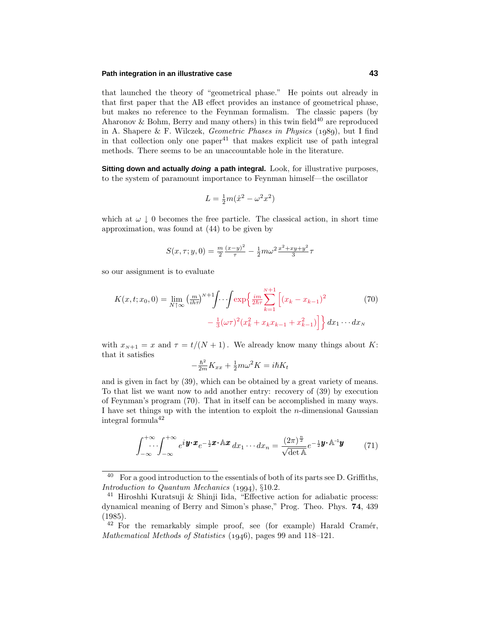### **Path integration in an illustrative case 43**

that launched the theory of "geometrical phase." He points out already in that first paper that the AB effect provides an instance of geometrical phase, but makes no reference to the Feynman formalism. The classic papers (by Aharonov & Bohm, Berry and many others) in this twin field<sup>40</sup> are reproduced in A. Shapere & F. Wilczek, *Geometric Phases in Physics* (1989), but I find in that collection only one paper<sup>41</sup> that makes explicit use of path integral methods. There seems to be an unaccountable hole in the literature.

**Sitting down and actually doing a path integral.** Look, for illustrative purposes, to the system of paramount importance to Feynman himself—the oscillator

$$
L = \frac{1}{2}m(\dot{x}^2 - \omega^2 x^2)
$$

which at  $\omega \downarrow 0$  becomes the free particle. The classical action, in short time approximation, was found at (44) to be given by

$$
S(x, \tau; y, 0) = \frac{m}{2} \frac{(x - y)^2}{\tau} - \frac{1}{2} m \omega^2 \frac{x^2 + xy + y^2}{3} \tau
$$

so our assignment is to evaluate

$$
K(x,t;x_0,0) = \lim_{N \uparrow \infty} \left(\frac{m}{ih\tau}\right)^{N+1} \int \cdots \int \exp\left\{\frac{im}{2\hbar\tau} \sum_{k=1}^{N+1} \left[ (x_k - x_{k-1})^2 - \frac{1}{3}(\omega\tau)^2 (x_k^2 + x_k x_{k-1} + x_{k-1}^2) \right] \right\} dx_1 \cdots dx_N
$$
 (70)

with  $x_{N+1} = x$  and  $\tau = t/(N+1)$ . We already know many things about *K*: that it satisfies

$$
-\frac{\hbar^2}{2m}K_{xx} + \frac{1}{2}m\omega^2 K = i\hbar K_t
$$

and is given in fact by (39), which can be obtained by a great variety of means. To that list we want now to add another entry: recovery of (39) by execution of Feynman's program (70). That in itself can be accomplished in many ways. I have set things up with the intention to exploit the *n*-dimensional Gaussian integral formula<sup>42</sup>

$$
\int_{-\infty}^{+\infty} \int_{-\infty}^{+\infty} e^{i \mathbf{y} \cdot \mathbf{x}} e^{-\frac{1}{2} \mathbf{x} \cdot \mathbf{A} \mathbf{x}} dx_1 \cdots dx_n = \frac{(2\pi)^{\frac{n}{2}}}{\sqrt{\det \mathbf{A}}} e^{-\frac{1}{2} \mathbf{y} \cdot \mathbf{A}^{-1} \mathbf{y}}
$$
(71)

 $40\;$  For a good introduction to the essentials of both of its parts see D. Griffiths, Introduction to Quantum Mechanics  $(1994), \S10.2$ .

<sup>41</sup> Hiroshhi Kuratsuji & Shinji Iida, "Effective action for adiabatic process: dynamical meaning of Berry and Simon's phase," Prog. Theo. Phys. **74**, 439 (1985).

 $42$  For the remarkably simple proof, see (for example) Harald Cramér, Mathematical Methods of Statistics  $(1946)$ , pages 99 and 118–121.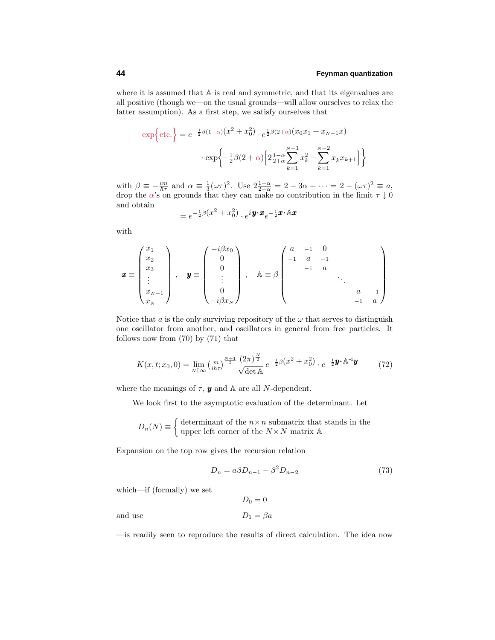where it is assumed that  $A$  is real and symmetric, and that its eigenvalues are all positive (though we—on the usual grounds—will allow ourselves to relax the latter assumption). As a first step, we satisfy ourselves that

$$
\exp\left\{\text{etc.}\right\} = e^{-\frac{1}{2}\beta(1-\alpha)\left(x^2 + x_0^2\right)} \cdot e^{\frac{1}{2}\beta(2+\alpha)\left(x_0x_1 + x_{N-1}x\right)} \cdot \exp\left\{-\frac{1}{2}\beta(2+\alpha)\left[2\frac{1-\alpha}{2+\alpha}\sum_{k=1}^{N-1}x_k^2 - \sum_{k=1}^{N-2}x_kx_{k+1}\right]\right\}
$$

with  $\beta \equiv -\frac{i m}{\hbar \tau}$  and  $\alpha \equiv \frac{1}{3} (\omega \tau)^2$ . Use  $2\frac{1-\alpha}{2+\alpha} = 2 - 3\alpha + \cdots = 2 - (\omega \tau)^2 \equiv a$ , drop the  $\alpha$ 's on grounds that they can make no contribution in the limit  $\tau \downarrow 0$ and obtain

$$
=e^{-\frac{1}{2}\beta\left(x^{2}+x_{0}^{2}\right)}\cdot e^{i\boldsymbol{y}\cdot\boldsymbol{x}}e^{-\frac{1}{2}\boldsymbol{x}\cdot\mathbb{A}\boldsymbol{x}}
$$

with

$$
\mathbf{x} = \begin{pmatrix} x_1 \\ x_2 \\ x_3 \\ \vdots \\ x_N - 1 \\ x_N \end{pmatrix}, \quad \mathbf{y} = \begin{pmatrix} -i\beta x_0 \\ 0 \\ 0 \\ \vdots \\ 0 \\ -i\beta x_N \end{pmatrix}, \quad \mathbb{A} \equiv \beta \begin{pmatrix} a & -1 & 0 \\ -1 & a & -1 \\ & -1 & a \\ & & \ddots & \\ & & & a & -1 \\ & & & -1 & a \end{pmatrix}
$$

Notice that *a* is the only surviving repository of the  $\omega$  that serves to distinguish one oscillator from another, and oscillators in general from free particles. It follows now from (70) by (71) that

$$
K(x,t;x_0,0) = \lim_{N \uparrow \infty} \left(\frac{m}{i h \tau}\right)^{\frac{N+1}{2}} \frac{(2\pi)^{\frac{N}{2}}}{\sqrt{\det \mathbb{A}}} e^{-\frac{1}{2}\beta(x^2 + x_0^2)} \cdot e^{-\frac{1}{2}\mathbf{y} \cdot \mathbb{A}^{-1}\mathbf{y}}
$$
(72)

where the meanings of  $\tau$ , **y** and  $\mathbb{A}$  are all *N*-dependent.

We look first to the asymptotic evaluation of the determinant. Let

$$
D_n(N) \equiv \begin{cases} \text{determinant of the } n \times n \text{ submatrix that stands in the} \\ \text{upper left corner of the } N \times N \text{ matrix } A \end{cases}
$$

Expansion on the top row gives the recursion relation

$$
D_n = a\beta D_{n-1} - \beta^2 D_{n-2}
$$
\n(73)

which—if (formally) we set

 $D_0 = 0$ 

and use  $D_1 = \beta a$ 

—is readily seen to reproduce the results of direct calculation. The idea now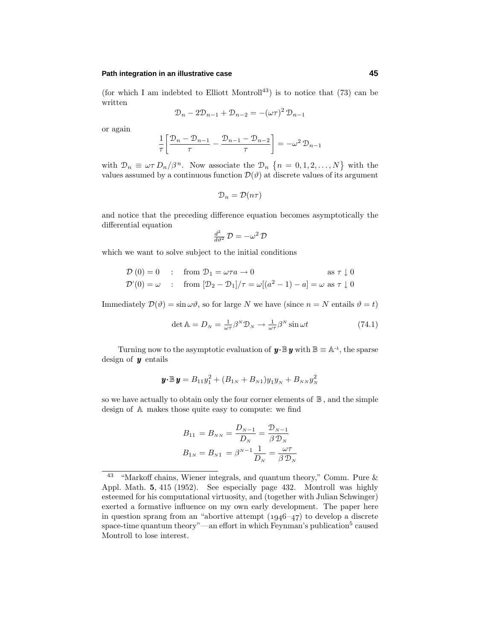### **Path integration in an illustrative case 45**

(for which I am indebted to Elliott Montroll<sup>43</sup>) is to notice that  $(73)$  can be written

$$
\mathcal{D}_n - 2\mathcal{D}_{n-1} + \mathcal{D}_{n-2} = -(\omega \tau)^2 \mathcal{D}_{n-1}
$$

or again

$$
\frac{1}{\tau} \left[ \frac{\mathcal{D}_n - \mathcal{D}_{n-1}}{\tau} - \frac{\mathcal{D}_{n-1} - \mathcal{D}_{n-2}}{\tau} \right] = -\omega^2 \mathcal{D}_{n-1}
$$

with  $\mathcal{D}_n \equiv \omega \tau D_n/\beta^n$ . Now associate the  $\mathcal{D}_n \{n = 0, 1, 2, ..., N\}$  with the values assumed by a continuous function  $\mathcal{D}(\vartheta)$  at discrete values of its argument

$$
\mathcal{D}_n = \mathcal{D}(n\tau)
$$

and notice that the preceding difference equation becomes asymptotically the differential equation

$$
\frac{d^2}{d\vartheta^2}\,\mathcal{D}=-\omega^2\,\mathcal{D}
$$

which we want to solve subject to the initial conditions

$$
\mathcal{D}(0) = 0 \qquad : \quad \text{from } \mathcal{D}_1 = \omega \tau a \to 0 \qquad \text{as } \tau \downarrow 0
$$
\n
$$
\mathcal{D}'(0) = \omega \qquad : \quad \text{from } [\mathcal{D}_2 - \mathcal{D}_1]/\tau = \omega[(a^2 - 1) - a] = \omega \text{ as } \tau \downarrow 0
$$

Immediately  $\mathcal{D}(\vartheta) = \sin \omega \vartheta$ , so for large *N* we have (since  $n = N$  entails  $\vartheta = t$ )

$$
\det \mathbb{A} = D_N = \frac{1}{\omega \tau} \beta^N \mathcal{D}_N \to \frac{1}{\omega \tau} \beta^N \sin \omega t \tag{74.1}
$$

Turning now to the asymptotic evaluation of  $y \cdot \mathbb{B} y$  with  $\mathbb{B} \equiv \mathbb{A}^{-1}$ , the sparse design of *y* entails

$$
\mathbf{y} \cdot \mathbb{B} \mathbf{y} = B_{11} y_1^2 + (B_{1N} + B_{N1}) y_1 y_N + B_{NN} y_N^2
$$

so we have actually to obtain only the four corner elements of  $\mathbb{B}$ , and the simple design of A makes those quite easy to compute: we find

$$
B_{11} = B_{NN} = \frac{D_{N-1}}{D_N} = \frac{D_{N-1}}{\beta D_N}
$$
  

$$
B_{1N} = B_{N1} = \beta^{N-1} \frac{1}{D_N} = \frac{\omega \tau}{\beta D_N}
$$

<sup>43</sup> "Markoff chains, Wiener integrals, and quantum theory," Comm. Pure & Appl. Math. **5**, 415 (1952). See especially page 432. Montroll was highly esteemed for his computational virtuosity, and (together with Julian Schwinger) exerted a formative influence on my own early development. The paper here in question sprang from an "abortive attempt  $(1946-47)$  to develop a discrete space-time quantum theory"—an effort in which Feynman's publication<sup>5</sup> caused Montroll to lose interest.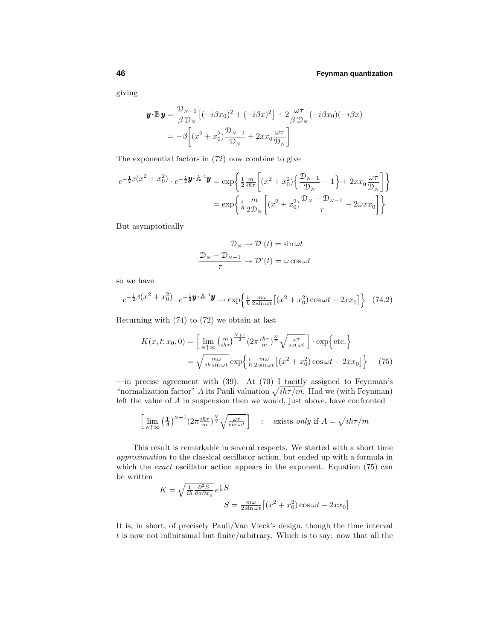giving

$$
\mathbf{y} \cdot \mathbb{B} \mathbf{y} = \frac{\mathcal{D}_{N-1}}{\beta \mathcal{D}_{N}} \left[ (-i\beta x_{0})^{2} + (-i\beta x)^{2} \right] + 2 \frac{\omega \tau}{\beta \mathcal{D}_{N}} (-i\beta x_{0}) (-i\beta x)
$$

$$
= -\beta \left[ (x^{2} + x_{0}^{2}) \frac{\mathcal{D}_{N-1}}{\mathcal{D}_{N}} + 2x x_{0} \frac{\omega \tau}{\mathcal{D}_{N}} \right]
$$

The exponential factors in (72) now combine to give

$$
e^{-\frac{1}{2}\beta(x^2+x_0^2)} \cdot e^{-\frac{1}{2}\mathbf{y}\cdot\mathbb{A}^{-1}\mathbf{y}} = \exp\left\{\frac{1}{2}\frac{m}{i\hbar\tau}\left[(x^2+x_0^2)\left\{\frac{\mathcal{D}_{N-1}}{\mathcal{D}_N}-1\right\} + 2xx_0\frac{\omega\tau}{\mathcal{D}_N}\right]\right\}
$$

$$
= \exp\left\{\frac{i}{\hbar}\frac{m}{2\mathcal{D}_N}\left[(x^2+x_0^2)\frac{\mathcal{D}_N-\mathcal{D}_{N-1}}{\tau} - 2\omega xx_0\right]\right\}
$$

But asymptotically

$$
\mathcal{D}_N \to \mathcal{D}(t) = \sin \omega t
$$

$$
\frac{\mathcal{D}_N - \mathcal{D}_{N-1}}{\tau} \to \mathcal{D}'(t) = \omega \cos \omega t
$$

so we have

$$
e^{-\frac{1}{2}\beta\left(x^2+x_0^2\right)} \cdot e^{-\frac{1}{2}\mathbf{y}\cdot\mathbb{A}^{-1}\mathbf{y}} \to \exp\left\{\frac{i}{\hbar} \frac{m\omega}{2\sin\omega t} \left[ (x^2+x_0^2)\cos\omega t - 2xx_0 \right] \right\} \tag{74.2}
$$

Returning with (74) to (72) we obtain at last

$$
K(x, t; x_0, 0) = \left[ \lim_{N \uparrow \infty} \left( \frac{m}{i h \tau} \right)^{\frac{N+1}{2}} \left( 2 \pi \frac{i h \tau}{m} \right)^{\frac{N}{2}} \sqrt{\frac{\omega \tau}{\sin \omega t}} \right] \cdot \exp \left\{ \text{etc.} \right\}
$$

$$
= \sqrt{\frac{m \omega}{i h \sin \omega t}} \exp \left\{ \frac{i}{\hbar} \frac{m \omega}{2 \sin \omega t} \left[ \left( x^2 + x_0^2 \right) \cos \omega t - 2 x x_0 \right] \right\} \tag{75}
$$

—in precise agreement with  $(39)$ . At  $(70)$  I tacitly assigned to Feynman's "normalization factor" *A* its Pauli valuation  $\sqrt{ih\tau/m}$ . Had we (with Feynman) left the value of *A* in suspension then we would, just above, have confronted

$$
\left[\lim_{N \uparrow \infty} \left(\frac{1}{A}\right)^{N+1} \left(2\pi \frac{i\hbar\tau}{m}\right)^{\frac{N}{2}} \sqrt{\frac{\omega\tau}{\sin \omega t}}\right] \quad : \quad \text{exists only if } A = \sqrt{i h\tau/m}
$$

This result is remarkable in several respects. We started with a short time approximation to the classical oscillator action, but ended up with a formula in which the *exact* oscillator action appears in the exponent. Equation (75) can be written

$$
K = \sqrt{\frac{1}{i\hbar} \frac{\partial^2 S}{\partial x \partial x_0}} e^{\frac{i}{\hbar} S}
$$
  

$$
S = \frac{m\omega}{2 \sin \omega t} \left[ (x^2 + x_0^2) \cos \omega t - 2x x_0 \right]
$$

It is, in short, of precisely Pauli/Van Vleck's design, though the time interval *t* is now not infinitsimal but finite/arbitrary. Which is to say: now that all the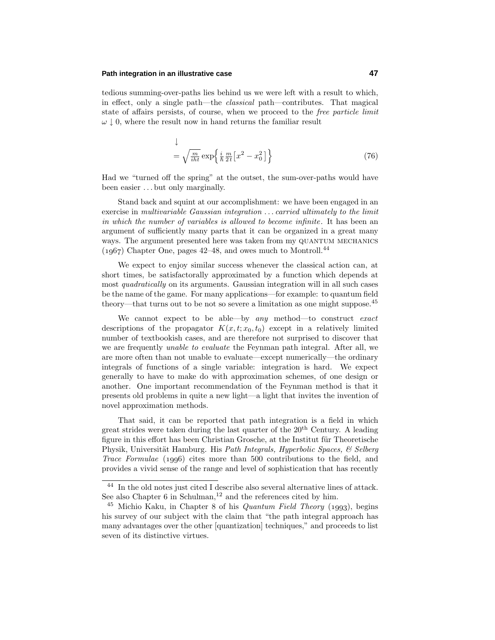# **Path integration in an illustrative case 47**

tedious summing-over-paths lies behind us we were left with a result to which, in effect, only a single path—the classical path—contributes. That magical state of affairs persists, of course, when we proceed to the free particle limit  $\omega \downarrow 0$ , where the result now in hand returns the familiar result

$$
\downarrow
$$
\n
$$
= \sqrt{\frac{m}{i\hbar t}} \exp\left\{\frac{i}{\hbar} \frac{m}{2t} \left[x^2 - x_0^2\right]\right\} \tag{76}
$$

Had we "turned off the spring" at the outset, the sum-over-paths would have been easier *...* but only marginally.

Stand back and squint at our accomplishment: we have been engaged in an exercise in multivariable Gaussian integration *...* carried ultimately to the limit in which the number of variables is allowed to become infinite. It has been an argument of sufficiently many parts that it can be organized in a great many ways. The argument presented here was taken from my QUANTUM MECHANICS  $(1967)$  Chapter One, pages 42–48, and owes much to Montroll.<sup>44</sup>

We expect to enjoy similar success whenever the classical action can, at short times, be satisfactorally approximated by a function which depends at most *quadratically* on its arguments. Gaussian integration will in all such cases be the name of the game. For many applications—for example: to quantum field theory—that turns out to be not so severe a limitation as one might suppose.<sup>45</sup>

We cannot expect to be able—by any method—to construct exact descriptions of the propagator  $K(x, t; x_0, t_0)$  except in a relatively limited number of textbookish cases, and are therefore not surprised to discover that we are frequently *unable to evaluate* the Feynman path integral. After all, we are more often than not unable to evaluate—except numerically—the ordinary integrals of functions of a single variable: integration is hard. We expect generally to have to make do with approximation schemes, of one design or another. One important recommendation of the Feynman method is that it presents old problems in quite a new light—a light that invites the invention of novel approximation methods.

That said, it can be reported that path integration is a field in which great strides were taken during the last quarter of the  $20<sup>th</sup>$  Century. A leading figure in this effort has been Christian Grosche, at the Institut für Theoretische Physik, Universität Hamburg. His Path Integrals, Hyperbolic Spaces, & Selberg Trace Formulae  $(1996)$  cites more than 500 contributions to the field, and provides a vivid sense of the range and level of sophistication that has recently

 $^{44}\,$  In the old notes just cited I describe also several alternative lines of attack. See also Chapter 6 in Schulman,<sup>12</sup> and the references cited by him.

 $45$  Michio Kaku, in Chapter 8 of his *Quantum Field Theory* (1993), begins his survey of our subject with the claim that "the path integral approach has many advantages over the other [quantization] techniques," and proceeds to list seven of its distinctive virtues.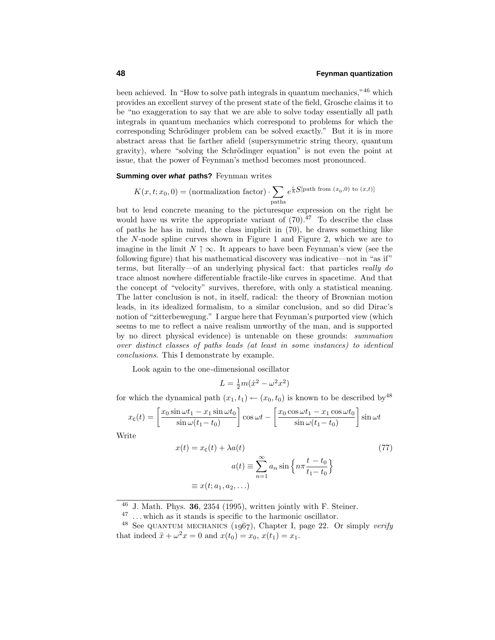been achieved. In "How to solve path integrals in quantum mechanics,"<sup>46</sup> which provides an excellent survey of the present state of the field, Grosche claims it to be "no exaggeration to say that we are able to solve today essentially all path integrals in quantum mechanics which correspond to problems for which the corresponding Schrödinger problem can be solved exactly." But it is in more abstract areas that lie farther afield (supersymmetric string theory, quantum gravity), where "solving the Schrödinger equation" is not even the point at issue, that the power of Feynman's method becomes most pronounced.

#### **Summing over what paths?** Feynman writes

$$
K(x, t; x_0, 0) = \text{(normalization factor)} \cdot \sum_{\text{paths}} e^{\frac{i}{\hbar} S[\text{path from } (x_0, 0) \text{ to } (x, t)]}
$$

but to lend concrete meaning to the picturesque expression on the right he would have us write the appropriate variant of  $(70)^{47}$  To describe the class of paths he has in mind, the class implicit in (70), he draws something like the *N*-node spline curves shown in Figure 1 and Figure 2, which we are to imagine in the limit  $N \uparrow \infty$ . It appears to have been Feynman's view (see the following figure) that his mathematical discovery was indicative—not in "as if" terms, but literally—of an underlying physical fact: that particles really do trace almost nowhere differentiable fractile-like curves in spacetime. And that the concept of "velocity" survives, therefore, with only a statistical meaning. The latter conclusion is not, in itself, radical: the theory of Brownian motion leads, in its idealized formalism, to a similar conclusion, and so did Dirac's notion of "zitterbewegung." I argue here that Feynman's purported view (which seems to me to reflect a naive realism unworthy of the man, and is supported by no direct physical evidence) is untenable on these grounds: summation over distinct classes of paths leads (at least in some instances) to identical conclusions. This I demonstrate by example.

Look again to the one-dimensional oscillator

$$
L = \frac{1}{2}m(\dot{x}^2 - \omega^2 x^2)
$$

for which the dynamical path  $(x_1, t_1) \leftarrow (x_0, t_0)$  is known to be described by<sup>48</sup>

$$
x_{\rm c}(t) = \left[\frac{x_0 \sin \omega t_1 - x_1 \sin \omega t_0}{\sin \omega (t_1 - t_0)}\right] \cos \omega t - \left[\frac{x_0 \cos \omega t_1 - x_1 \cos \omega t_0}{\sin \omega (t_1 - t_0)}\right] \sin \omega t
$$

Write

$$
x(t) = x_c(t) + \lambda a(t)
$$
  
\n
$$
a(t) \equiv \sum_{n=1}^{\infty} a_n \sin \left\{ n\pi \frac{t - t_0}{t_1 - t_0} \right\}
$$
  
\n
$$
\equiv x(t; a_1, a_2, \ldots)
$$
\n(77)

<sup>46</sup> J. Math. Phys. **36**, 2354 (1995), written jointly with F. Steiner.

<sup>&</sup>lt;sup>47</sup> ... which as it stands is specific to the harmonic oscillator.

<sup>&</sup>lt;sup>48</sup> See QUANTUM MECHANICS (1967), Chapter I, page 22. Or simply verify that indeed  $\ddot{x} + \omega^2 x = 0$  and  $x(t_0) = x_0, x(t_1) = x_1$ .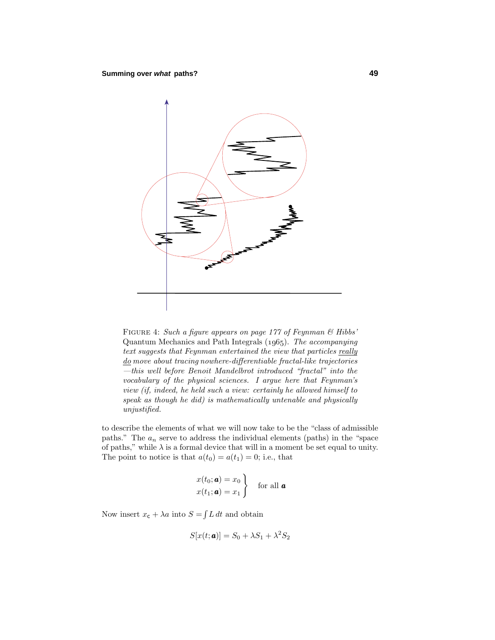

FIGURE 4: Such a figure appears on page 177 of Feynman & Hibbs' Quantum Mechanics and Path Integrals ( $1965$ ). The accompanying text suggests that Feynman entertained the view that particles really do move about tracing nowhere-differentiable fractal-like trajectories —this well before Benoit Mandelbrot introduced "fractal" into the vocabulary of the physical sciences. I argue here that Feynman's view (if, indeed, he held such a view: certainly he allowed himself to speak as though he did) is mathematically untenable and physically unjustified.

to describe the elements of what we will now take to be the "class of admissible paths." The  $a_n$  serve to address the individual elements (paths) in the "space of paths," while  $\lambda$  is a formal device that will in a moment be set equal to unity. The point to notice is that  $a(t_0) = a(t_1) = 0$ ; i.e., that

$$
\begin{array}{c}\nx(t_0; \mathbf{a}) = x_0 \\
x(t_1; \mathbf{a}) = x_1\n\end{array}\n\bigg\} \quad \text{for all } \mathbf{a}
$$

Now insert  $x_c + \lambda a$  into  $S = \int L dt$  and obtain

$$
S[x(t; a)] = S_0 + \lambda S_1 + \lambda^2 S_2
$$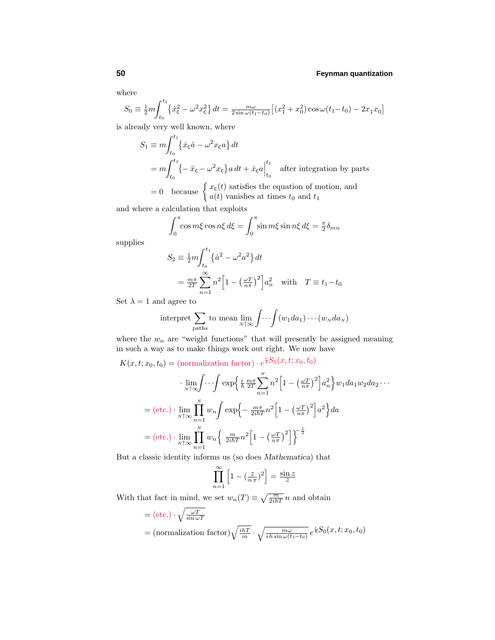where

$$
S_0 \equiv \frac{1}{2} m \int_{t_0}^{t_1} \left\{ \dot{x}_c^2 - \omega^2 x_c^2 \right\} dt = \frac{m\omega}{2\sin\omega(t_1 - t_0)} \left[ (x_1^2 + x_0^2) \cos\omega(t_1 - t_0) - 2x_1 x_0 \right]
$$

is already very well known, where

$$
S_1 \equiv m \int_{t_0}^{t_1} \{ \dot{x}_{\mathbf{c}} \dot{a} - \omega^2 x_{\mathbf{c}} a \} dt
$$
  
=  $m \int_{t_0}^{t_1} \{ -\ddot{x}_{\mathbf{c}} - \omega^2 x_{\mathbf{c}} \} a dt + \dot{x}_{\mathbf{c}} a \Big|_{t_0}^{t_1}$  after integration by parts  
= 0 because  $\begin{cases} x_{\mathbf{c}}(t) \text{ satisfies the equation of motion, and} \\ a(t) \text{ vanishes at times } t_0 \text{ and } t_1 \end{cases}$ 

and where a calculation that exploits

$$
\int_0^{\pi} \cos m\xi \cos n\xi d\xi = \int_0^{\pi} \sin m\xi \sin n\xi d\xi = \frac{\pi}{2} \delta_{mn}
$$

supplies

$$
S_2 \equiv \frac{1}{2} m \int_{t_0}^{t_1} {\{\dot{a}^2 - \omega^2 a^2\} dt}
$$
  
=  $\frac{m\pi}{2T} \sum_{n=1}^{\infty} n^2 \left[1 - \left(\frac{\omega T}{n\pi}\right)^2\right] a_n^2$  with  $T \equiv t_1 - t_0$ 

Set  $\lambda = 1$  and agree to

$$
interpret \sum_{\text{paths}} to mean \lim_{N \uparrow \infty} \int \cdots \int (w_1 da_1) \cdots (w_N da_N)
$$

where the  $w_n$  are "weight functions" that will presently be assigned meaning in such a way as to make things work out right. We now have

 $K(x, t; x_0, t_0) = (\text{normalization factor}) \cdot e^{\frac{i}{\hbar}S_0(x, t; x_0, t_0)}$ 

$$
\lim_{n \to \infty} \int \cdots \int \exp\left\{\frac{i}{\hbar} \frac{m\pi}{2T} \sum_{n=1}^{N} n^2 \left[1 - \left(\frac{\omega T}{n\pi}\right)^2\right] a_n^2\right\} w_1 da_1 w_2 da_2 \cdots
$$

$$
= (\text{etc.}) \cdot \lim_{n \uparrow \infty} \prod_{n=1}^{N} w_n \int \exp\left\{-\frac{m\pi}{2i\hbar T} n^2 \left[1 - \left(\frac{\omega T}{n\pi}\right)^2\right] a^2\right\} da
$$

$$
= (\text{etc.}) \cdot \lim_{n \uparrow \infty} \prod_{n=1}^{N} w_n \left\{\frac{m}{2i\hbar T} n^2 \left[1 - \left(\frac{\omega T}{n\pi}\right)^2\right]\right\}^{-\frac{1}{2}}
$$

But a classic identity informs us (so does *Mathematica*) that

$$
\prod_{n=1}^{\infty} \left[ 1 - \left(\frac{z}{n\pi}\right)^2 \right] = \frac{\sin z}{z}
$$

With that fact in mind, we set  $w_n(T) \equiv \sqrt{\frac{m}{2i\hslash T}} n$  and obtain

= (etc.) 
$$
\sqrt{\frac{\omega T}{\sin \omega T}}
$$
  
= (normalization factor) $\sqrt{\frac{i\hbar T}{m}} \cdot \sqrt{\frac{m\omega}{i\hbar \sin \omega (t_1 - t_0)}} e^{\frac{i}{\hbar}S_0(x, t; x_0, t_0)}$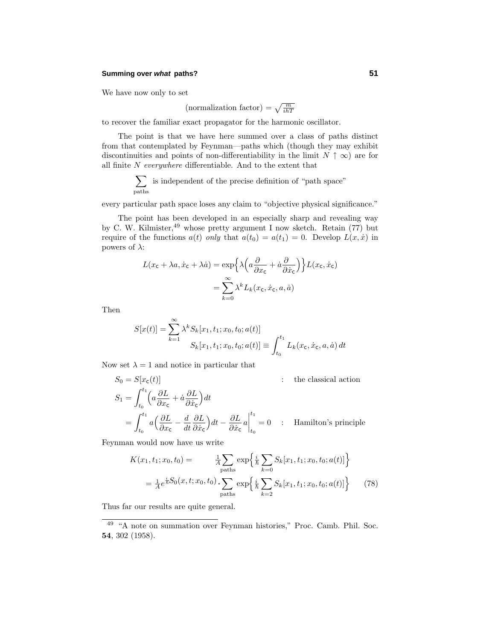### **Summing over what paths? 51**

We have now only to set

(normalization factor) = 
$$
\sqrt{\frac{m}{ihT}}
$$

to recover the familiar exact propagator for the harmonic oscillator.

The point is that we have here summed over a class of paths distinct from that contemplated by Feynman—paths which (though they may exhibit discontinuities and points of non-differentiability in the limit  $N \uparrow \infty$  are for all finite *N* everywhere differentiable. And to the extent that

> $\sum$  is independent of the precise definition of "path space"  $_{\rm paths}$

every particular path space loses any claim to "objective physical significance."

The point has been developed in an especially sharp and revealing way by C. W. Kilmister,  $49$  whose pretty argument I now sketch. Retain (77) but require of the functions  $a(t)$  only that  $a(t_0) = a(t_1) = 0$ . Develop  $L(x, \dot{x})$  in powers of  $\lambda$ :

$$
L(x_{\rm c} + \lambda a, \dot{x}_{\rm c} + \lambda \dot{a}) = \exp\left\{\lambda \left(a\frac{\partial}{\partial x_{\rm c}} + \dot{a}\frac{\partial}{\partial \dot{x}_{\rm c}}\right)\right\} L(x_{\rm c}, \dot{x}_{\rm c})
$$

$$
= \sum_{k=0}^{\infty} \lambda^k L_k(x_{\rm c}, \dot{x}_{\rm c}, a, \dot{a})
$$

Then

$$
S[x(t)] = \sum_{k=1}^{\infty} \lambda^k S_k[x_1, t_1; x_0, t_0; a(t)]
$$
  

$$
S_k[x_1, t_1; x_0, t_0; a(t)] \equiv \int_{t_0}^{t_1} L_k(x_c, \dot{x}_c, a, \dot{a}) dt
$$

Now set  $\lambda = 1$  and notice in particular that

$$
S_0 = S[x_c(t)] \qquad \qquad \text{the classical action}
$$
\n
$$
S_1 = \int_{t_0}^{t_1} \left( a \frac{\partial L}{\partial x_c} + \dot{a} \frac{\partial L}{\partial \dot{x}_c} \right) dt
$$
\n
$$
= \int_{t_0}^{t_1} a \left( \frac{\partial L}{\partial x_c} - \frac{d}{dt} \frac{\partial L}{\partial \dot{x}_c} \right) dt - \frac{\partial L}{\partial \dot{x}_c} a \Big|_{t_0}^{t_1} = 0 \qquad \text{Hamilton's principle}
$$

Feynman would now have us write

$$
K(x_1, t_1; x_0, t_0) = \frac{1}{A} \sum_{\text{paths}} \exp\left\{\frac{i}{\hbar} \sum_{k=0} S_k[x_1, t_1; x_0, t_0; a(t)]\right\}
$$

$$
= \frac{1}{A} e^{\frac{i}{\hbar} S_0(x, t; x_0, t_0)} \cdot \sum_{\text{paths}} \exp\left\{\frac{i}{\hbar} \sum_{k=2} S_k[x_1, t_1; x_0, t_0; a(t)]\right\} \tag{78}
$$

Thus far our results are quite general.

<sup>49</sup> "A note on summation over Feynman histories," Proc. Camb. Phil. Soc. **54**, 302 (1958).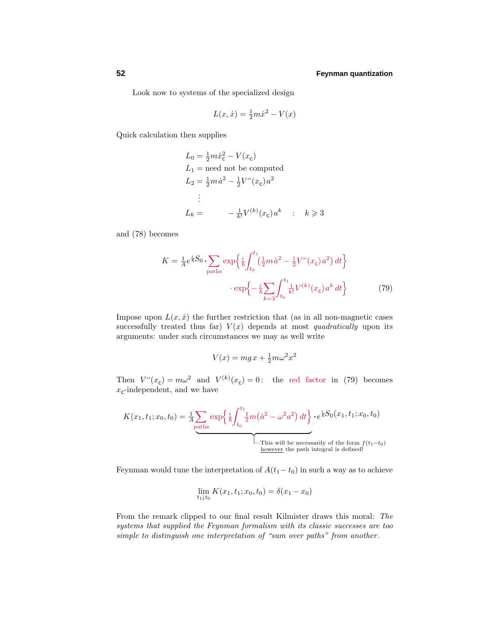Look now to systems of the specialized design

$$
L(x, \dot{x}) = \frac{1}{2}m\dot{x}^2 - V(x)
$$

Quick calculation then supplies

$$
L_0 = \frac{1}{2}m\dot{x}_c^2 - V(x_c)
$$
  
\n
$$
L_1 = \text{need not be computed}
$$
  
\n
$$
L_2 = \frac{1}{2}m\dot{a}^2 - \frac{1}{2}V''(x_c)a^2
$$
  
\n
$$
\vdots
$$
  
\n
$$
L_k = -\frac{1}{k!}V^{(k)}(x_c)a^k \quad : \quad k \geq 3
$$

and (78) becomes

$$
K = \frac{1}{A} e^{\frac{i}{\hbar}S_0} \cdot \sum_{\text{paths}} \exp\left\{\frac{i}{\hbar} \int_{t_0}^{t_1} \left(\frac{1}{2} m \dot{a}^2 - \frac{1}{2} V''(x_\text{c}) a^2\right) dt\right\}
$$

$$
\cdot \exp\left\{-\frac{i}{\hbar} \sum_{k=3}^{\infty} \int_{t_0}^{t_1} \frac{1}{k!} V^{(k)}(x_\text{c}) a^k dt\right\} \tag{79}
$$

Impose upon  $L(x, \dot{x})$  the further restriction that (as in all non-magnetic cases successfully treated thus far)  $V(x)$  depends at most *quadratically* upon its arguments: under such circumstances we may as well write

$$
V(x) = mgx + \frac{1}{2}m\omega^2 x^2
$$

Then  $V''(x_c) = m\omega^2$  and  $V^{(k)}(x_c) = 0$ : the red factor in (79) becomes  $x_c$ -independent, and we have

$$
K(x_1, t_1; x_0, t_0) = \frac{1}{A} \sum_{\text{paths}} \exp\left\{\frac{i}{\hbar} \int_{t_0}^{t_1} \frac{1}{2} m(\dot{a}^2 - \omega^2 a^2) dt\right\} \cdot e^{\frac{i}{\hbar} S_0(x_1, t_1; x_0, t_0)}
$$
  
This will be necessarily of the form  $f(t_1 - t_0)$   
however the path integral is defined!

Feynman would tune the interpretation of  $A(t_1-t_0)$  in such a way as to achieve

$$
\lim_{t_1 \downarrow t_0} K(x_1, t_1; x_0, t_0) = \delta(x_1 - x_0)
$$

From the remark clipped to our final result Kilmister draws this moral: The systems that supplied the Feynman formalism with its classic successes are too simple to distinguish one interpretation of "sum over paths" from another.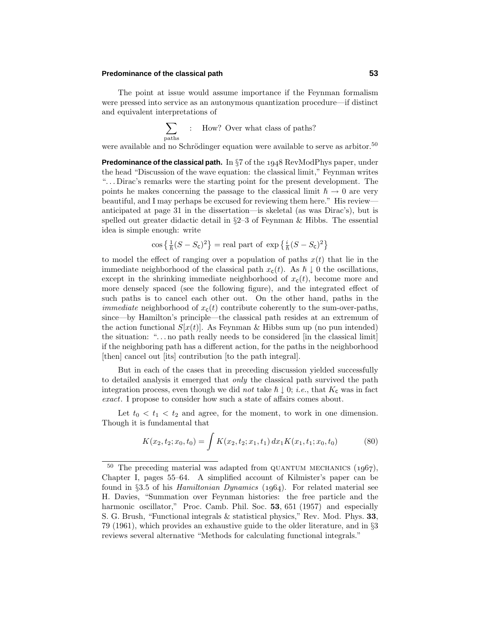#### **Predominance of the classical path 53**

The point at issue would assume importance if the Feynman formalism were pressed into service as an autonymous quantization procedure—if distinct and equivalent interpretations of

$$
\sum_{\text{paths}} : \text{How? Over what class of paths?}
$$

were available and no Schrödinger equation were available to serve as arbitor.<sup>50</sup>

**Predominance of the classical path.** In  $\S7$  of the  $1948$  RevModPhys paper, under the head "Discussion of the wave equation: the classical limit," Feynman writes "*...* Dirac's remarks were the starting point for the present development. The points he makes concerning the passage to the classical limit  $\hbar \rightarrow 0$  are very beautiful, and I may perhaps be excused for reviewing them here." His review anticipated at page 31 in the dissertation—is skeletal (as was Dirac's), but is spelled out greater didactic detail in §2–3 of Feynman & Hibbs. The essential idea is simple enough: write

$$
\cos\left\{\frac{1}{\hbar}(S-S_{\rm C})^2\right\} = \text{real part of } \exp\left\{\frac{i}{\hbar}(S-S_{\rm C})^2\right\}
$$

to model the effect of ranging over a population of paths *x*(*t*) that lie in the immediate neighborhood of the classical path  $x_c(t)$ . As  $\hbar \downarrow 0$  the oscillations, except in the shrinking immediate neighborhood of  $x_c(t)$ , become more and more densely spaced (see the following figure), and the integrated effect of such paths is to cancel each other out. On the other hand, paths in the *immediate* neighborhood of  $x_c(t)$  contribute coherently to the sum-over-paths, since—by Hamilton's principle—the classical path resides at an extremum of the action functional  $S[x(t)]$ . As Feynman & Hibbs sum up (no pun intended) the situation: "*...* no path really needs to be considered [in the classical limit] if the neighboring path has a different action, for the paths in the neighborhood [then] cancel out [its] contribution [to the path integral].

But in each of the cases that in preceding discussion yielded successfully to detailed analysis it emerged that only the classical path survived the path integration process, even though we did *not* take  $\hbar \downarrow 0$ ; *i.e.*, that  $K_c$  was in fact exact. I propose to consider how such a state of affairs comes about.

Let  $t_0 < t_1 < t_2$  and agree, for the moment, to work in one dimension. Though it is fundamental that

$$
K(x_2, t_2; x_0, t_0) = \int K(x_2, t_2; x_1, t_1) dx_1 K(x_1, t_1; x_0, t_0)
$$
 (80)

 $50$  The preceding material was adapted from QUANTUM MECHANICS  $(1067)$ , Chapter I, pages 55–64. A simplified account of Kilmister's paper can be found in  $\S 3.5$  of his *Hamiltonian Dynamics* (1964). For related material see H. Davies, "Summation over Feynman histories: the free particle and the harmonic oscillator," Proc. Camb. Phil. Soc. **53**, 651 (1957) and especially S. G. Brush, "Functional integrals & statistical physics," Rev. Mod. Phys. **33**, 79 (1961), which provides an exhaustive guide to the older literature, and in §3 reviews several alternative "Methods for calculating functional integrals."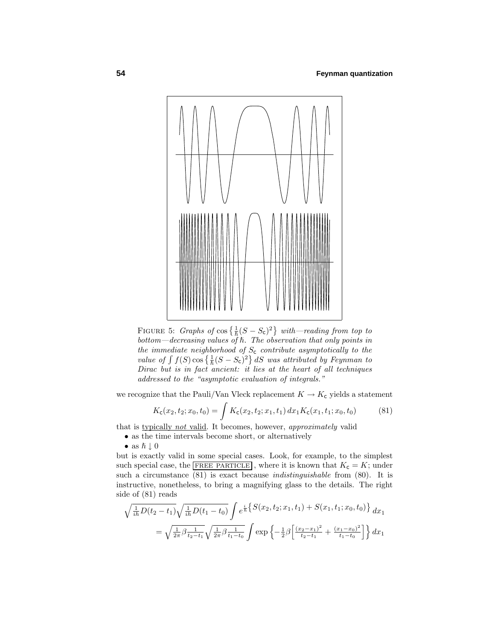

FIGURE 5: Graphs of  $\cos\left\{\frac{1}{\hbar}(S-S_c)^2\right\}$  with—reading from top to  $bottom-decreasing$  values of  $\hbar$ . The observation that only points in the immediate neighborhood of *S*c contribute asymptotically to the value of  $\int f(S) \cos \left\{ \frac{1}{\hbar} (S - S_{c})^{2} \right\} dS$  was attributed by Feynman to Dirac but is in fact ancient: it lies at the heart of all techniques addressed to the "asymptotic evaluation of integrals."

we recognize that the Pauli/Van Vleck replacement  $K \to K_{\text{c}}$  yields a statement

$$
K_{\mathsf{c}}(x_2, t_2; x_0, t_0) = \int K_{\mathsf{c}}(x_2, t_2; x_1, t_1) dx_1 K_{\mathsf{c}}(x_1, t_1; x_0, t_0)
$$
(81)

that is typically not valid. It becomes, however, approximately valid

- as the time intervals become short, or alternatively
- as  $\hbar \downarrow 0$

but is exactly valid in some special cases. Look, for example, to the simplest such special case, the **FREE PARTICLE**, where it is known that  $K_c = K$ ; under such a circumstance (81) is exact because *indistinguishable* from (80). It is instructive, nonetheless, to bring a magnifying glass to the details. The right side of (81) reads

$$
\sqrt{\frac{1}{ih}D(t_2 - t_1)}\sqrt{\frac{1}{ih}D(t_1 - t_0)} \int e^{\frac{i}{h}\left\{S(x_2, t_2; x_1, t_1) + S(x_1, t_1; x_0, t_0)\right\}} dx_1
$$

$$
= \sqrt{\frac{1}{2\pi}\beta \frac{1}{t_2 - t_1}} \sqrt{\frac{1}{2\pi}\beta \frac{1}{t_1 - t_0}} \int \exp\left\{-\frac{1}{2}\beta \left[\frac{(x_2 - x_1)^2}{t_2 - t_1} + \frac{(x_1 - x_0)^2}{t_1 - t_0}\right]\right\} dx_1
$$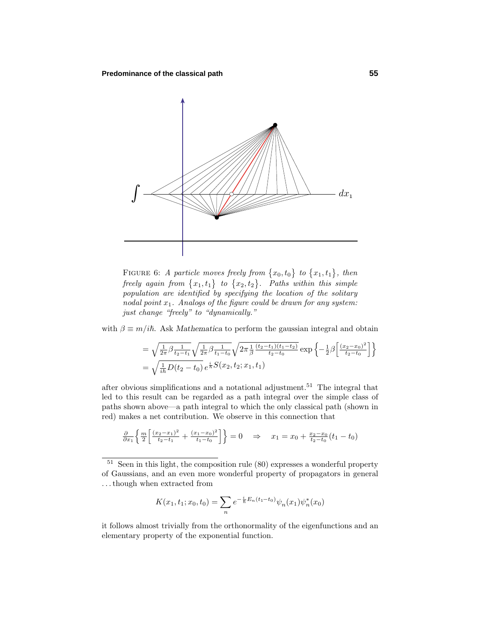

FIGURE 6: A particle moves freely from  $\{x_0, t_0\}$  to  $\{x_1, t_1\}$ , then freely again from  $\{x_1, t_1\}$  to  $\{x_2, t_2\}$ . Paths within this simple population are identified by specifying the location of the solitary nodal point  $x_1$ . Analogs of the figure could be drawn for any system: just change "freely" to "dynamically."

with  $\beta \equiv m/i\hbar$ . Ask *Mathematica* to perform the gaussian integral and obtain

$$
= \sqrt{\frac{1}{2\pi} \beta \frac{1}{t_2 - t_1}} \sqrt{\frac{1}{2\pi} \beta \frac{1}{t_1 - t_0}} \sqrt{2\pi \frac{1}{\beta} \frac{(t_2 - t_1)(t_1 - t_2)}{t_2 - t_0}} \exp \left\{-\frac{1}{2} \beta \left[ \frac{(x_2 - x_0)^2}{t_2 - t_0} \right] \right\}
$$
  
=  $\sqrt{\frac{1}{i\hbar} D(t_2 - t_0)} e^{\frac{i}{\hbar} S(x_2, t_2; x_1, t_1)}$ 

after obvious simplifications and a notational adjustment.<sup>51</sup> The integral that led to this result can be regarded as a path integral over the simple class of paths shown above—a path integral to which the only classical path (shown in red) makes a net contribution. We observe in this connection that

$$
\frac{\partial}{\partial x_1} \left\{ \frac{m}{2} \left[ \frac{(x_2 - x_1)^2}{t_2 - t_1} + \frac{(x_1 - x_0)^2}{t_1 - t_0} \right] \right\} = 0 \quad \Rightarrow \quad x_1 = x_0 + \frac{x_2 - x_0}{t_2 - t_0} (t_1 - t_0)
$$

$$
K(x_1, t_1; x_0, t_0) = \sum_n e^{-\frac{i}{\hbar}E_n(t_1 - t_0)} \psi_n(x_1) \psi_n^*(x_0)
$$

it follows almost trivially from the orthonormality of the eigenfunctions and an elementary property of the exponential function.

 $51$  Seen in this light, the composition rule (80) expresses a wonderful property of Gaussians, and an even more wonderful property of propagators in general *...*though when extracted from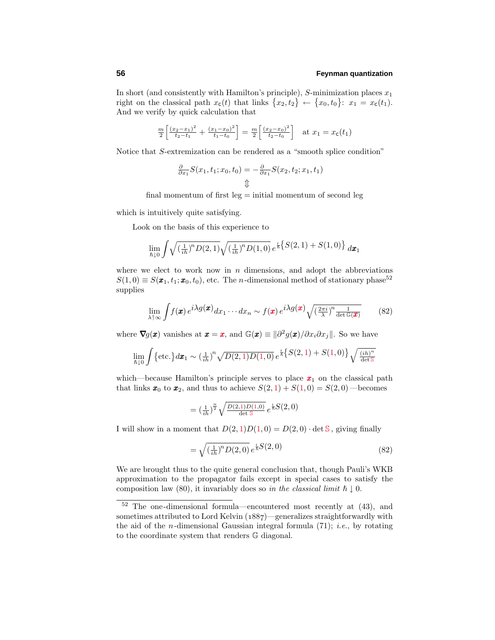In short (and consistently with Hamilton's principle), *S*-minimization places  $x_1$ right on the classical path  $x_c(t)$  that links  $\{x_2, t_2\} \leftarrow \{x_0, t_0\}$ :  $x_1 = x_c(t_1)$ . And we verify by quick calculation that

$$
\frac{m}{2} \left[ \frac{(x_2 - x_1)^2}{t_2 - t_1} + \frac{(x_1 - x_0)^2}{t_1 - t_0} \right] = \frac{m}{2} \left[ \frac{(x_2 - x_0)^2}{t_2 - t_0} \right] \text{ at } x_1 = x_c(t_1)
$$

Notice that *S*-extremization can be rendered as a "smooth splice condition"

$$
\frac{\partial}{\partial x_1} S(x_1, t_1; x_0, t_0) = -\frac{\partial}{\partial x_1} S(x_2, t_2; x_1, t_1)
$$
  

$$
\updownarrow
$$

final momentum of first  $\log =$  initial momentum of second  $\log$ 

which is intuitively quite satisfying.

Look on the basis of this experience to

$$
\lim_{\hbar \downarrow 0} \int \sqrt{\left(\frac{1}{ih}\right)^n D(2,1)} \sqrt{\left(\frac{1}{ih}\right)^n D(1,0)} \, e^{\frac{i}{\hbar} \left\{S(2,1) + S(1,0)\right\}} \, d\mathbf{x}_1
$$

where we elect to work now in  $n$  dimensions, and adopt the abbreviations  $S(1,0) \equiv S(\pmb{x}_1,t_1;\pmb{x}_0,t_0)$ , etc. The *n*-dimensional method of stationary phase<sup>52</sup> supplies

$$
\lim_{\lambda \uparrow \infty} \int f(\boldsymbol{x}) e^{i\lambda g(\boldsymbol{x})} dx_1 \cdots dx_n \sim f(\boldsymbol{x}) e^{i\lambda g(\boldsymbol{x})} \sqrt{\left(\frac{2\pi i}{\lambda}\right)^n \frac{1}{\det \mathbb{G}(\boldsymbol{x})}} \tag{82}
$$

where  $\nabla g(\boldsymbol{x})$  vanishes at  $\boldsymbol{x} = \boldsymbol{x}$ , and  $\mathbb{G}(\boldsymbol{x}) \equiv ||\partial^2 g(\boldsymbol{x})/\partial x_i \partial x_j||$ . So we have

$$
\lim_{\hbar \downarrow 0} \int \{ \text{etc.} \} d\pmb{x}_1 \sim \left(\frac{1}{i\hbar}\right)^n \sqrt{D(2, 1)D(1, 0)} e^{\frac{i}{\hbar} \left\{ S(2, 1) + S(1, 0) \right\}} \sqrt{\frac{(i\hbar)^n}{\det S}}
$$

which—because Hamilton's principle serves to place  $x_1$  on the classical path that links  $\mathbf{x}_0$  to  $\mathbf{x}_2$ , and thus to achieve  $S(2,1) + S(1,0) = S(2,0)$ —becomes

$$
= \left(\frac{1}{ih}\right)^{\frac{n}{2}} \sqrt{\frac{D(2,1)D(1,0)}{\det \mathbb{S}}} \, e^{\frac{i}{\hbar}S(2,0)
$$

I will show in a moment that  $D(2,1)D(1,0) = D(2,0) \cdot \det \mathbb{S}$ , giving finally

$$
= \sqrt{\left(\frac{1}{ih}\right)^n D(2,0)} e^{\frac{i}{\hbar}S(2,0)} \tag{82}
$$

We are brought thus to the quite general conclusion that, though Pauli's WKB approximation to the propagator fails except in special cases to satisfy the composition law (80), it invariably does so in the classical limit  $\hbar \downarrow 0$ .

 $52$  The one-dimensional formula—encountered most recently at  $(43)$ , and sometimes attributed to Lord Kelvin  $(1887)$ —generalizes straightforwardly with the aid of the *n*-dimensional Gaussian integral formula  $(71)$ ; *i.e.*, by rotating to the coordinate system that renders G diagonal.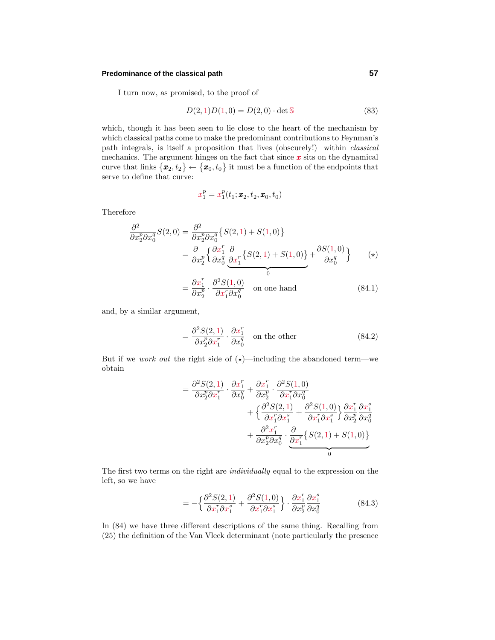#### **Predominance of the classical path 57**

I turn now, as promised, to the proof of

$$
D(2,1)D(1,0) = D(2,0) \cdot \det \mathbb{S}
$$
 (83)

which, though it has been seen to lie close to the heart of the mechanism by which classical paths come to make the predominant contributions to Feynman's path integrals, is itself a proposition that lives (obscurely!) within classical mechanics. The argument hinges on the fact that since *x* sits on the dynamical  $\{x_2, t_2\} \leftarrow \{\pmb{x}_0, t_0\}$  it must be a function of the endpoints that serve to define that curve:

$$
x_1^p=x_1^p(t_1;\pmb{x}_2,t_2,\pmb{x}_0,t_0)
$$

Therefore

$$
\frac{\partial^2}{\partial x_2^p \partial x_0^q} S(2,0) = \frac{\partial^2}{\partial x_2^p \partial x_0^q} \{ S(2,1) + S(1,0) \}
$$

$$
= \frac{\partial}{\partial x_2^p} \left\{ \frac{\partial x_1^r}{\partial x_0^q} \frac{\partial}{\partial x_1^r} \{ S(2,1) + S(1,0) \} + \frac{\partial S(1,0)}{\partial x_0^q} \right\} \qquad (*)
$$

$$
= \frac{\partial x_1^r}{\partial x_2^p} \cdot \frac{\partial^2 S(1,0)}{\partial x_1^r \partial x_0^q} \qquad \text{on one hand} \qquad (84.1)
$$

and, by a similar argument,

$$
= \frac{\partial^2 S(2,1)}{\partial x_2^p \partial x_1^r} \cdot \frac{\partial x_1^r}{\partial x_0^q} \quad \text{on the other} \tag{84.2}
$$

But if we *work out* the right side of  $(\star)$ —including the abandoned term—we obtain

$$
= \frac{\partial^2 S(2,1)}{\partial x_2 \partial x_1} \cdot \frac{\partial x_1^r}{\partial x_0^q} + \frac{\partial x_1^r}{\partial x_2^p} \cdot \frac{\partial^2 S(1,0)}{\partial x_1^r \partial x_0^q} + \left\{ \frac{\partial^2 S(2,1)}{\partial x_1^r \partial x_1^s} + \frac{\partial^2 S(1,0)}{\partial x_1^r \partial x_1^s} \right\} \frac{\partial x_1^r}{\partial x_2^p} \frac{\partial x_1^s}{\partial x_0^q} + \frac{\partial^2 x_1^r}{\partial x_2^r \partial x_0^q} \cdot \underbrace{\frac{\partial}{\partial x_1^r} \left\{ S(2,1) + S(1,0) \right\}}_{0}
$$

The first two terms on the right are individually equal to the expression on the left, so we have

$$
= -\left\{\frac{\partial^2 S(2,1)}{\partial x_1^r \partial x_1^s} + \frac{\partial^2 S(1,0)}{\partial x_1^r \partial x_1^s}\right\} \cdot \frac{\partial x_1^r}{\partial x_2^p} \frac{\partial x_1^s}{\partial x_0^q} \tag{84.3}
$$

In (84) we have three different descriptions of the same thing. Recalling from (25) the definition of the Van Vleck determinant (note particularly the presence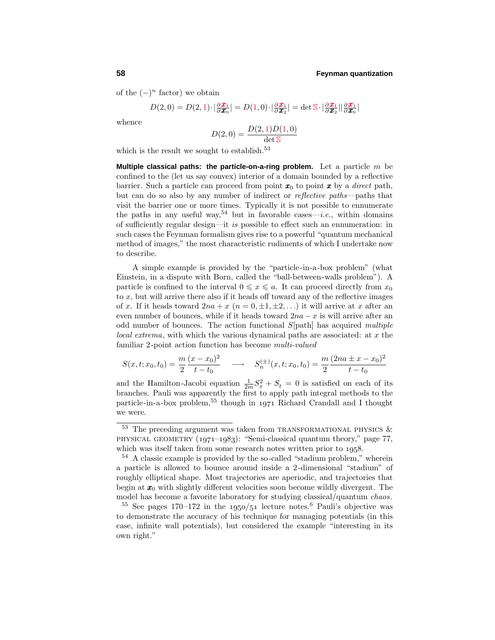of the  $(-)^n$  factor) we obtain

$$
D(2,0) = D(2,1) \cdot \left| \frac{\partial \boldsymbol{x}_1}{\partial \boldsymbol{x}_0} \right| = D(1,0) \cdot \left| \frac{\partial \boldsymbol{x}_1}{\partial \boldsymbol{x}_2} \right| = \det \mathbb{S} \cdot \left| \frac{\partial \boldsymbol{x}_1}{\partial \boldsymbol{x}_2} \right| \left| \frac{\partial \boldsymbol{x}_1}{\partial \boldsymbol{x}_0} \right|
$$

whence

$$
D(2,0) = \frac{D(2,1)D(1,0)}{\det \mathbb{S}}
$$

which is the result we sought to establish. $53$ 

**Multiple classical paths: the particle-on-a-ring problem.** Let a particle *m* be confined to the (let us say convex) interior of a domain bounded by a reflective barrier. Such a particle can proceed from point  $x_0$  to point  $x$  by a *direct* path, but can do so also by any number of indirect or reflective paths—paths that visit the barrier one or more times. Typically it is not possible to ennumerate the paths in any useful way,<sup>54</sup> but in favorable cases—i.e., within domains of sufficiently regular design—it is possible to effect such an ennumeration: in such cases the Feynman formalism gives rise to a powerful "quantum mechanical method of images," the most characteristic rudiments of which I undertake now to describe.

A simple example is provided by the "particle-in-a-box problem" (what Einstein, in a dispute with Born, called the "ball-between-walls problem"). A particle is confined to the interval  $0 \leq x \leq a$ . It can proceed directly from  $x_0$ to *x*, but will arrive there also if it heads off toward any of the reflective images of *x*. If it heads toward  $2na + x$  ( $n = 0, \pm 1, \pm 2, \ldots$ ) it will arrive at *x* after an even number of bounces, while if it heads toward 2*na* − *x* is will arrive after an odd number of bounces. The action functional *S*[path] has acquired multiple local extrema, with which the various dynamical paths are associated: at *x* the familiar 2-point action function has become multi-valued

$$
S(x, t; x_0, t_0) = \frac{m}{2} \frac{(x - x_0)^2}{t - t_0} \longrightarrow S_n^{(\pm)}(x, t; x_0, t_0) = \frac{m}{2} \frac{(2na \pm x - x_0)^2}{t - t_0}
$$

and the Hamilton-Jacobi equation  $\frac{1}{2m}S_x^2 + S_t = 0$  is satisfied on each of its branches. Pauli was apparently the first to apply path integral methods to the particle-in-a-box problem,<sup>55</sup> though in  $1971$  Richard Crandall and I thought we were.

 $53$  The preceding argument was taken from TRANSFORMATIONAL PHYSICS  $\&$ PHYSICAL GEOMETRY  $(1971-1983)$ : "Semi-classical quantum theory," page 77, which was itself taken from some research notes written prior to 1958.

 $54$  A classic example is provided by the so-called "stadium problem," wherein a particle is allowed to bounce around inside a 2-dimensional "stadium" of roughly elliptical shape. Most trajectories are aperiodic, and trajectories that begin at  $x_0$  with slightly different velocities soon become wildly divergent. The model has become a favorite laboratory for studying classical/quantum chaos.

<sup>&</sup>lt;sup>55</sup> See pages 170–172 in the  $1950/51$  lecture notes.<sup>6</sup> Pauli's objective was to demonstrate the accuracy of his technique for managing potentials (in this case, infinite wall potentials), but considered the example "interesting in its own right."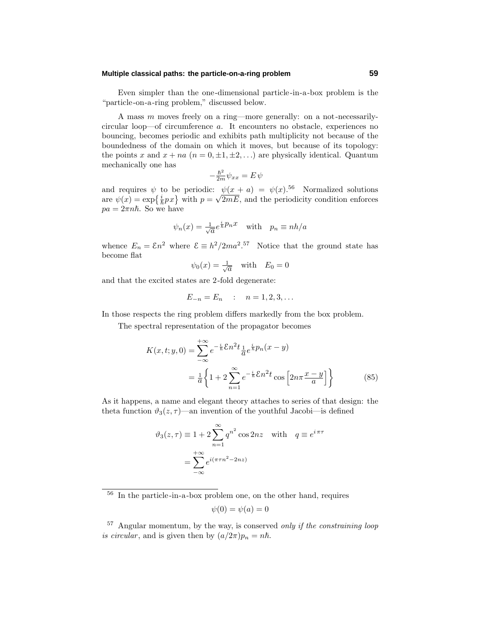# **Multiple classical paths: the particle-on-a-ring problem 59**

Even simpler than the one-dimensional particle-in-a-box problem is the "particle-on-a-ring problem," discussed below.

A mass *m* moves freely on a ring—more generally: on a not-necessarilycircular loop—of circumference *a*. It encounters no obstacle, experiences no bouncing, becomes periodic and exhibits path multiplicity not because of the boundedness of the domain on which it moves, but because of its topology: the points *x* and  $x + na$  ( $n = 0, \pm 1, \pm 2, \ldots$ ) are physically identical. Quantum mechanically one has

$$
-\frac{\hbar^2}{2m}\psi_{xx} = E\psi
$$

and requires  $\psi$  to be periodic:  $\psi(x+a) = \psi(x).^{56}$  Normalized solutions are  $\psi(x) = \exp\{\frac{i}{\hbar}px\}$  with  $p = \sqrt{2mE}$ , and the periodicity condition enforces  $pa = 2\pi n\hbar$ . So we have

$$
\psi_n(x) = \frac{1}{\sqrt{a}} e^{\frac{i}{\hbar}p_n x}
$$
 with  $p_n \equiv nh/a$ 

whence  $E_n = \mathcal{E} n^2$  where  $\mathcal{E} \equiv h^2 / 2ma^2$ .<sup>57</sup> Notice that the ground state has become flat

$$
\psi_0(x) = \frac{1}{\sqrt{a}} \quad \text{with} \quad E_0 = 0
$$

and that the excited states are 2-fold degenerate:

$$
E_{-n} = E_n \qquad : \quad n = 1, 2, 3, \dots
$$

In those respects the ring problem differs markedly from the box problem.

The spectral representation of the propagator becomes

$$
K(x,t;y,0) = \sum_{-\infty}^{+\infty} e^{-\frac{i}{\hbar}\mathcal{E}n^2t} \frac{1}{a} e^{\frac{i}{\hbar}p_n(x-y)}
$$

$$
= \frac{1}{a} \left\{ 1 + 2 \sum_{n=1}^{\infty} e^{-\frac{i}{\hbar}\mathcal{E}n^2t} \cos \left[ 2n\pi \frac{x-y}{a} \right] \right\}
$$
(85)

As it happens, a name and elegant theory attaches to series of that design: the theta function  $\vartheta_3(z,\tau)$ —an invention of the youthful Jacobi—is defined

$$
\vartheta_3(z,\tau) \equiv 1 + 2 \sum_{n=1}^{\infty} q^{n^2} \cos 2nz \quad \text{with} \quad q \equiv e^{i\pi\tau}
$$

$$
= \sum_{-\infty}^{+\infty} e^{i(\pi\tau n^2 - 2nz)}
$$

$$
\psi(0) = \psi(a) = 0
$$

<sup>56</sup> In the particle-in-a-box problem one, on the other hand, requires

 $57$  Angular momentum, by the way, is conserved only if the constraining loop is circular, and is given then by  $(a/2\pi)p_n = n\hbar$ .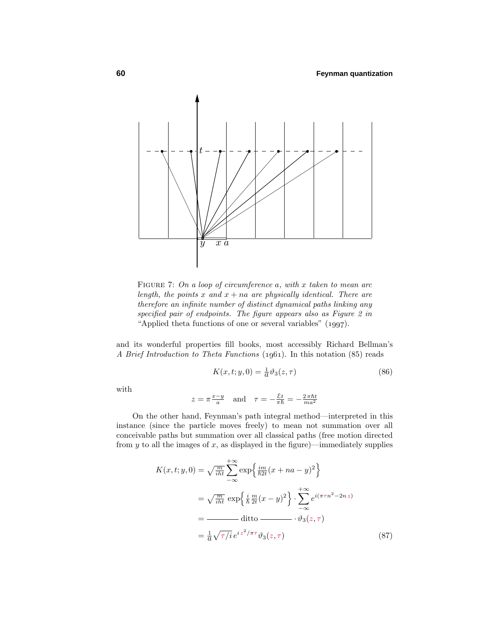

FIGURE 7: On a loop of circumference a, with x taken to mean arc length, the points  $x$  and  $x + na$  are physically identical. There are therefore an infinite number of distinct dynamical paths linking any specified pair of endpoints. The figure appears also as Figure 2 in "Applied theta functions of one or several variables"  $(1997)$ .

and its wonderful properties fill books, most accessibly Richard Bellman's A Brief Introduction to Theta Functions  $(1961)$ . In this notation  $(85)$  reads

$$
K(x,t;y,0) = \frac{1}{a}\vartheta_3(z,\tau)
$$
\n(86)

with

$$
z = \pi \frac{x - y}{a}
$$
 and  $\tau = -\frac{\mathcal{E}t}{\pi \hbar} = -\frac{2\pi \hbar t}{ma^2}$ 

On the other hand, Feynman's path integral method—interpreted in this instance (since the particle moves freely) to mean not summation over all conceivable paths but summation over all classical paths (free motion directed from  $y$  to all the images of  $x$ , as displayed in the figure)—immediately supplies

$$
K(x,t;y,0) = \sqrt{\frac{m}{i\hbar t}} \sum_{-\infty}^{+\infty} \exp\left\{\frac{i m}{\hbar 2t}(x + n a - y)^2\right\}
$$

$$
= \sqrt{\frac{m}{i\hbar t}} \exp\left\{\frac{i}{\hbar} \frac{m}{2t}(x - y)^2\right\} \cdot \sum_{-\infty}^{+\infty} e^{i(\pi \tau n^2 - 2nz)}
$$

$$
= \frac{1}{a} \sqrt{\tau/i} e^{iz^2/\pi \tau} \vartheta_3(z,\tau)
$$
(87)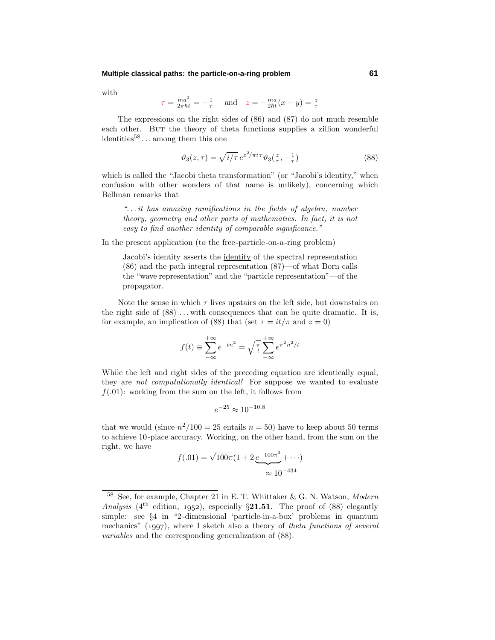#### **Multiple classical paths: the particle-on-a-ring problem 61**

with

$$
\tau = \frac{ma^2}{2\pi\hbar t} = -\frac{1}{\tau} \quad \text{and} \quad z = -\frac{ma}{2\hbar t}(x - y) = \frac{z}{\tau}
$$

The expressions on the right sides of (86) and (87) do not much resemble each other. But the theory of theta functions supplies a zillion wonderful identities<sup>58</sup> *...* among them this one

$$
\vartheta_3(z,\tau) = \sqrt{i/\tau} \, e^{z^2/\pi i \tau} \vartheta_3(\frac{z}{\tau}, -\frac{1}{\tau}) \tag{88}
$$

which is called the "Jacobi theta transformation" (or "Jacobi's identity," when confusion with other wonders of that name is unlikely), concerning which Bellman remarks that

"*...* it has amazing ramifications in the fields of algebra, number theory, geometry and other parts of mathematics. In fact, it is not easy to find another identity of comparable significance."

In the present application (to the free-particle-on-a-ring problem)

Jacobi's identity asserts the identity of the spectral representation (86) and the path integral representation (87)—of what Born calls the "wave representation" and the "particle representation"—of the propagator.

Note the sense in which  $\tau$  lives upstairs on the left side, but downstairs on the right side of (88) *...* with consequences that can be quite dramatic. It is, for example, an implication of (88) that (set  $\tau = it/\pi$  and  $z = 0$ )

$$
f(t) \equiv \sum_{-\infty}^{+\infty} e^{-tn^2} = \sqrt{\frac{\pi}{t}} \sum_{-\infty}^{+\infty} e^{\pi^2 n^2 / t}
$$

While the left and right sides of the preceding equation are identically equal, they are not computationally identical! For suppose we wanted to evaluate *f*(*.*01): working from the sum on the left, it follows from

$$
e^{-25} \approx 10^{-10.8}
$$

that we would (since  $n^2/100 = 25$  entails  $n = 50$ ) have to keep about 50 terms to achieve 10-place accuracy. Working, on the other hand, from the sum on the right, we have

$$
f(.01) = \sqrt{100\pi} (1 + 2 \underbrace{e^{-100\pi^2}}_{\approx 10^{-434}} + \cdots)
$$

<sup>58</sup> See, for example, Chapter 21 in E. T. Whittaker & G. N. Watson, Modern Analysis ( $4^{\text{th}}$  edition, 1952), especially  $\S21.51$ . The proof of (88) elegantly simple: see §4 in "2-dimensional 'particle-in-a-box' problems in quantum mechanics"  $(1997)$ , where I sketch also a theory of theta functions of several variables and the corresponding generalization of (88).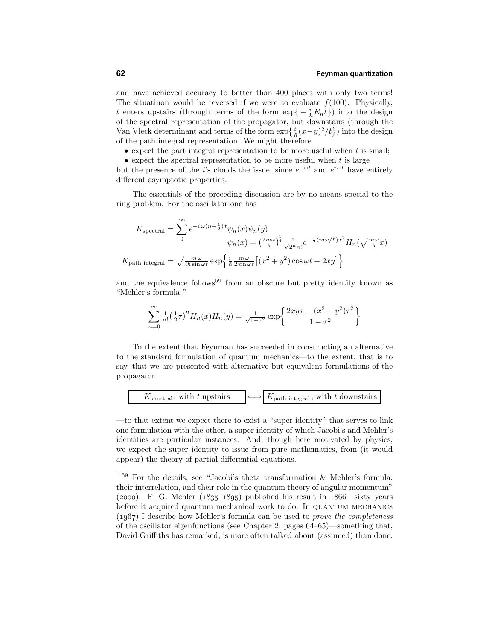and have achieved accuracy to better than 400 places with only two terms! The situatiuon would be reversed if we were to evaluate  $f(100)$ . Physically, *t* enters upstairs (through terms of the form  $\exp\{-\frac{i}{\hbar}E_nt\}$ ) into the design of the spectral representation of the propagator, but downstairs (through the Van Vleck determinant and terms of the form  $\exp\left\{\frac{i}{\hbar}(x-y)^2/t\right\}$  into the design of the path integral representation. We might therefore

• expect the part integral representation to be more useful when *t* is small;

• expect the spectral representation to be more useful when *t* is large

but the presence of the *i*'s clouds the issue, since *e*−*ωt* and *eiωt* have entirely different asymptotic properties.

The essentials of the preceding discussion are by no means special to the ring problem. For the oscillator one has

$$
K_{\text{spectral}} = \sum_{0}^{\infty} e^{-i\omega(n+\frac{1}{2})t} \psi_n(x)\psi_n(y)
$$

$$
\psi_n(x) = \left(\frac{2m\omega}{\hbar}\right)^{\frac{1}{4}} \frac{1}{\sqrt{2^n n!}} e^{-\frac{1}{2}(m\omega/\hbar)x^2} H_n(\sqrt{\frac{m\omega}{\hbar}}x)
$$

$$
K_{\text{path integral}} = \sqrt{\frac{m\omega}{i\hbar \sin \omega t}} \exp\left\{\frac{i}{\hbar} \frac{m\omega}{2\sin \omega t} \left[ (x^2 + y^2) \cos \omega t - 2xy \right] \right\}
$$

and the equivalence follows<sup>59</sup> from an obscure but pretty identity known as "Mehler's formula:"

$$
\sum_{n=0}^{\infty} \frac{1}{n!} \left(\frac{1}{2}\tau\right)^n H_n(x) H_n(y) = \frac{1}{\sqrt{1-\tau^2}} \exp\left\{\frac{2xy\tau - (x^2 + y^2)\tau^2}{1-\tau^2}\right\}
$$

To the extent that Feynman has succeeded in constructing an alternative to the standard formulation of quantum mechanics—to the extent, that is to say, that we are presented with alternative but equivalent formulations of the propagator

$$
K_{\text{spectral}}, \text{ with } t \text{ upstairs} \qquad \Longleftrightarrow \qquad K_{\text{path integral}}, \text{ with } t \text{ downstairs}
$$

—to that extent we expect there to exist a "super identity" that serves to link one formulation with the other, a super identity of which Jacobi's and Mehler's identities are particular instances. And, though here motivated by physics, we expect the super identity to issue from pure mathematics, from (it would appear) the theory of partial differential equations.

 $59$  For the details, see "Jacobi's theta transformation & Mehler's formula: their interrelation, and their role in the quantum theory of angular momentum"  $(2000)$ . F. G. Mehler  $(1835-1895)$  published his result in  $1866$ —sixty years before it acquired quantum mechanical work to do. In quantum mechanics  $(1967)$  I describe how Mehler's formula can be used to *prove the completeness* of the oscillator eigenfunctions (see Chapter 2, pages 64–65)—something that, David Griffiths has remarked, is more often talked about (assumed) than done.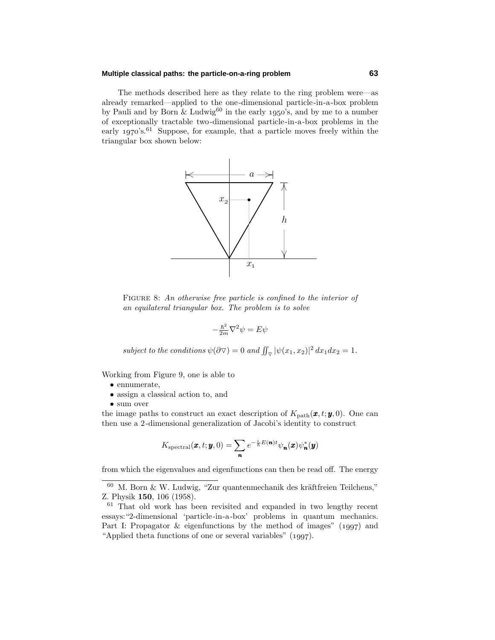### **Multiple classical paths: the particle-on-a-ring problem 63**

The methods described here as they relate to the ring problem were—as already remarked—applied to the one-dimensional particle-in-a-box problem by Pauli and by Born & Ludwig<sup>60</sup> in the early 1950's, and by me to a number of exceptionally tractable two-dimensional particle-in-a-box problems in the early  $1970$ 's.<sup>61</sup> Suppose, for example, that a particle moves freely within the triangular box shown below:



FIGURE 8: An otherwise free particle is confined to the interior of an equilateral triangular box. The problem is to solve

$$
-\frac{\hbar^2}{2m}\nabla^2\psi = E\psi
$$

subject to the conditions  $\psi(\partial \nabla) = 0$  and  $\iint_{\nabla} |\psi(x_1, x_2)|^2 dx_1 dx_2 = 1$ .

Working from Figure 9, one is able to

- ennumerate,
- assign a classical action to, and
- sum over

the image paths to construct an exact description of  $K_{\text{path}}(\boldsymbol{x}, t; \boldsymbol{y}, 0)$ . One can then use a 2-dimensional generalization of Jacobi's identity to construct

$$
K_{\text{spectral}}(\pmb{x},t;\pmb{y},0)=\sum_{\pmb{n}}e^{-\frac{i}{\hbar}E(\pmb{n})t}\psi_{\pmb{n}}(\pmb{x})\psi_{\pmb{n}}^*(\pmb{y})
$$

from which the eigenvalues and eigenfunctions can then be read off. The energy

 $60$  M. Born & W. Ludwig, "Zur quantenmechanik des kräftfreien Teilchens," Z. Physik **150**, 106 (1958).

<sup>61</sup> That old work has been revisited and expanded in two lengthy recent essays:"2-dimensional 'particle-in-a-box' problems in quantum mechanics. Part I: Propagator & eigenfunctions by the method of images"  $(1997)$  and "Applied theta functions of one or several variables"  $(1997)$ .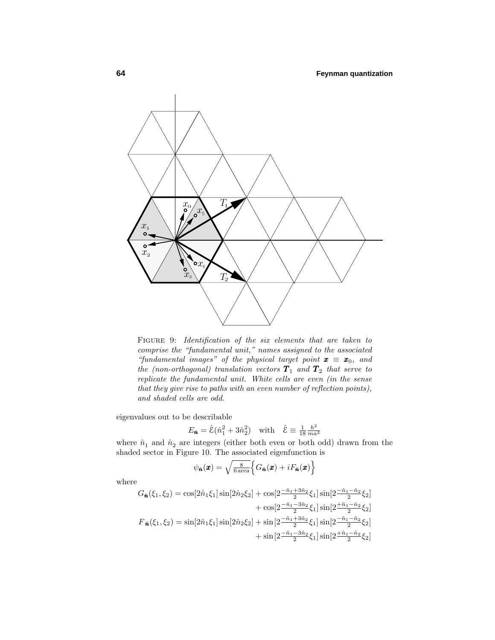

FIGURE 9: Identification of the six elements that are taken to comprise the "fundamental unit," names assigned to the associated "fundamental images" of the physical target point  $\mathbf{x} \equiv \mathbf{x}_0$ , and the (non-orthogonal) translation vectors  $T_1$  and  $T_2$  that serve to replicate the fundamental unit. White cells are even (in the sense that they give rise to paths with an even number of reflection points), and shaded cells are odd.

eigenvalues out to be describable

$$
E_{\hat{\mathbf{n}}} = \hat{\mathcal{E}}(\hat{n}_1^2 + 3\hat{n}_2^2) \quad \text{with} \quad \hat{\mathcal{E}} \equiv \frac{1}{18} \frac{h^2}{ma^2}
$$

where  $\hat{n}_1$  and  $\hat{n}_2$  are integers (either both even or both odd) drawn from the shaded sector in Figure 10. The associated eigenfunction is

$$
\psi_{\hat{\boldsymbol{n}}}(\boldsymbol{x}) = \sqrt{\frac{8}{6 \text{ area}}} \Big\{ G_{\hat{\boldsymbol{n}}}(\boldsymbol{x}) + i F_{\hat{\boldsymbol{n}}}(\boldsymbol{x}) \Big\}
$$

where

$$
G_{\hat{n}}(\xi_1, \xi_2) = \cos[2\hat{n}_1 \xi_1] \sin[2\hat{n}_2 \xi_2] + \cos[2\frac{-\hat{n}_1 + 3\hat{n}_2}{2} \xi_1] \sin[2\frac{-\hat{n}_1 - \hat{n}_2}{2} \xi_2] + \cos[2\frac{-\hat{n}_1 - 3\hat{n}_2}{2} \xi_1] \sin[2\frac{+\hat{n}_1 - \hat{n}_2}{2} \xi_2] F_{\hat{n}}(\xi_1, \xi_2) = \sin[2\hat{n}_1 \xi_1] \sin[2\hat{n}_2 \xi_2] + \sin[2\frac{-\hat{n}_1 + 3\hat{n}_2}{2} \xi_1] \sin[2\frac{-\hat{n}_1 - \hat{n}_2}{2} \xi_2] + \sin[2\frac{-\hat{n}_1 - 3\hat{n}_2}{2} \xi_1] \sin[2\frac{+\hat{n}_1 - \hat{n}_2}{2} \xi_2]
$$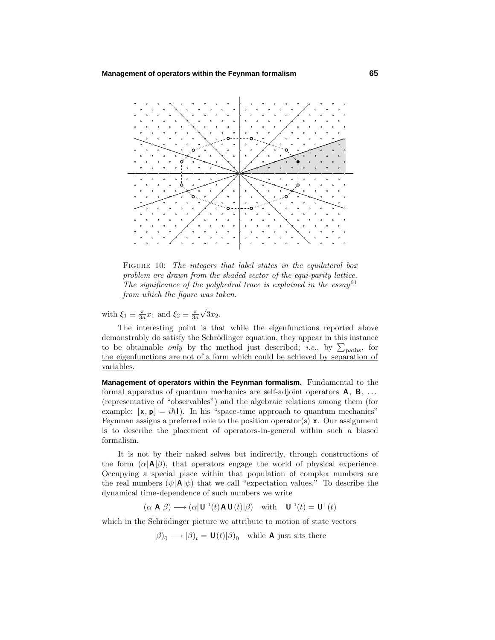**Management of operators within the Feynman formalism 65**



FIGURE 10: The integers that label states in the equilateral box problem are drawn from the shaded sector of the equi-parity lattice. The significance of the polyhedral trace is explained in the  $essay^{61}$ from which the figure was taken.

with  $\xi_1 \equiv \frac{\pi}{3a} x_1$  and  $\xi_2 \equiv \frac{\pi}{3a} \sqrt{3} x_2$ .

The interesting point is that while the eigenfunctions reported above demonstrably do satisfy the Schrödinger equation, they appear in this instance to be obtainable *only* by the method just described; *i.e.*, by  $\sum_{\text{paths}}$ , for the eigenfunctions are not of a form which could be achieved by separation of variables.

**Management of operators within the Feynman formalism.** Fundamental to the formal apparatus of quantum mechanics are self-adjoint operators **A**, **B**, *...* (representative of "observables") and the algebraic relations among them (for example:  $[\mathbf{x}, \mathbf{p}] = i\hbar \mathbf{I}$ . In his "space-time approach to quantum mechanics" Feynman assigns a preferred role to the position operator(s)  $x$ . Our assignment is to describe the placement of operators-in-general within such a biased formalism.

It is not by their naked selves but indirectly, through constructions of the form  $(\alpha | \mathbf{A} | \beta)$ , that operators engage the world of physical experience. Occupying a special place within that population of complex numbers are the real numbers  $(\psi | A | \psi)$  that we call "expectation values." To describe the dynamical time-dependence of such numbers we write

$$
(\alpha|\mathbf{A}|\beta)\longrightarrow(\alpha|\mathbf{U}^{\text{-}1}(t)\mathbf{A}\mathbf{U}(t)|\beta)\quad\text{with}\quad\mathbf{U}^{\text{-}1}(t)=\mathbf{U}^{\text{+}}(t)
$$

which in the Schrödinger picture we attribute to motion of state vectors

 $|\beta)_0 \longrightarrow |\beta)_t = \mathbf{U}(t)|\beta|_0$  while **A** just sits there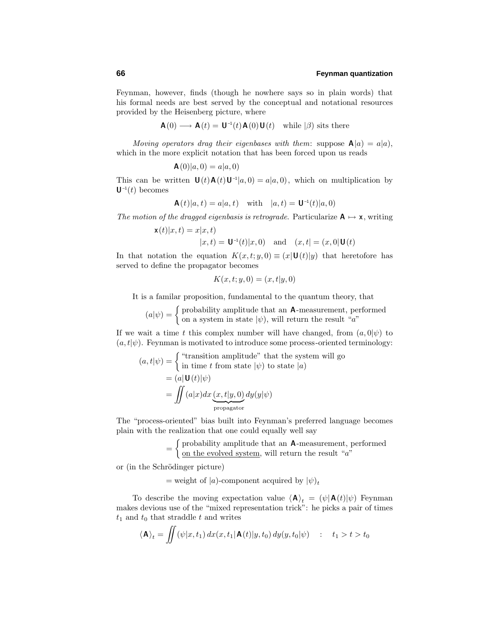Feynman, however, finds (though he nowhere says so in plain words) that his formal needs are best served by the conceptual and notational resources provided by the Heisenberg picture, where

$$
\mathbf{A}(0) \longrightarrow \mathbf{A}(t) = \mathbf{U}^{-1}(t)\mathbf{A}(0)\mathbf{U}(t) \text{ while } |\beta) \text{ sits there}
$$

Moving operators drag their eigenbases with them: suppose  $A|a$  =  $a|a$ , which in the more explicit notation that has been forced upon us reads

$$
\mathbf{A}(0)|a,0) = a|a,0)
$$

This can be written  $U(t)A(t)U^{-1}(a, 0) = a|a, 0)$ , which on multiplication by  $U^{-1}(t)$  becomes

$$
\mathbf{A}(t)|a,t) = a|a,t) \text{ with } |a,t) = \mathbf{U}^{-1}(t)|a,0)
$$

The motion of the dragged eigenbasis is retrograde. Particularize  $A \mapsto x$ , writing

$$
\mathbf{x}(t)|x,t) = x|x,t)
$$
  
\n $|x,t) = \mathbf{U}^{-1}(t)|x,0$  and  $(x,t) = (x,0|\mathbf{U}(t))$ 

In that notation the equation  $K(x, t; y, 0) \equiv (x | \mathbf{U}(t)|y)$  that heretofore has served to define the propagator becomes

$$
K(x, t; y, 0) = (x, t|y, 0)
$$

It is a familar proposition, fundamental to the quantum theory, that

 $(a|\psi) = \begin{cases} \text{probability amplitude that an } \mathbf{A}\text{-measurement, performed} \\ \text{on a system in state } |\psi\rangle, \text{ will return the result "a"} \end{cases}$ 

If we wait a time *t* this complex number will have changed, from  $(a, 0|\psi)$  to  $(a, t | \psi)$ . Feynman is motivated to introduce some process-oriented terminology:

$$
(a, t | \psi) = \begin{cases} \text{``transition amplitude'' that the system will go} \\ \text{in time } t \text{ from state } |\psi) \text{ to state } |a) \end{cases}
$$

$$
= (a | \mathbf{U}(t) | \psi)
$$

$$
= \iint (a | x) dx \underbrace{(x, t | y, 0)}_{\text{propagator}} dy(y | \psi)
$$

The "process-oriented" bias built into Feynman's preferred language becomes plain with the realization that one could equally well say

$$
= \begin{cases} \text{probability amplitude that an } \mathbf{A}\text{-measurement, performed} \\ \text{on the evolved system, will return the result "a" \end{cases}
$$

or (in the Schrödinger picture)

 $=$  weight of  $|a\rangle$ -component acquired by  $|\psi\rangle_t$ 

To describe the moving expectation value  $\langle \mathbf{A} \rangle_t = (\psi | \mathbf{A}(t) | \psi)$  Feynman makes devious use of the "mixed representation trick": he picks a pair of times  $t_1$  and  $t_0$  that straddle  $t$  and writes

$$
\langle \mathbf{A} \rangle_t = \iint (\psi |x, t_1) dx(x, t_1 | \mathbf{A}(t) | y, t_0) dy(y, t_0 | \psi) \quad : \quad t_1 > t > t_0
$$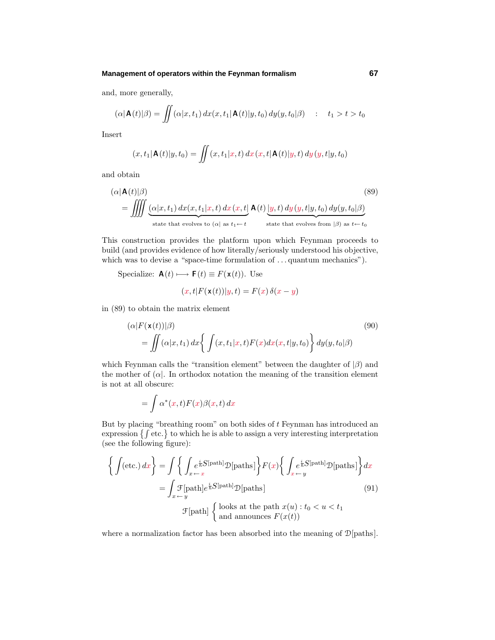and, more generally,

$$
(\alpha|\mathbf{A}(t)|\beta) = \iint (\alpha|x,t_1) dx(x,t_1|\mathbf{A}(t)|y,t_0) dy(y,t_0|\beta) \quad : \quad t_1 > t > t_0
$$

Insert

$$
(x,t_1|\mathbf{A}(t)|y,t_0) = \iint (x,t_1|x,t) dx (x,t|\mathbf{A}(t)|y,t) dy (y,t|y,t_0)
$$

and obtain

$$
(\alpha | \mathbf{A}(t) | \beta)
$$
\n
$$
= \iiint_{\text{state that evolves to }(\alpha | \text{ as } t_1 \leftarrow t)} dx(x, t_1 | x, t) dx(x, t | \mathbf{A}(t) | y, t) dy(y, t | y, t_0) dy(y, t_0 | \beta)
$$
\n
$$
\text{state that evolves to } (\alpha | \text{ as } t_1 \leftarrow t) \qquad \text{state that evolves from } |\beta) \text{ as } t \leftarrow t_0
$$
\n
$$
(89)
$$

This construction provides the platform upon which Feynman proceeds to build (and provides evidence of how literally/seriously understood his objective, which was to devise a "space-time formulation of ... quantum mechanics").

Specialize:  $\mathbf{A}(t) \longmapsto \mathbf{F}(t) \equiv F(\mathbf{x}(t))$ . Use

$$
(x,t|F(\mathbf{x}(t))|y,t) = F(x)\,\delta(x-y)
$$

in (89) to obtain the matrix element

$$
(\alpha|F(\mathbf{x}(t))|\beta)
$$
  
= 
$$
\iint (\alpha|x,t_1) dx \left\{ \int (x,t_1|x,t)F(x)dx(x,t|y,t_0) \right\} dy(y,t_0|\beta)
$$
 (90)

which Feynman calls the "transition element" between the daughter of |*β*) and the mother of  $(\alpha)$ . In orthodox notation the meaning of the transition element is not at all obscure:

$$
= \int \alpha^*(x,t) F(x) \beta(x,t) \, dx
$$

But by placing "breathing room" on both sides of *t* Feynman has introduced an expression  $\{\int$  etc. to which he is able to assign a very interesting interpretation (see the following figure):

$$
\left\{ \int (\text{etc.}) dx \right\} = \int \left\{ \int_{x \leftarrow x} e^{\frac{i}{\hbar} S[\text{path}]} \mathcal{D}[\text{paths}] \right\} F(x) \left\{ \int_{x \leftarrow y} e^{\frac{i}{\hbar} S[\text{path}]} \mathcal{D}[\text{paths}] \right\} dx
$$

$$
= \int_{x \leftarrow y} \mathcal{F}[\text{path}] e^{\frac{i}{\hbar} S[\text{path}]} \mathcal{D}[\text{paths}] \qquad (91)
$$

$$
\mathcal{F}[\text{path}] \left\{ \text{ looks at the path } x(u) : t_0 < u < t_1
$$

$$
\text{and announces } F(x(t)) \right\}
$$

where a normalization factor has been absorbed into the meaning of  $\mathcal{D}[\text{paths}]$ .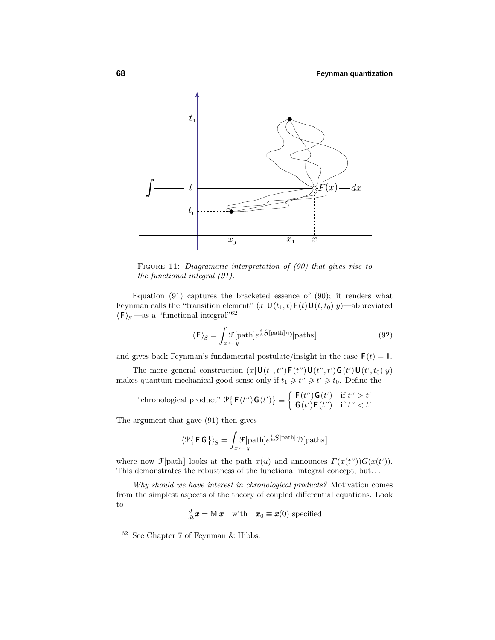

FIGURE 11: Diagramatic interpretation of (90) that gives rise to the functional integral (91).

Equation (91) captures the bracketed essence of (90); it renders what Feynman calls the "transition element"  $(x | U(t_1, t) F(t) U(t, t_0) | y)$ —abbreviated  $\langle \mathsf{F} \rangle_S$  —as a "functional integral"<br> $^{62}$ 

$$
\langle \mathbf{F} \rangle_{S} = \int_{x \leftarrow y} \mathcal{F}[\text{path}] e^{\frac{i}{\hbar} S[\text{path}]} \mathcal{D}[\text{paths}] \tag{92}
$$

and gives back Feynman's fundamental postulate/insight in the case  $F(t) = I$ .

The more general construction  $(x | \mathbf{U}(t_1, t'') \mathbf{F}(t'') \mathbf{U}(t'', t') \mathbf{G}(t') \mathbf{U}(t', t_0) | y)$ makes quantum mechanical good sense only if  $t_1 \geq t'' \geq t_0$ . Define the

"chronological product" 
$$
\mathcal{P}\{\mathbf{F}(t'')\mathbf{G}(t')\} \equiv \begin{cases} \mathbf{F}(t'')\mathbf{G}(t') & \text{if } t'' > t' \\ \mathbf{G}(t')\mathbf{F}(t'') & \text{if } t'' < t' \end{cases}
$$

The argument that gave (91) then gives

$$
\langle \mathfrak{P}\{\mathop{\bf F}{\bf G}\} \rangle_S = \int_x \mathfrak{F}[{\rm path}] e^{\frac{i}{\hbar}S[{\rm path}]} \mathfrak{D}[{\rm paths}]
$$

where now  $\mathcal{F}[\text{path}]$  looks at the path  $x(u)$  and announces  $F(x(t'))G(x(t'))$ . This demonstrates the rebustness of the functional integral concept, but*...*

Why should we have interest in chronological products? Motivation comes from the simplest aspects of the theory of coupled differential equations. Look to

$$
\frac{d}{dt}\boldsymbol{x} = \mathbb{M}\boldsymbol{x} \quad \text{with} \quad \boldsymbol{x}_0 \equiv \boldsymbol{x}(0) \text{ specified}
$$

 $62$  See Chapter 7 of Feynman & Hibbs.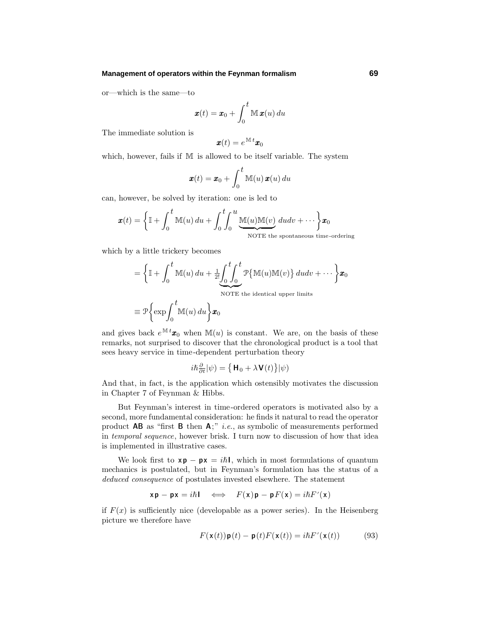#### **Management of operators within the Feynman formalism 69**

or—which is the same—to

$$
\boldsymbol{x}(t) = \boldsymbol{x}_0 + \int_0^t \mathbb{M} \, \boldsymbol{x}(u) \, du
$$

The immediate solution is

$$
\pmb{x}(t) = e^{\mathbb{M}\,t}\pmb{x}_0
$$

which, however, fails if M is allowed to be itself variable. The system

$$
\boldsymbol{x}(t) = \boldsymbol{x}_0 + \int_0^t \mathbb{M}(u) \, \boldsymbol{x}(u) \, du
$$

can, however, be solved by iteration: one is led to

$$
\boldsymbol{x}(t) = \left\{ \mathbb{I} + \int_0^t \mathbb{M}(u) \, du + \int_0^t \int_0^u \underbrace{\mathbb{M}(u)\mathbb{M}(v)}_{\text{NOTE the spontaneous time-ordering}} \, du \right\}
$$

which by a little trickery becomes

$$
= \left\{ \mathbb{I} + \int_0^t \mathbb{M}(u) du + \frac{1}{2!} \underbrace{\int_0^t \int_0^t} \mathcal{P}\big\{ \mathbb{M}(u) \mathbb{M}(v) \big\} du dv + \cdots \right\} \mathbf{x}_0
$$
  
NOTE the identical upper limits

$$
\equiv \mathcal{P}\biggl\{\exp \!\int_0^t\! \mathbb{M}(u)\,du\biggr\}\pmb{x}_0
$$

and gives back  $e^{Mt}x_0$  when  $M(u)$  is constant. We are, on the basis of these remarks, not surprised to discover that the chronological product is a tool that sees heavy service in time-dependent perturbation theory

$$
i\hslash\frac{\partial}{\partial t}|\psi) = \left\{\mathbf{H}_0 + \lambda \mathbf{V}(t)\right\}|\psi)
$$

And that, in fact, is the application which ostensibly motivates the discussion in Chapter 7 of Feynman & Hibbs.

But Feynman's interest in time-ordered operators is motivated also by a second, more fundamental consideration: he finds it natural to read the operator product **AB** as "first **B** then **A**;" i.e., as symbolic of measurements performed in temporal sequence, however brisk. I turn now to discussion of how that idea is implemented in illustrative cases.

We look first to  $xp - px = i\hbar l$ , which in most formulations of quantum mechanics is postulated, but in Feynman's formulation has the status of a deduced consequence of postulates invested elsewhere. The statement

$$
\mathbf{x}\,\mathbf{p} - \mathbf{p}\mathbf{x} = i\hbar \mathbf{I} \quad \Longleftrightarrow \quad F(\mathbf{x})\mathbf{p} - \mathbf{p}\,F(\mathbf{x}) = i\hbar F'(\mathbf{x})
$$

if  $F(x)$  is sufficiently nice (developable as a power series). In the Heisenberg picture we therefore have

$$
F(\mathbf{x}(t))\mathbf{p}(t) - \mathbf{p}(t)F(\mathbf{x}(t)) = i\hbar F'(\mathbf{x}(t))
$$
 (93)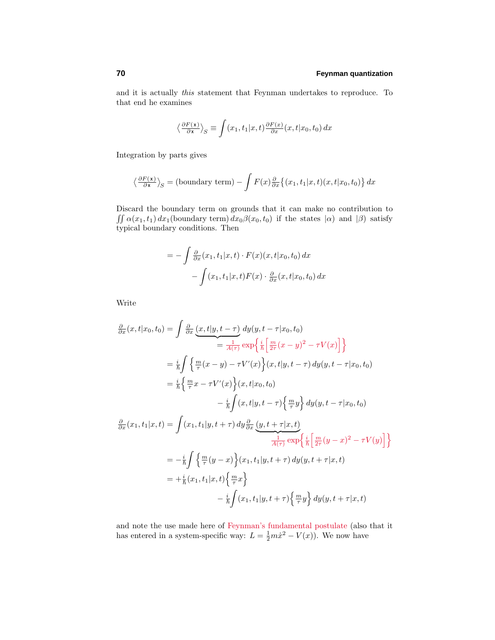and it is actually this statement that Feynman undertakes to reproduce. To that end he examines

$$
\left\langle \frac{\partial F(x)}{\partial x} \right\rangle_S \equiv \int (x_1, t_1 | x, t) \frac{\partial F(x)}{\partial x} (x, t | x_0, t_0) dx
$$

Integration by parts gives

$$
\left\langle \frac{\partial F(x)}{\partial x} \right\rangle_S = \left(\text{boundary term} \right) - \int F(x) \frac{\partial}{\partial x} \left\{ (x_1, t_1 | x, t)(x, t | x_0, t_0) \right\} dx
$$

Discard the boundary term on grounds that it can make no contribution to  $\iint \alpha(x_1, t_1) dx_1$ (boundary term)  $dx_0 \beta(x_0, t_0)$  if the states  $\alpha$  and  $\beta$  satisfy typical boundary conditions. Then

$$
= -\int \frac{\partial}{\partial x}(x_1, t_1 | x, t) \cdot F(x)(x, t | x_0, t_0) dx
$$

$$
- \int (x_1, t_1 | x, t) F(x) \cdot \frac{\partial}{\partial x}(x, t | x_0, t_0) dx
$$

Write

$$
\frac{\partial}{\partial x}(x,t|x_0,t_0) = \int \frac{\partial}{\partial x} \underbrace{(x,t|y,t-\tau)}_{=\frac{1}{A(\tau)}} dy(y,t-\tau|x_0,t_0)
$$
\n
$$
= \frac{i}{A(\tau)} \exp\left\{\frac{i}{\hbar} \left[\frac{m}{2\tau}(x-y)^2 - \tau V(x)\right]\right\}
$$
\n
$$
= \frac{i}{\hbar} \int \left\{\frac{m}{\tau}(x-y) - \tau V'(x)\right\} (x,t|y,t-\tau) dy(y,t-\tau|x_0,t_0)
$$
\n
$$
= \frac{i}{\hbar} \left\{\frac{m}{\tau}x - \tau V'(x)\right\} (x,t|x_0,t_0)
$$
\n
$$
- \frac{i}{\hbar} \int (x,t|y,t-\tau) \left\{\frac{m}{\tau}y\right\} dy(y,t-\tau|x_0,t_0)
$$
\n
$$
\frac{\partial}{\partial x}(x_1,t_1|x,t) = \int (x_1,t_1|y,t+\tau) dy \frac{\partial}{\partial x} \underbrace{(y,t+\tau|x,t)}_{\overline{A(\tau)}} \exp\left\{\frac{i}{\hbar} \left[\frac{m}{2\tau}(y-x)^2 - \tau V(y)\right]\right\}
$$
\n
$$
= -\frac{i}{\hbar} \int \left\{\frac{m}{\tau}(y-x)\right\} (x_1,t_1|y,t+\tau) dy(y,t+\tau|x,t)
$$
\n
$$
= +\frac{i}{\hbar}(x_1,t_1|x,t) \left\{\frac{m}{\tau}x\right\}
$$
\n
$$
- \frac{i}{\hbar} \int (x_1,t_1|y,t+\tau) \left\{\frac{m}{\tau}y\right\} dy(y,t+\tau|x,t)
$$

and note the use made here of Feynman's fundamental postulate (also that it has entered in a system-specific way:  $L = \frac{1}{2}m\dot{x}^2 - V(x)$ . We now have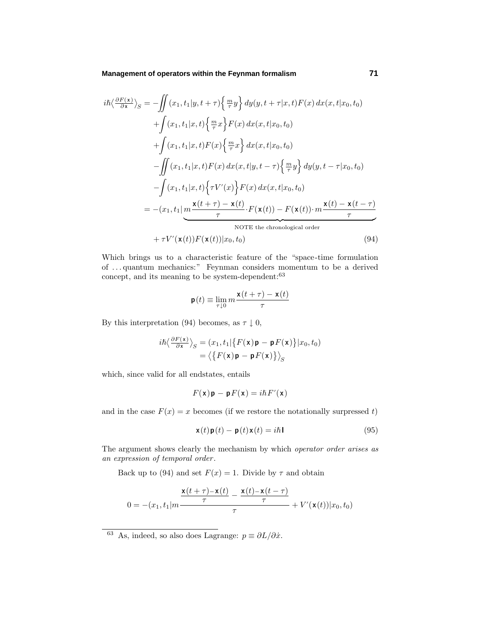**Management of operators within the Feynman formalism 71**

$$
i\hbar \langle \frac{\partial F(\mathbf{x})}{\partial \mathbf{x}} \rangle_{S} = -\iint (x_{1}, t_{1}|y, t + \tau) \left\{ \frac{m}{\tau} y \right\} dy(y, t + \tau |x, t) F(x) dx(x, t | x_{0}, t_{0})
$$
  
+ 
$$
\int (x_{1}, t_{1}|x, t) \left\{ \frac{m}{\tau} x \right\} F(x) dx(x, t | x_{0}, t_{0})
$$
  
+ 
$$
\int (x_{1}, t_{1}|x, t) F(x) \left\{ \frac{m}{\tau} x \right\} dx(x, t | x_{0}, t_{0})
$$
  
- 
$$
\iint (x_{1}, t_{1}|x, t) F(x) dx(x, t | y, t - \tau) \left\{ \frac{m}{\tau} y \right\} dy(y, t - \tau | x_{0}, t_{0})
$$
  
- 
$$
\int (x_{1}, t_{1}|x, t) \left\{ \tau V'(x) \right\} F(x) dx(x, t | x_{0}, t_{0})
$$
  
= 
$$
-(x_{1}, t_{1}| \underbrace{m \frac{\mathbf{x}(t + \tau) - \mathbf{x}(t)}{\tau} \cdot F(\mathbf{x}(t)) - F(\mathbf{x}(t)) \cdot m \frac{\mathbf{x}(t) - \mathbf{x}(t - \tau)}{\tau})}{\text{NOTE the chronological order}}
$$
  
+ 
$$
+ \tau V'(\mathbf{x}(t)) F(\mathbf{x}(t)) | x_{0}, t_{0})
$$
(94)

Which brings us to a characteristic feature of the "space-time formulation of *...* quantum mechanics:" Feynman considers momentum to be a derived concept, and its meaning to be system-dependent:  $63$ 

$$
\mathbf{p}(t) \equiv \lim_{\tau \downarrow 0} m \frac{\mathbf{x}(t + \tau) - \mathbf{x}(t)}{\tau}
$$

By this interpretation (94) becomes, as  $\tau \downarrow 0$ ,

$$
i\hbar \langle \frac{\partial F(\mathbf{x})}{\partial \mathbf{x}} \rangle_S = (x_1, t_1 | \{ F(\mathbf{x}) \mathbf{p} - \mathbf{p} F(\mathbf{x}) \} | x_0, t_0 )
$$
  
= \langle \{ F(\mathbf{x}) \mathbf{p} - \mathbf{p} F(\mathbf{x}) \} \rangle\_S

which, since valid for all endstates, entails

$$
F(\mathbf{x})\mathbf{p} - \mathbf{p}F(\mathbf{x}) = i\hbar F'(\mathbf{x})
$$

and in the case  $F(x) = x$  becomes (if we restore the notationally surpressed *t*)

$$
\mathbf{x}(t)\mathbf{p}(t) - \mathbf{p}(t)\mathbf{x}(t) = i\hbar \mathbf{I}
$$
\n(95)

The argument shows clearly the mechanism by which operator order arises as an expression of temporal order .

Back up to (94) and set  $F(x) = 1$ . Divide by  $\tau$  and obtain

$$
0 = -(x_1, t_1|m) \frac{\frac{\mathbf{x}(t+\tau) - \mathbf{x}(t)}{\tau} - \frac{\mathbf{x}(t) - \mathbf{x}(t-\tau)}{\tau}}{\tau} + V'(\mathbf{x}(t))|x_0, t_0)
$$

<sup>63</sup> As, indeed, so also does Lagrange:  $p \equiv \partial L / \partial \dot{x}$ .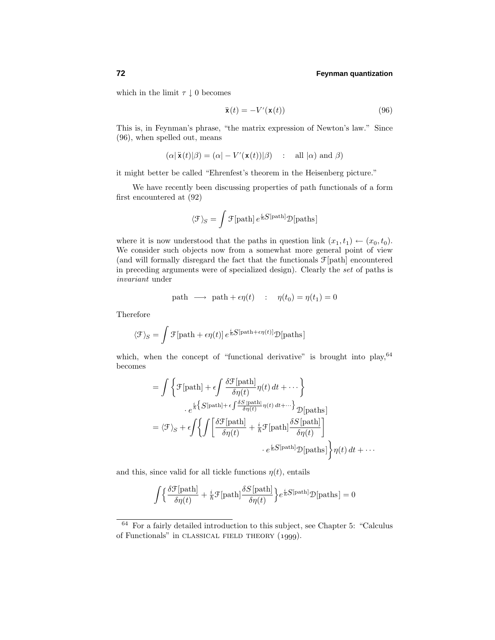which in the limit  $\tau \downarrow 0$  becomes

$$
\ddot{\mathbf{x}}(t) = -V'(\mathbf{x}(t))\tag{96}
$$

This is, in Feynman's phrase, "the matrix expression of Newton's law." Since (96), when spelled out, means

$$
(\alpha | \ddot{\mathbf{x}}(t) | \beta) = (\alpha | - V'(\mathbf{x}(t)) | \beta) \quad : \text{ all } |\alpha) \text{ and } \beta)
$$

it might better be called "Ehrenfest's theorem in the Heisenberg picture."

We have recently been discussing properties of path functionals of a form first encountered at (92)

$$
\langle \mathcal{F} \rangle_S = \int \mathcal{F}[\text{path}] \, e^{\frac{i}{\hbar} S[\text{path}]} \mathcal{D}[\text{paths}]
$$

where it is now understood that the paths in question link  $(x_1, t_1) \leftarrow (x_0, t_0)$ . We consider such objects now from a somewhat more general point of view (and will formally disregard the fact that the functionals  $\mathcal{F}[path]$  encountered in preceding arguments were of specialized design). Clearly the set of paths is invariant under

path 
$$
\longrightarrow
$$
 path +  $\epsilon \eta(t)$  :  $\eta(t_0) = \eta(t_1) = 0$ 

Therefore

$$
\langle \mathcal{F} \rangle_S = \int \mathcal{F}[\text{path} + \epsilon \eta(t)] e^{\frac{i}{\hbar}S[\text{path} + \epsilon \eta(t)]} \mathcal{D}[\text{paths}]
$$

which, when the concept of "functional derivative" is brought into  $play<sub>1</sub><sup>64</sup>$ becomes

$$
= \int \left\{ \mathcal{F}[\text{path}] + \epsilon \int \frac{\delta \mathcal{F}[\text{path}]}{\delta \eta(t)} \eta(t) dt + \cdots \right\}
$$

$$
\cdot e^{\frac{i}{\hbar} \left\{ S[\text{path}] + \epsilon \int \frac{\delta S[\text{path}]}{\delta \eta(t)} \eta(t) dt + \cdots \right\}} \mathcal{D}[\text{paths}]
$$

$$
= \langle \mathcal{F} \rangle_S + \epsilon \int \left\{ \int \left[ \frac{\delta \mathcal{F}[\text{path}]}{\delta \eta(t)} + \frac{i}{\hbar} \mathcal{F}[\text{path}] \frac{\delta S[\text{path}]}{\delta \eta(t)} \right] + \frac{i}{\hbar} \mathcal{F}[\text{path}] \mathcal{F}[\text{paths}] \right\} \eta(t) dt + \cdots
$$

and this, since valid for all tickle functions  $\eta(t)$ , entails

$$
\int \left\{ \frac{\delta \mathcal{F}[\text{path}]}{\delta \eta(t)} + \frac{i}{\hbar} \mathcal{F}[\text{path}] \frac{\delta S[\text{path}]}{\delta \eta(t)} \right\} e^{\frac{i}{\hbar} S[\text{path}]} \mathcal{D}[\text{paths}] = 0
$$

<sup>64</sup> For a fairly detailed introduction to this subject, see Chapter 5: "Calculus of Functionals" in CLASSICAL FIELD THEORY (1999).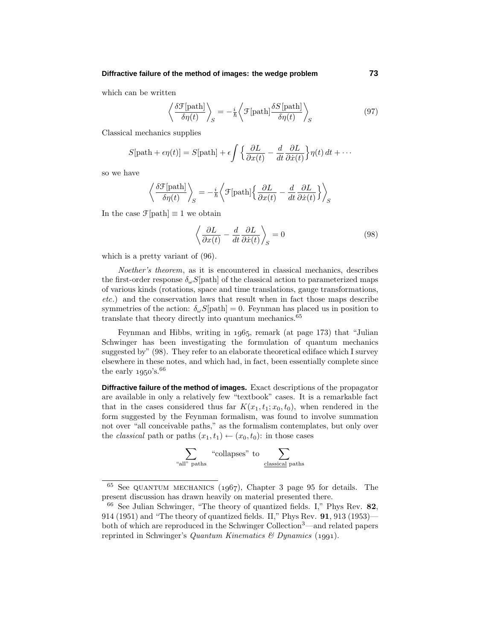which can be written

$$
\left\langle \frac{\delta \mathcal{F}[\text{path}]}{\delta \eta(t)} \right\rangle_{S} = -\frac{i}{\hbar} \left\langle \mathcal{F}[\text{path}] \frac{\delta S[\text{path}]}{\delta \eta(t)} \right\rangle_{S} \tag{97}
$$

Classical mechanics supplies

$$
S[\text{path} + \epsilon \eta(t)] = S[\text{path}] + \epsilon \int \left\{ \frac{\partial L}{\partial x(t)} - \frac{d}{dt} \frac{\partial L}{\partial \dot{x}(t)} \right\} \eta(t) dt + \cdots
$$

so we have

$$
\left\langle \frac{\delta \mathcal{F}[\text{path}]}{\delta \eta(t)} \right\rangle_{S} = -\frac{i}{\hbar} \left\langle \mathcal{F}[\text{path}] \left\{ \frac{\partial L}{\partial x(t)} - \frac{d}{dt} \frac{\partial L}{\partial \dot{x}(t)} \right\} \right\rangle_{S}
$$

In the case  $\mathcal{F}[path] \equiv 1$  we obtain

$$
\left\langle \frac{\partial L}{\partial x(t)} - \frac{d}{dt} \frac{\partial L}{\partial \dot{x}(t)} \right\rangle_{S} = 0
$$
\n(98)

which is a pretty variant of (96).

Noether's theorem, as it is encountered in classical mechanics, describes the first-order response  $\delta_{\omega} S[\text{path}]$  of the classical action to parameterized maps of various kinds (rotations, space and time translations, gauge transformations, etc.) and the conservation laws that result when in fact those maps describe symmetries of the action:  $\delta_{\omega} S[\text{path}] = 0$ . Feynman has placed us in position to translate that theory directly into quantum mechanics.<sup>65</sup>

Feynman and Hibbs, writing in  $1965$ , remark (at page 173) that "Julian Schwinger has been investigating the formulation of quantum mechanics suggested by" (98). They refer to an elaborate theoretical ediface which I survey elsewhere in these notes, and which had, in fact, been essentially complete since the early  $1950$ 's.<sup>66</sup>

**Diffractive failure of the method of images.** Exact descriptions of the propagator are available in only a relatively few "textbook" cases. It is a remarkable fact that in the cases considered thus far  $K(x_1, t_1; x_0, t_0)$ , when rendered in the form suggested by the Feynman formalism, was found to involve summation not over "all conceivable paths," as the formalism contemplates, but only over the *classical* path or paths  $(x_1, t_1) \leftarrow (x_0, t_0)$ : in those cases

$$
\sum_{\text{``all'' paths}} \text{``collapses'' to} \sum_{\text{classical paths}}
$$

 $65$  See QUANTUM MECHANICS (1967), Chapter 3 page 95 for details. The present discussion has drawn heavily on material presented there.

<sup>66</sup> See Julian Schwinger, "The theory of quantized fields. I," Phys Rev. **82**, 914 (1951) and "The theory of quantized fields. II," Phys Rev. **91**, 913 (1953) both of which are reproduced in the Schwinger Collection<sup>3</sup>—and related papers reprinted in Schwinger's Quantum Kinematics  $\mathcal{B}$  Dynamics (1991).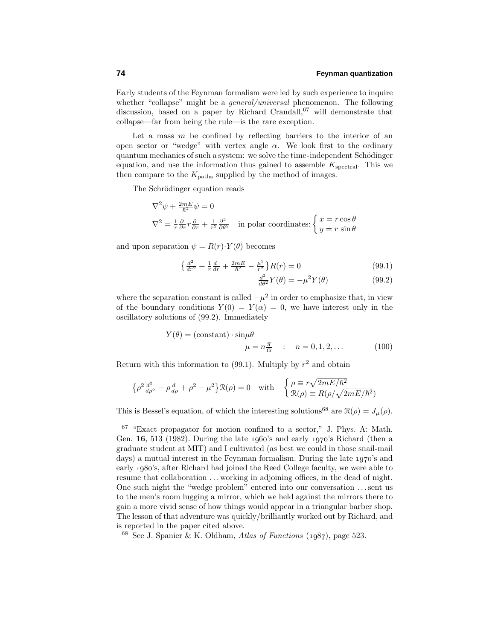Early students of the Feynman formalism were led by such experience to inquire whether "collapse" might be a *general/universal* phenomenon. The following discussion, based on a paper by Richard Crandall,  $67$  will demonstrate that collapse—far from being the rule—is the rare exception.

Let a mass *m* be confined by reflecting barriers to the interior of an open sector or "wedge" with vertex angle *α*. We look first to the ordinary quantum mechanics of such a system: we solve the time-independent Schödinger equation, and use the information thus gained to assemble  $K_{\text{spectral}}$ . This we then compare to the  $K_{\text{paths}}$  supplied by the method of images.

The Schrödinger equation reads

$$
\nabla^2 \psi + \frac{2mE}{\hbar^2} \psi = 0
$$
  

$$
\nabla^2 = \frac{1}{r} \frac{\partial}{\partial r} r \frac{\partial}{\partial r} + \frac{1}{r^2} \frac{\partial^2}{\partial \theta^2}
$$
 in polar coordinates: 
$$
\begin{cases} x = r \cos \theta \\ y = r \sin \theta \end{cases}
$$

and upon separation  $\psi = R(r) \cdot Y(\theta)$  becomes

$$
\left\{ \frac{d^2}{dr^2} + \frac{1}{r} \frac{d}{dr} + \frac{2mE}{\hbar^2} - \frac{\mu^2}{r^2} \right\} R(r) = 0 \tag{99.1}
$$

$$
\frac{d^2}{d\theta^2}Y(\theta) = -\mu^2 Y(\theta) \tag{99.2}
$$

where the separation constant is called  $-\mu^2$  in order to emphasize that, in view of the boundary conditions  $Y(0) = Y(\alpha) = 0$ , we have interest only in the oscillatory solutions of (99.2). Immediately

$$
Y(\theta) = \text{(constant)} \cdot \sin \mu \theta
$$
  

$$
\mu = n \frac{\pi}{\alpha} \quad : \quad n = 0, 1, 2, \dots \tag{100}
$$

Return with this information to  $(99.1)$ . Multiply by  $r^2$  and obtain

$$
\left\{\rho^2 \frac{d^2}{d\rho^2} + \rho \frac{d}{d\rho} + \rho^2 - \mu^2\right\} \mathcal{R}(\rho) = 0 \quad \text{with} \quad \begin{cases} \rho \equiv r \sqrt{2mE/\hbar^2} \\ \mathcal{R}(\rho) \equiv R(\rho/\sqrt{2mE/\hbar^2}) \end{cases}
$$

This is Bessel's equation, of which the interesting solutions<sup>68</sup> are  $\mathcal{R}(\rho) = J_{\mu}(\rho)$ .

<sup>67</sup> "Exact propagator for motion confined to a sector," J. Phys. A: Math. Gen.  $16$ , 513 (1982). During the late  $1960$ 's and early  $1970$ 's Richard (then a graduate student at MIT) and I cultivated (as best we could in those snail-mail days) a mutual interest in the Feynman formalism. During the late  $1970$ 's and early 1980's, after Richard had joined the Reed College faculty, we were able to resume that collaboration *...* working in adjoining offices, in the dead of night. One such night the "wedge problem" entered into our conversation *...*sent us to the men's room lugging a mirror, which we held against the mirrors there to gain a more vivid sense of how things would appear in a triangular barber shop. The lesson of that adventure was quickly/brilliantly worked out by Richard, and is reported in the paper cited above.

<sup>&</sup>lt;sup>68</sup> See J. Spanier & K. Oldham, Atlas of Functions  $(1.087)$ , page 523.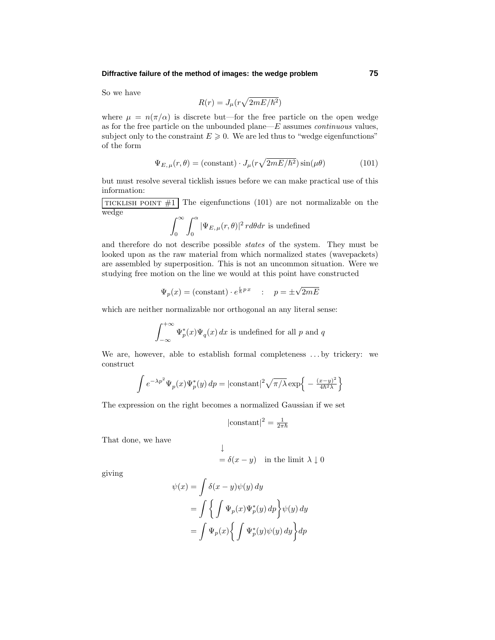So we have

$$
R(r) = J_{\mu}(r\sqrt{2mE/\hbar^2})
$$

where  $\mu = n(\pi/\alpha)$  is discrete but—for the free particle on the open wedge as for the free particle on the unbounded plane—*E* assumes continuous values, subject only to the constraint  $E \geqslant 0$ . We are led thus to "wedge eigenfunctions" of the form

$$
\Psi_{E,\,\mu}(r,\theta) = \text{(constant)} \cdot J_{\mu}(r\sqrt{2mE/\hbar^2})\sin(\mu\theta) \tag{101}
$$

but must resolve several ticklish issues before we can make practical use of this information:

TICKLISH POINT  $#1$  The eigenfunctions (101) are not normalizable on the wedge

$$
\int_0^\infty \int_0^\alpha |\Psi_{E,\,\mu}(r,\theta)|^2\,r d\theta dr \hbox{ is undefined}
$$

and therefore do not describe possible states of the system. They must be looked upon as the raw material from which normalized states (wavepackets) are assembled by superposition. This is not an uncommon situation. Were we studying free motion on the line we would at this point have constructed

$$
\Psi_p(x) = (\text{constant}) \cdot e^{\frac{i}{\hbar}px}
$$
 :  $p = \pm \sqrt{2mE}$ 

which are neither normalizable nor orthogonal an any literal sense:

$$
\int_{-\infty}^{+\infty} \Psi_p^*(x) \Psi_q(x) dx
$$
 is undefined for all p and q

We are, however, able to establish formal completeness *...* by trickery: we construct

$$
\int e^{-\lambda p^2} \Psi_p(x) \Psi_p^*(y) dp = |\text{constant}|^2 \sqrt{\pi/\lambda} \exp \left\{-\frac{(x-y)^2}{4\hbar^2 \lambda}\right\}
$$

The expression on the right becomes a normalized Gaussian if we set

↓

$$
|\text{constant}|^2 = \frac{1}{2\pi\hbar}
$$

That done, we have

$$
= \delta(x - y) \quad \text{in the limit } \lambda \downarrow 0
$$

giving

$$
\psi(x) = \int \delta(x - y)\psi(y) dy
$$
  
= 
$$
\int \left\{ \int \Psi_p(x)\Psi_p^*(y) dp \right\} \psi(y) dy
$$
  
= 
$$
\int \Psi_p(x) \left\{ \int \Psi_p^*(y)\psi(y) dy \right\} dp
$$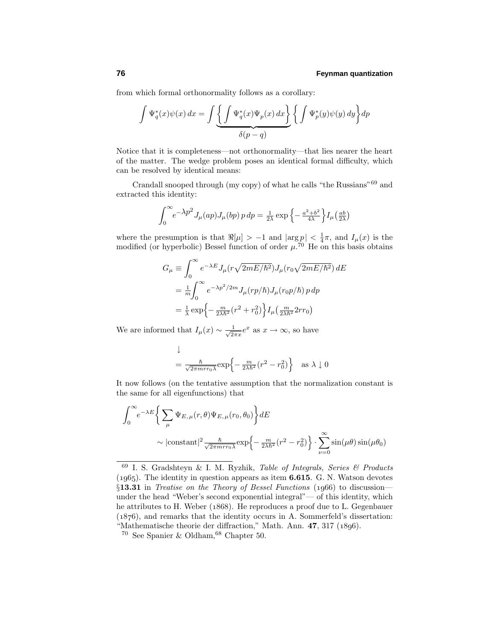from which formal orthonormality follows as a corollary:

$$
\int \Psi_q^*(x) \psi(x) dx = \int \underbrace{\left\{ \int \Psi_q^*(x) \Psi_p(x) dx \right\}}_{\delta(p-q)} \left\{ \int \Psi_p^*(y) \psi(y) dy \right\} dp
$$

Notice that it is completeness—not orthonormality—that lies nearer the heart of the matter. The wedge problem poses an identical formal difficulty, which can be resolved by identical means:

Crandall snooped through (my copy) of what he calls "the Russians"<sup>69</sup> and extracted this identity:

$$
\int_0^{\infty} e^{-\lambda p^2} J_{\mu}(ap) J_{\mu}(bp) p \, dp = \frac{1}{2\lambda} \exp \left\{-\frac{a^2 + b^2}{4\lambda}\right\} I_{\mu}\left(\frac{ab}{2\lambda}\right)
$$

where the presumption is that  $\Re[\mu] > -1$  and  $|\arg p| < \frac{1}{4}\pi$ , and  $I_{\mu}(x)$  is the modified (or hyperbolic) Bessel function of order  $\mu$ .<sup>70</sup> He on this basis obtains

$$
G_{\mu} \equiv \int_0^{\infty} e^{-\lambda E} J_{\mu} (r \sqrt{2mE/\hbar^2}) J_{\mu} (r_0 \sqrt{2mE/\hbar^2}) dE
$$
  
= 
$$
\frac{1}{m} \int_0^{\infty} e^{-\lambda p^2/2m} J_{\mu} (rp/\hbar) J_{\mu} (r_0 p/\hbar) p dp
$$
  
= 
$$
\frac{1}{\lambda} \exp \left\{-\frac{m}{2\lambda \hbar^2} (r^2 + r_0^2) \right\} I_{\mu} \left(\frac{m}{2\lambda \hbar^2} 2rr_0\right)
$$

We are informed that  $I_{\mu}(x) \sim \frac{1}{\sqrt{2\pi x}} e^x$  as  $x \to \infty$ , so have

$$
\downarrow
$$
  
=  $\frac{\hbar}{\sqrt{2\pi m r r_0 \lambda}} \exp \left\{-\frac{m}{2\lambda \hbar^2} (r^2 - r_0^2)\right\}$  as  $\lambda \downarrow 0$ 

It now follows (on the tentative assumption that the normalization constant is the same for all eigenfunctions) that

$$
\int_0^\infty e^{-\lambda E} \left\{ \sum_{\mu} \Psi_{E,\,\mu}(r,\theta) \Psi_{E,\,\mu}(r_0,\theta_0) \right\} dE
$$

$$
\sim |\text{constant}|^2 \frac{\hbar}{\sqrt{2\pi m r r_0 \lambda}} \exp \left\{ -\frac{m}{2\lambda \hbar^2} (r^2 - r_0^2) \right\} \cdot \sum_{\nu=0}^\infty \sin(\mu \theta) \sin(\mu \theta_0)
$$

 $69$  I. S. Gradshteyn & I. M. Ryzhik, Table of Integrals, Series & Products  $(1965)$ . The identity in question appears as item **6.615**. G. N. Watson devotes  $§$ **13.31** in Treatise on the Theory of Bessel Functions (1966) to discussion under the head "Weber's second exponential integral"— of this identity, which he attributes to H. Weber  $(1868)$ . He reproduces a proof due to L. Gegenbauer  $(1876)$ , and remarks that the identity occurs in A. Sommerfeld's dissertation: "Mathematische theorie der diffraction," Math. Ann. 47, 317 (1896).

 $70$  See Spanier & Oldham,  $68$  Chapter 50.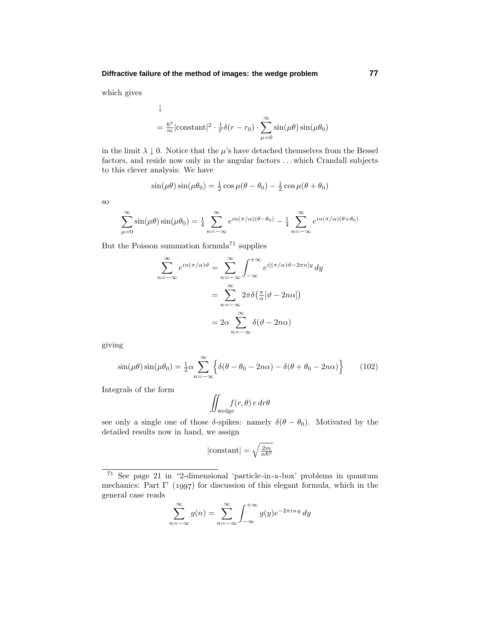which gives

 $\mathbf{I}$ 

$$
\downarrow
$$
  
=  $\frac{\hbar^2}{m} |\text{constant}|^2 \cdot \frac{1}{r} \delta(r - r_0) \cdot \sum_{\mu=0}^{\infty} \sin(\mu \theta) \sin(\mu \theta_0)$ 

in the limit  $\lambda \downarrow 0$ . Notice that the  $\mu$ 's have detached themselves from the Bessel factors, and reside now only in the angular factors *...* which Crandall subjects to this clever analysis: We have

$$
\sin(\mu\theta)\sin(\mu\theta_0) = \frac{1}{2}\cos\mu(\theta - \theta_0) - \frac{1}{2}\cos\mu(\theta + \theta_0)
$$

so

$$
\sum_{\mu=0}^{\infty} \sin(\mu \theta) \sin(\mu \theta_0) = \frac{1}{4} \sum_{n=-\infty}^{\infty} e^{in(\pi/\alpha)(\theta - \theta_0)} - \frac{1}{4} \sum_{n=-\infty}^{\infty} e^{in(\pi/\alpha)(\theta + \theta_0)}
$$

But the Poisson summation formula<sup>71</sup> supplies

$$
\sum_{n=-\infty}^{\infty} e^{in(\pi/\alpha)\vartheta} = \sum_{n=-\infty}^{\infty} \int_{-\infty}^{+\infty} e^{i[(\pi/\alpha)\vartheta - 2\pi n]y} dy
$$

$$
= \sum_{n=-\infty}^{\infty} 2\pi \delta\left(\frac{\pi}{\alpha} [\vartheta - 2n\alpha] \right)
$$

$$
= 2\alpha \sum_{n=-\infty}^{\infty} \delta(\vartheta - 2n\alpha)
$$

giving

$$
\sin(\mu\theta)\sin(\mu\theta_0) = \frac{1}{2}\alpha \sum_{n=-\infty}^{\infty} \left\{ \delta(\theta - \theta_0 - 2n\alpha) - \delta(\theta + \theta_0 - 2n\alpha) \right\} \tag{102}
$$

Integrals of the form

$$
\iint_{\text{wedge}} f(r,\theta) \, r \, dr \theta
$$

see only a single one of those  $\delta$ -spikes: namely  $\delta(\theta - \theta_0)$ . Motivated by the detailed results now in hand, we assign

$$
|\text{constant}| = \sqrt{\tfrac{2m}{\alpha \hbar^2}}
$$

$$
\sum_{n=-\infty}^{\infty} g(n) = \sum_{n=-\infty}^{\infty} \int_{-\infty}^{+\infty} g(y)e^{-2\pi i n y} dy
$$

<sup>71</sup> See page 21 in "2-dimensional 'particle-in-a-box' problems in quantum mechanics: Part I"  $(1997)$  for discussion of this elegant formula, which in the general case reads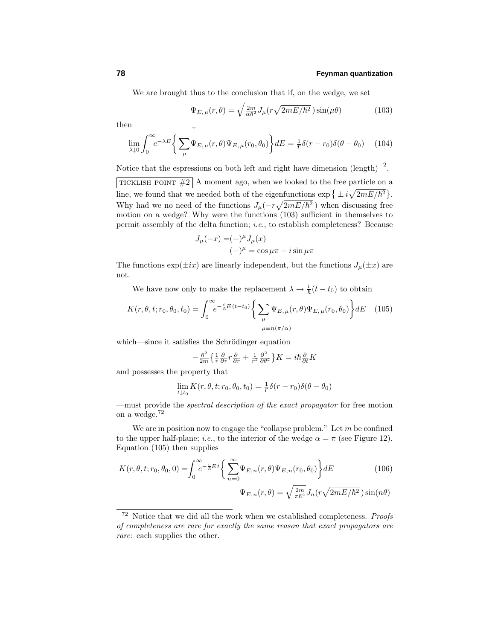We are brought thus to the conclusion that if, on the wedge, we set

$$
\Psi_{E,\,\mu}(r,\theta) = \sqrt{\frac{2m}{\alpha\hbar^2}} J_{\mu}(r\sqrt{2mE/\hbar^2})\sin(\mu\theta)
$$
\n(103)

then  $\downarrow$ 

$$
\lim_{\lambda \downarrow 0} \int_0^\infty e^{-\lambda E} \Bigg\{ \sum_{\mu} \Psi_{E,\,\mu}(r,\theta) \Psi_{E,\,\mu}(r_0,\theta_0) \Bigg\} dE = \frac{1}{r} \delta(r - r_0) \delta(\theta - \theta_0) \tag{104}
$$

Notice that the espressions on both left and right have dimension  $(\text{length})^{-2}$ . TICKLISH POINT  $#2$  A moment ago, when we looked to the free particle on a line, we found that we needed both of the eigenfunctions  $\exp\left\{\pm i\sqrt{2mE/\hbar^2}\right\}$ . Why had we no need of the functions  $J_{\mu}(-r\sqrt{2mE/\hbar^2})$  when discussing free motion on a wedge? Why were the functions (103) sufficient in themselves to permit assembly of the delta function; i.e., to establish completeness? Because

$$
J_{\mu}(-x) = (-)^{\mu} J_{\mu}(x)
$$

$$
(-)^{\mu} = \cos \mu \pi + i \sin \mu \pi
$$

The functions  $\exp(\pm ix)$  are linearly independent, but the functions  $J_\mu(\pm x)$  are not.

We have now only to make the replacement  $\lambda \to \frac{i}{\hbar}(t - t_0)$  to obtain

$$
K(r,\theta,t;r_0,\theta_0,t_0) = \int_0^\infty e^{-\frac{i}{\hbar}E(t-t_0)} \left\{ \sum_\mu \Psi_{E,\mu}(r,\theta) \Psi_{E,\mu}(r_0,\theta_0) \right\} dE \quad (105)
$$
  

$$
\mu = n(\pi/\alpha)
$$

which—since it satisfies the Schrödinger equation

$$
-\frac{\hbar^2}{2m}\left\{\frac{1}{r}\frac{\partial}{\partial r}r\frac{\partial}{\partial r}+\frac{1}{r^2}\frac{\partial^2}{\partial \theta^2}\right\}K=i\hbar\frac{\partial}{\partial t}K
$$

and possesses the property that

$$
\lim_{t \downarrow t_0} K(r, \theta, t; r_0, \theta_0, t_0) = \frac{1}{r} \delta(r - r_0) \delta(\theta - \theta_0)
$$

—must provide the spectral description of the exact propagator for free motion on a wedge.<sup>72</sup>

We are in position now to engage the "collapse problem." Let *m* be confined to the upper half-plane; *i.e.*, to the interior of the wedge  $\alpha = \pi$  (see Figure 12). Equation (105) then supplies

$$
K(r, \theta, t; r_0, \theta_0, 0) = \int_0^\infty e^{-\frac{i}{\hbar}Et} \left\{ \sum_{n=0}^\infty \Psi_{E,n}(r, \theta) \Psi_{E,n}(r_0, \theta_0) \right\} dE \tag{106}
$$

$$
\Psi_{E,n}(r,\theta) = \sqrt{\frac{2m}{\pi\hbar^2}} J_n(r\sqrt{2mE/\hbar^2}) \sin(n\theta)
$$

 $72$  Notice that we did all the work when we established completeness. Proofs of completeness are rare for exactly the same reason that exact propagators are rare: each supplies the other.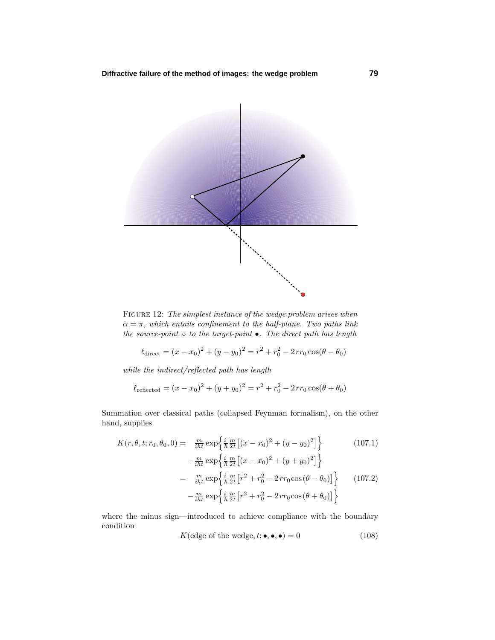

FIGURE 12: The simplest instance of the wedge problem arises when  $\alpha = \pi$ , which entails confinement to the half-plane. Two paths link the source-point  $\circ$  to the target-point  $\bullet$ . The direct path has length

$$
\ell_{\text{direct}} = (x - x_0)^2 + (y - y_0)^2 = r^2 + r_0^2 - 2rr_0 \cos(\theta - \theta_0)
$$

while the indirect/reflected path has length

$$
\ell_{\text{reflected}} = (x - x_0)^2 + (y + y_0)^2 = r^2 + r_0^2 - 2rr_0 \cos(\theta + \theta_0)
$$

Summation over classical paths (collapsed Feynman formalism), on the other hand, supplies

$$
K(r, \theta, t; r_0, \theta_0, 0) = \frac{m}{i\hbar t} \exp\left\{\frac{i}{\hbar} \frac{m}{2t} \left[ (x - x_0)^2 + (y - y_0)^2 \right] \right\}
$$
(107.1)  

$$
- \frac{m}{i\hbar t} \exp\left\{\frac{i}{\hbar} \frac{m}{2t} \left[ (x - x_0)^2 + (y + y_0)^2 \right] \right\}
$$
  

$$
= \frac{m}{i\hbar t} \exp\left\{\frac{i}{\hbar} \frac{m}{2t} \left[ r^2 + r_0^2 - 2rr_0 \cos(\theta - \theta_0) \right] \right\}
$$
(107.2)  

$$
- \frac{m}{i\hbar t} \exp\left\{\frac{i}{\hbar} \frac{m}{2t} \left[ r^2 + r_0^2 - 2rr_0 \cos(\theta + \theta_0) \right] \right\}
$$

where the minus sign—introduced to achieve compliance with the boundary condition

$$
K(\text{edge of the wedge}, t; \bullet, \bullet, \bullet) = 0 \tag{108}
$$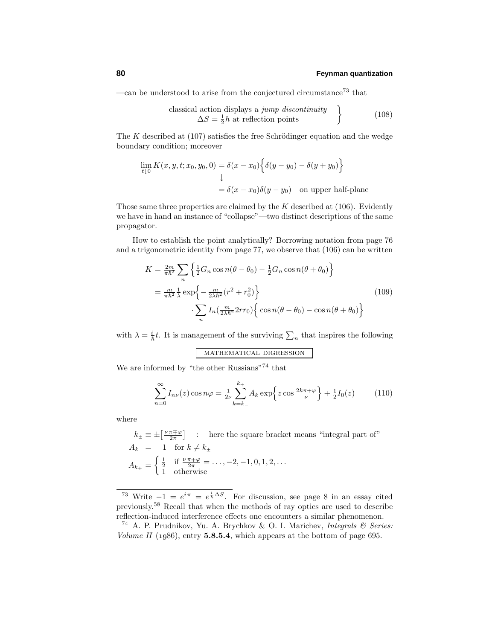—can be understood to arise from the conjectured circumstance  $73$  that

classical action displays a jump discontinuity  
\n
$$
\Delta S = \frac{1}{2}h
$$
 at reflection points\n(108)

The  $K$  described at  $(107)$  satisfies the free Schrödinger equation and the wedge boundary condition; moreover

$$
\lim_{t \downarrow 0} K(x, y, t; x_0, y_0, 0) = \delta(x - x_0) \Big\{ \delta(y - y_0) - \delta(y + y_0) \Big\}
$$
  
=  $\delta(x - x_0) \delta(y - y_0)$  on upper half-plane

Those same three properties are claimed by the *K* described at (106). Evidently we have in hand an instance of "collapse"—two distinct descriptions of the same propagator.

How to establish the point analytically? Borrowing notation from page 76 and a trigonometric identity from page 77, we observe that (106) can be written

$$
K = \frac{2m}{\pi\hbar^2} \sum_{n} \left\{ \frac{1}{2} G_n \cos n(\theta - \theta_0) - \frac{1}{2} G_n \cos n(\theta + \theta_0) \right\}
$$
  

$$
= \frac{m}{\pi\hbar^2} \frac{1}{\lambda} \exp \left\{ -\frac{m}{2\lambda\hbar^2} (r^2 + r_0^2) \right\}
$$
  

$$
\cdot \sum_{n} I_n \left( \frac{m}{2\lambda\hbar^2} 2rr_0 \right) \left\{ \cos n(\theta - \theta_0) - \cos n(\theta + \theta_0) \right\}
$$
 (109)

with  $\lambda = \frac{i}{\hbar}t$ . It is management of the surviving  $\sum_{n}$  that inspires the following

# mathematical digression

We are informed by "the other Russians"<sup>74</sup> that

$$
\sum_{n=0}^{\infty} I_{n\nu}(z) \cos n\varphi = \frac{1}{2\nu} \sum_{k=k_{-}}^{k_{+}} A_{k} \exp\left\{ z \cos \frac{2k\pi + \varphi}{\nu} \right\} + \frac{1}{2} I_{0}(z) \tag{110}
$$

where

 $k_{\pm} \equiv \pm \left[ \frac{\nu \pi \mp \varphi}{2\pi} \right]$  : here the square bracket means "integral part of"  $A_k$  = 1 for  $k \neq k_{\pm}$  $A_{k\pm} = \begin{cases} \frac{1}{2} & \text{if } \frac{\nu \pi \mp \varphi}{2\pi} = \dots, -2, -1, 0, 1, 2, \dots \\ 1 & \text{otherwise} \end{cases}$ 1 otherwise

<sup>&</sup>lt;sup>73</sup> Write  $-1 = e^{i\pi} = e^{\frac{i}{\hbar}\Delta S}$ . For discussion, see page 8 in an essay cited previously.<sup>58</sup> Recall that when the methods of ray optics are used to describe reflection-induced interference effects one encounters a similar phenomenon.

<sup>&</sup>lt;sup>74</sup> A. P. Prudnikov, Yu. A. Brychkov & O. I. Marichev, *Integrals & Series:* Volume II  $(1.086)$ , entry **5.8.5.4**, which appears at the bottom of page 695.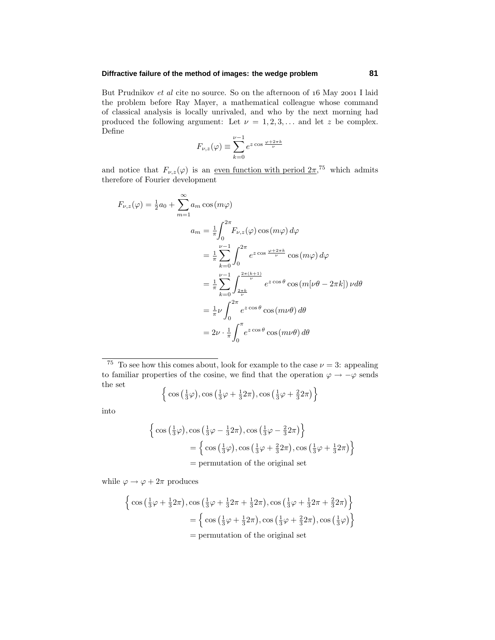But Prudnikov et al cite no source. So on the afternoon of  $16$  May 2001 I laid the problem before Ray Mayer, a mathematical colleague whose command of classical analysis is locally unrivaled, and who by the next morning had produced the following argument: Let  $\nu = 1, 2, 3, \ldots$  and let *z* be complex. Define

$$
F_{\nu,z}(\varphi) \equiv \sum_{k=0}^{\nu-1} e^{z \cos \frac{\varphi + 2\pi k}{\nu}}
$$

and notice that  $F_{\nu,z}(\varphi)$  is an <u>even function with period  $2\pi$ </u>,<sup>75</sup> which admits therefore of Fourier development

$$
F_{\nu,z}(\varphi) = \frac{1}{2}a_0 + \sum_{m=1}^{\infty} a_m \cos(m\varphi)
$$
  

$$
a_m = \frac{1}{\pi} \int_0^{2\pi} F_{\nu,z}(\varphi) \cos(m\varphi) d\varphi
$$
  

$$
= \frac{1}{\pi} \sum_{k=0}^{\nu-1} \int_0^{2\pi} e^{z \cos \frac{\varphi + 2\pi k}{\nu}} \cos(m\varphi) d\varphi
$$
  

$$
= \frac{1}{\pi} \sum_{k=0}^{\nu-1} \int_{\frac{2\pi k}{\nu}}^{\frac{2\pi(k+1)}{\nu}} e^{z \cos \theta} \cos(m[\nu\theta - 2\pi k]) \nu d\theta
$$
  

$$
= \frac{1}{\pi} \nu \int_0^{2\pi} e^{z \cos \theta} \cos(m\nu\theta) d\theta
$$
  

$$
= 2\nu \cdot \frac{1}{\pi} \int_0^{\pi} e^{z \cos \theta} \cos(m\nu\theta) d\theta
$$

$$
\left\{\cos\left(\frac{1}{3}\varphi\right),\cos\left(\frac{1}{3}\varphi+\frac{1}{3}2\pi\right),\cos\left(\frac{1}{3}\varphi+\frac{2}{3}2\pi\right)\right\}
$$

into

$$
\begin{aligned}\n\left\{\cos\left(\frac{1}{3}\varphi\right),\cos\left(\frac{1}{3}\varphi-\frac{1}{3}2\pi\right),\cos\left(\frac{1}{3}\varphi-\frac{2}{3}2\pi\right)\right\} \\
&= \left\{\cos\left(\frac{1}{3}\varphi\right),\cos\left(\frac{1}{3}\varphi+\frac{2}{3}2\pi\right),\cos\left(\frac{1}{3}\varphi+\frac{1}{3}2\pi\right)\right\} \\
&= \text{permutation of the original set}\n\end{aligned}
$$

while  $\varphi \to \varphi + 2\pi$  produces

$$
\begin{aligned}\n\left\{\cos\left(\frac{1}{3}\varphi + \frac{1}{3}2\pi\right), \cos\left(\frac{1}{3}\varphi + \frac{1}{3}2\pi + \frac{1}{3}2\pi\right), \cos\left(\frac{1}{3}\varphi + \frac{1}{3}2\pi + \frac{2}{3}2\pi\right)\right\} \\
&= \left\{\cos\left(\frac{1}{3}\varphi + \frac{1}{3}2\pi\right), \cos\left(\frac{1}{3}\varphi + \frac{2}{3}2\pi\right), \cos\left(\frac{1}{3}\varphi\right)\right\} \\
&= \text{permutation of the original set}\n\end{aligned}
$$

<sup>&</sup>lt;sup>75</sup> To see how this comes about, look for example to the case  $\nu = 3$ : appealing to familiar properties of the cosine, we find that the operation  $\varphi \to -\varphi$  sends the set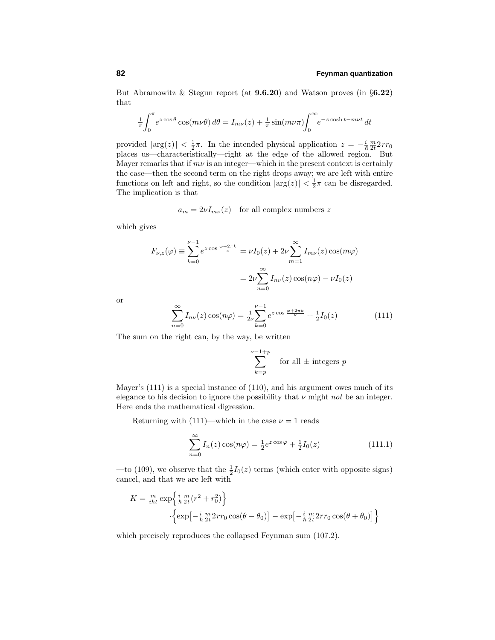But Abramowitz & Stegun report (at **9.6.20**) and Watson proves (in §**6.22**) that

$$
\frac{1}{\pi} \int_0^{\pi} e^{z \cos \theta} \cos(m\nu\theta) d\theta = I_{m\nu}(z) + \frac{1}{\pi} \sin(m\nu\pi) \int_0^{\infty} e^{-z \cosh t - m\nu t} dt
$$

provided  $|\arg(z)| < \frac{1}{2}\pi$ . In the intended physical application  $z = -\frac{i}{\hbar} \frac{m}{2t} 2r r_0$ places us—characteristically—right at the edge of the allowed region. But Mayer remarks that if  $m\nu$  is an integer—which in the present context is certainly the case—then the second term on the right drops away; we are left with entire functions on left and right, so the condition  $|\arg(z)| < \frac{1}{2}\pi$  can be disregarded. The implication is that

$$
a_m = 2\nu I_{m\nu}(z)
$$
 for all complex numbers z

which gives

$$
F_{\nu,z}(\varphi) \equiv \sum_{k=0}^{\nu-1} e^{z \cos \frac{\varphi + 2\pi k}{\nu}} = \nu I_0(z) + 2\nu \sum_{m=1}^{\infty} I_{m\nu}(z) \cos(m\varphi)
$$

$$
= 2\nu \sum_{n=0}^{\infty} I_{n\nu}(z) \cos(n\varphi) - \nu I_0(z)
$$

or

$$
\sum_{n=0}^{\infty} I_{n\nu}(z) \cos(n\varphi) = \frac{1}{2\nu} \sum_{k=0}^{\nu-1} e^{z \cos \frac{\varphi + 2\pi k}{\nu}} + \frac{1}{2} I_0(z)
$$
(111)

The sum on the right can, by the way, be written

$$
\sum_{k=p}^{\nu-1+p}
$$
 for all  $\pm$  integers p

Mayer's (111) is a special instance of (110), and his argument owes much of its elegance to his decision to ignore the possibility that  $\nu$  might not be an integer. Here ends the mathematical digression.

Returning with  $(111)$ —which in the case  $\nu = 1$  reads

$$
\sum_{n=0}^{\infty} I_n(z) \cos(n\varphi) = \frac{1}{2} e^{z \cos \varphi} + \frac{1}{2} I_0(z)
$$
 (111.1)

—to (109), we observe that the  $\frac{1}{2}I_0(z)$  terms (which enter with opposite signs) cancel, and that we are left with

$$
K = \frac{m}{i\hbar t} \exp\left\{\frac{i}{\hbar} \frac{m}{2t} (r^2 + r_0^2)\right\}
$$

$$
\cdot \left\{\exp\left[-\frac{i}{\hbar} \frac{m}{2t} 2rr_0 \cos(\theta - \theta_0)\right] - \exp\left[-\frac{i}{\hbar} \frac{m}{2t} 2rr_0 \cos(\theta + \theta_0)\right]\right\}
$$

which precisely reproduces the collapsed Feynman sum (107.2).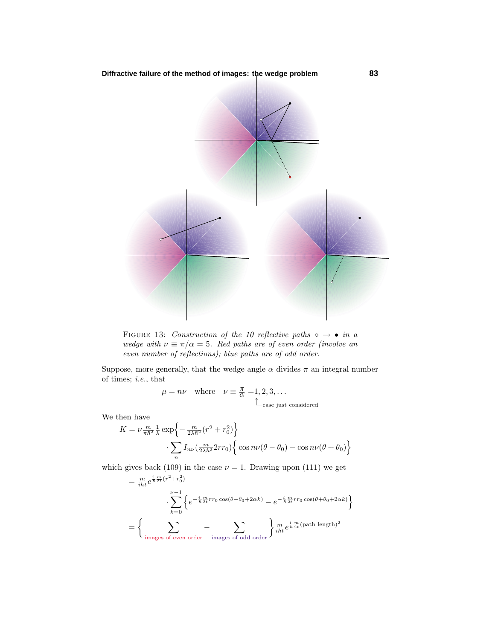

FIGURE 13: Construction of the 10 reflective paths  $\circ \rightarrow \bullet$  in a wedge with  $\nu \equiv \pi/\alpha = 5$ . Red paths are of even order (involve an even number of reflections); blue paths are of odd order.

Suppose, more generally, that the wedge angle  $\alpha$  divides  $\pi$  an integral number of times; i.e., that

$$
\mu = n\nu
$$
 where  $\nu \equiv \frac{\pi}{\alpha} = 1, 2, 3, ...$   
  $\uparrow$  case just considered

We then have

$$
K = \nu \frac{m}{\pi \hbar^2} \frac{1}{\lambda} \exp \left\{ -\frac{m}{2\lambda \hbar^2} (r^2 + r_0^2) \right\}
$$

$$
\cdot \sum_n I_{n\nu} \left( \frac{m}{2\lambda \hbar^2} 2rr_0 \right) \left\{ \cos n\nu (\theta - \theta_0) - \cos n\nu (\theta + \theta_0) \right\}
$$

which gives back (109) in the case  $\nu = 1$ . Drawing upon (111) we get

$$
= \frac{m}{i\hbar}e^{\frac{i}{\hbar}\frac{m}{2t}(r^2+r_0^2)} \cdot \sum_{k=0}^{\nu-1} \left\{ e^{-\frac{i}{\hbar}\frac{m}{2t}rr_0\cos(\theta-\theta_0+2\alpha k)} - e^{-\frac{i}{\hbar}\frac{m}{2t}rr_0\cos(\theta+\theta_0+2\alpha k)} \right\}
$$

$$
= \left\{ \sum_{\text{images of even order}} - \sum_{\text{images of odd order}} \frac{m}{i\hbar}e^{\frac{i}{\hbar}\frac{m}{2t}(\text{path length})^2} \right\}
$$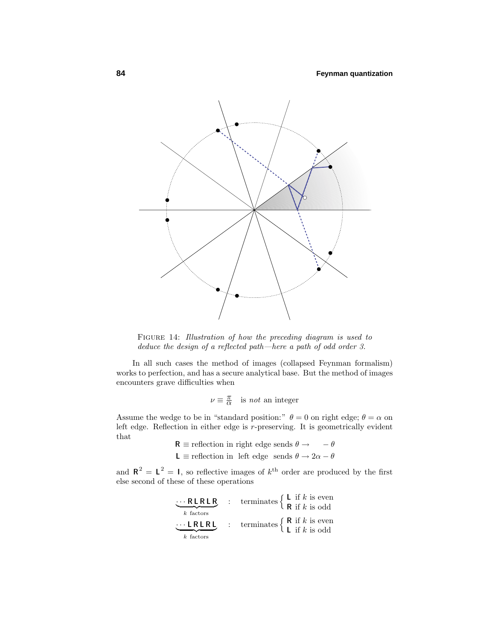

Figure 14: Illustration of how the preceding diagram is used to deduce the design of a reflected path—here a path of odd order 3.

In all such cases the method of images (collapsed Feynman formalism) works to perfection, and has a secure analytical base. But the method of images encounters grave difficulties when

$$
\nu \equiv \frac{\pi}{\alpha} \quad \text{is } not \text{ an integer}
$$

Assume the wedge to be in "standard position:"  $\theta = 0$  on right edge;  $\theta = \alpha$  on left edge. Reflection in either edge is *r*-preserving. It is geometrically evident that

**R**  $\equiv$  reflection in right edge sends  $\theta \rightarrow -\theta$ **L**  $\equiv$  reflection in left edge sends  $\theta \rightarrow 2\alpha - \theta$ 

and  $\mathbf{R}^2 = \mathbf{L}^2 = \mathbf{I}$ , so reflective images of  $k^{\text{th}}$  order are produced by the first else second of these of these operations

$$
\underbrace{\cdots RLRR}_{k \text{ factors}} \quad : \quad \text{terminates} \left\{ \begin{array}{ll} \text{L if } k \text{ is even} \\ \text{R if } k \text{ is odd} \end{array} \right.
$$
\n
$$
\underbrace{\cdots LRLR}_{k \text{ factors}} \quad : \quad \text{terminates} \left\{ \begin{array}{ll} \text{R if } k \text{ is even} \\ \text{L if } k \text{ is odd} \end{array} \right.
$$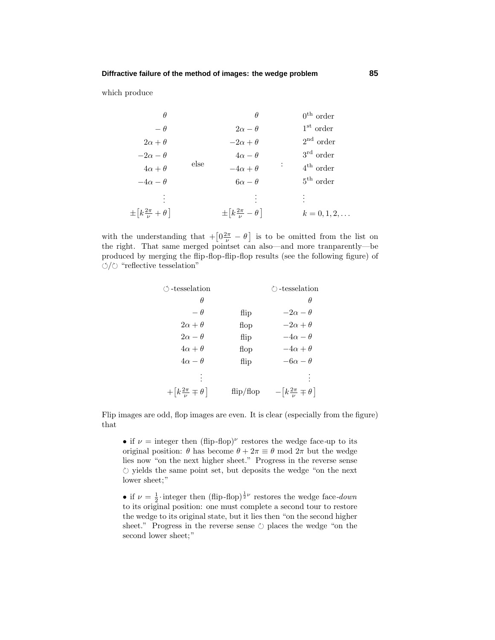which produce

| $\theta$                                      |      | $\theta$                                         | $0^{\text{th}}$ order |
|-----------------------------------------------|------|--------------------------------------------------|-----------------------|
| $-\theta$                                     | else | $2\alpha - \theta$                               | $1st$ order           |
| $2\alpha + \theta$                            |      | $-2\alpha + \theta$                              | $2nd$ order           |
| $-2\alpha - \theta$                           |      | $4\alpha - \theta$                               | $3^{\rm rd}$ order    |
| $4\alpha + \theta$                            |      | $-4\alpha + \theta$                              | $4^{\text{th}}$ order |
| $-4\alpha - \theta$                           |      | $6\alpha - \theta$                               | $5^{\text{th}}$ order |
|                                               |      | ÷                                                | ÷                     |
| $\pm \left[k\frac{2\pi}{\nu} + \theta\right]$ |      | $\pm \left[ k \frac{2\pi}{\mu} - \theta \right]$ | $k = 0, 1, 2, \ldots$ |

with the understanding that  $+ \left[0 \frac{2\pi}{\nu} - \theta\right]$  is to be omitted from the list on the right. That same merged pointset can also—and more tranparently—be produced by merging the flip-flop-flip-flop results (see the following figure) of -*/* "reflective tesselation"

| ◯ -tesselation                     | $\zeta$ -tesselation      |                                            |
|------------------------------------|---------------------------|--------------------------------------------|
| $\theta$                           |                           | $\theta$                                   |
| $-\theta$                          | flip                      | $-2\alpha - \theta$                        |
| $2\alpha + \theta$                 | flop                      | $-2\alpha + \theta$                        |
| $2\alpha - \theta$                 | flip                      | $-4\alpha - \theta$                        |
| $4\alpha + \theta$                 | flop                      | $-4\alpha + \theta$                        |
| $4\alpha - \theta$                 | flip                      | $-6\alpha - \theta$                        |
|                                    |                           | $\ddot{\cdot}$                             |
| $+ [k\frac{2\pi}{\nu} \mp \theta]$ | $\text{flip}/\text{flop}$ | $-\left[k\frac{2\pi}{\nu}\mp\theta\right]$ |

Flip images are odd, flop images are even. It is clear (especially from the figure) that

• if  $\nu$  = integer then (flip-flop)<sup> $\nu$ </sup> restores the wedge face-up to its original position:  $\theta$  has become  $\theta + 2\pi \equiv \theta \mod 2\pi$  but the wedge lies now "on the next higher sheet." Progress in the reverse sense  $\circlearrowright$  yields the same point set, but deposits the wedge "on the next" lower sheet;"

• if  $\nu = \frac{1}{2}$  integer then  $(\text{flip-flop})^{\frac{1}{2}\nu}$  restores the wedge face-*down* to its original position: one must complete a second tour to restore the wedge to its original state, but it lies then "on the second higher sheet." Progress in the reverse sense  $\circlearrowright$  places the wedge "on the second lower sheet;"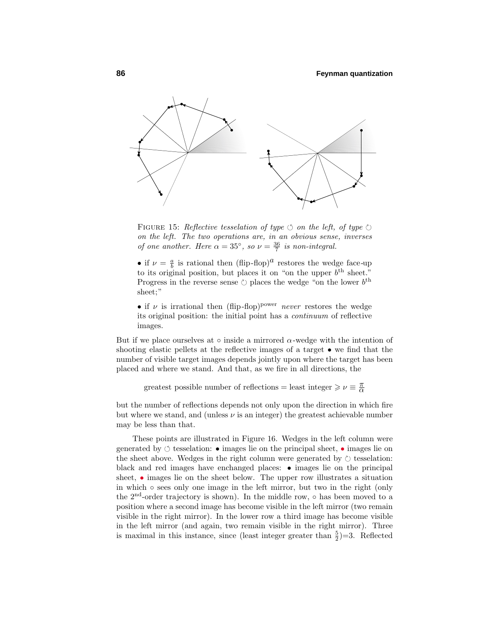

FIGURE 15: Reflective tesselation of type  $\circlearrowleft$  on the left, of type  $\circlearrowright$ on the left. The two operations are, in an obvious sense, inverses *of one another. Here*  $\alpha = 35^{\circ}$ , so  $\nu = \frac{36}{7}$  is non-integral.

• if  $\nu = \frac{a}{b}$  is rational then (flip-flop)<sup>*a*</sup> restores the wedge face-up to its original position, but places it on "on the upper *b*th sheet." Progress in the reverse sense  $\circlearrowright$  places the wedge "on the lower *b*<sup>th</sup> sheet;"

• if  $\nu$  is irrational then (flip-flop)<sup>power</sup> never restores the wedge its original position: the initial point has a continuum of reflective images.

But if we place ourselves at  $\circ$  inside a mirrored  $\alpha$ -wedge with the intention of shooting elastic pellets at the reflective images of a target  $\bullet$  we find that the number of visible target images depends jointly upon where the target has been placed and where we stand. And that, as we fire in all directions, the

greatest possible number of reflections = least integer  $\geqslant \nu \equiv \frac{\pi}{\alpha}$ 

but the number of reflections depends not only upon the direction in which fire but where we stand, and (unless  $\nu$  is an integer) the greatest achievable number may be less than that.

These points are illustrated in Figure 16. Wedges in the left column were generated by  $\circlearrowleft$  tesselation:  $\bullet$  images lie on the principal sheet,  $\bullet$  images lie on the sheet above. Wedges in the right column were generated by  $\circlearrowright$  tesselation: black and red images have enchanged places: • images lie on the principal sheet, • images lie on the sheet below. The upper row illustrates a situation in which ◦ sees only one image in the left mirror, but two in the right (only the  $2<sup>nd</sup>$ -order trajectory is shown). In the middle row,  $\circ$  has been moved to a position where a second image has become visible in the left mirror (two remain visible in the right mirror). In the lower row a third image has become visible in the left mirror (and again, two remain visible in the right mirror). Three is maximal in this instance, since (least integer greater than  $\frac{5}{2}$ )=3. Reflected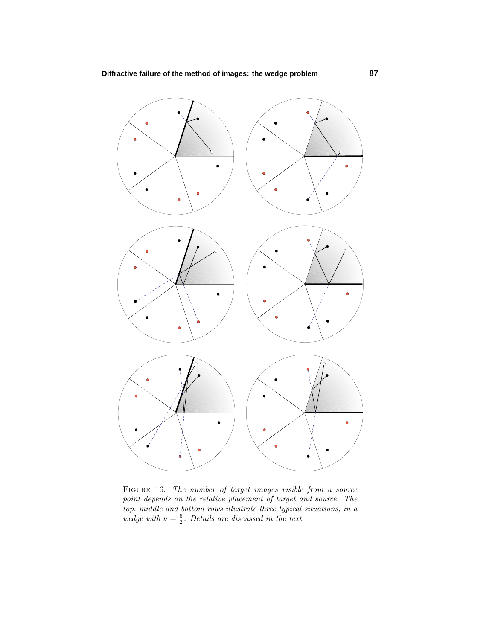

FIGURE 16: The number of target images visible from a source point depends on the relative placement of target and source. The top, middle and bottom rows illustrate three typical situations, in a wedge with  $\nu = \frac{5}{2}$ . Details are discussed in the text.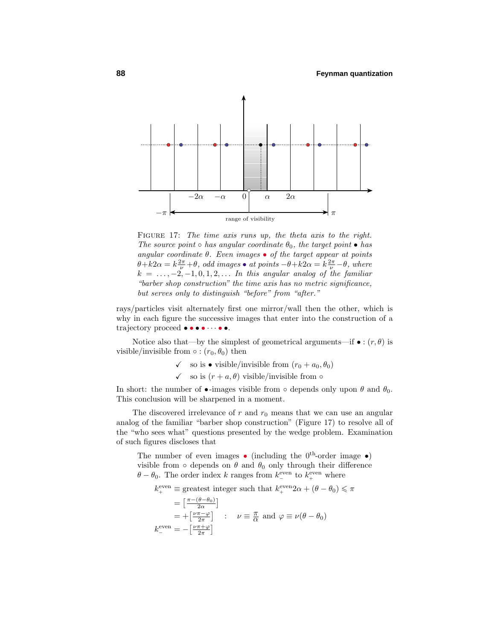

FIGURE 17: The time axis runs up, the theta axis to the right. The source point  $\circ$  has angular coordinate  $\theta_0$ , the target point  $\bullet$  has angular coordinate *θ*. Even images • of the target appear at points  $\theta + k2\alpha = k\frac{2\pi}{\nu} + \theta$ , odd images • at points  $-\theta + k2\alpha = k\frac{2\pi}{\nu} - \theta$ , where  $k = \ldots, -2, -1, 0, 1, 2, \ldots$  In this angular analog of the familiar "barber shop construction" the time axis has no metric significance, but serves only to distinguish "before" from "after."

rays/particles visit alternately first one mirror/wall then the other, which is why in each figure the successive images that enter into the construction of a trajectory proceed  $\bullet \bullet \bullet \bullet \bullet \bullet \bullet \bullet$ .

Notice also that—by the simplest of geometrical arguments—if  $\bullet$  :  $(r, \theta)$  is visible/invisible from  $\circ$  :  $(r_0, \theta_0)$  then

$$
√ so is • visible/invisible from (r0 + a0, θ0)
$$

 $\checkmark$  so is  $(r + a, \theta)$  visible/invisible from  $\circ$ 

In short: the number of  $\bullet$ -images visible from  $\circ$  depends only upon  $\theta$  and  $\theta_0$ . This conclusion will be sharpened in a moment.

The discovered irrelevance of  $r$  and  $r_0$  means that we can use an angular analog of the familiar "barber shop construction" (Figure 17) to resolve all of the "who sees what" questions presented by the wedge problem. Examination of such figures discloses that

The number of even images  $\bullet$  (including the 0<sup>th</sup>-order image  $\bullet$ ) visible from  $\circ$  depends on  $\theta$  and  $\theta_0$  only through their difference  $\theta - \theta_0$ . The order index *k* ranges from  $k_{-}^{\text{even}}$  to  $k_{+}^{\text{even}}$  where

$$
k_{+}^{\text{even}} \equiv \text{greatest integer such that } k_{+}^{\text{even}} 2\alpha + (\theta - \theta_0) \le \pi
$$

$$
= \left[\frac{\pi - (\theta - \theta_0)}{2\alpha}\right]
$$

$$
= +\left[\frac{\nu \pi - \varphi}{2\pi}\right] : \quad \nu \equiv \frac{\pi}{\alpha} \text{ and } \varphi \equiv \nu(\theta - \theta_0)
$$

$$
k_{-}^{\text{even}} = -\left[\frac{\nu \pi + \varphi}{2\pi}\right]
$$